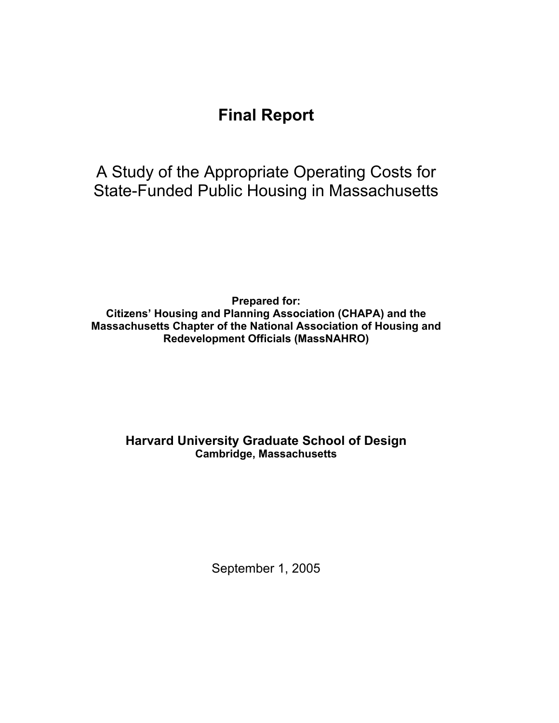# **Final Report**

A Study of the Appropriate Operating Costs for State-Funded Public Housing in Massachusetts

**Prepared for: Citizens' Housing and Planning Association (CHAPA) and the Massachusetts Chapter of the National Association of Housing and Redevelopment Officials (MassNAHRO)** 

# **Harvard University Graduate School of Design Cambridge, Massachusetts**

September 1, 2005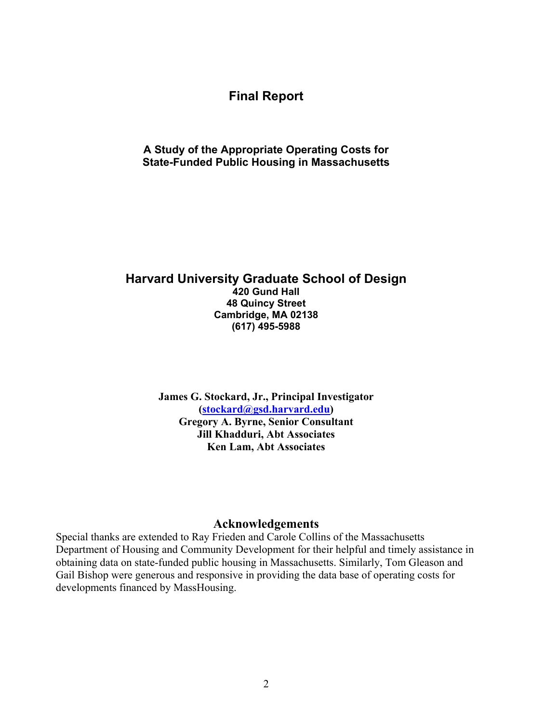# **Final Report**

### **A Study of the Appropriate Operating Costs for State-Funded Public Housing in Massachusetts**

## **Harvard University Graduate School of Design 420 Gund Hall 48 Quincy Street Cambridge, MA 02138 (617) 495-5988**

**James G. Stockard, Jr., Principal Investigator (stockard@gsd.harvard.edu) Gregory A. Byrne, Senior Consultant Jill Khadduri, Abt Associates Ken Lam, Abt Associates** 

#### **Acknowledgements**

Special thanks are extended to Ray Frieden and Carole Collins of the Massachusetts Department of Housing and Community Development for their helpful and timely assistance in obtaining data on state-funded public housing in Massachusetts. Similarly, Tom Gleason and Gail Bishop were generous and responsive in providing the data base of operating costs for developments financed by MassHousing.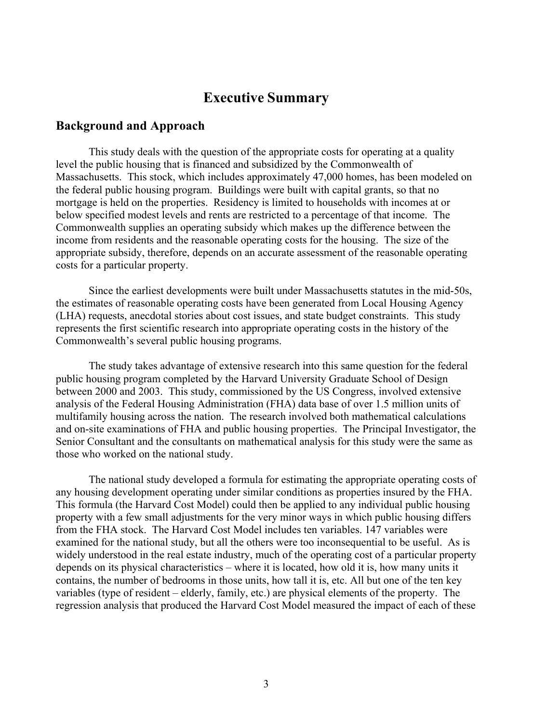# **Executive Summary**

#### **Background and Approach**

 This study deals with the question of the appropriate costs for operating at a quality level the public housing that is financed and subsidized by the Commonwealth of Massachusetts. This stock, which includes approximately 47,000 homes, has been modeled on the federal public housing program. Buildings were built with capital grants, so that no mortgage is held on the properties. Residency is limited to households with incomes at or below specified modest levels and rents are restricted to a percentage of that income. The Commonwealth supplies an operating subsidy which makes up the difference between the income from residents and the reasonable operating costs for the housing. The size of the appropriate subsidy, therefore, depends on an accurate assessment of the reasonable operating costs for a particular property.

 Since the earliest developments were built under Massachusetts statutes in the mid-50s, the estimates of reasonable operating costs have been generated from Local Housing Agency (LHA) requests, anecdotal stories about cost issues, and state budget constraints. This study represents the first scientific research into appropriate operating costs in the history of the Commonwealth's several public housing programs.

 The study takes advantage of extensive research into this same question for the federal public housing program completed by the Harvard University Graduate School of Design between 2000 and 2003. This study, commissioned by the US Congress, involved extensive analysis of the Federal Housing Administration (FHA) data base of over 1.5 million units of multifamily housing across the nation. The research involved both mathematical calculations and on-site examinations of FHA and public housing properties. The Principal Investigator, the Senior Consultant and the consultants on mathematical analysis for this study were the same as those who worked on the national study.

 The national study developed a formula for estimating the appropriate operating costs of any housing development operating under similar conditions as properties insured by the FHA. This formula (the Harvard Cost Model) could then be applied to any individual public housing property with a few small adjustments for the very minor ways in which public housing differs from the FHA stock. The Harvard Cost Model includes ten variables. 147 variables were examined for the national study, but all the others were too inconsequential to be useful. As is widely understood in the real estate industry, much of the operating cost of a particular property depends on its physical characteristics – where it is located, how old it is, how many units it contains, the number of bedrooms in those units, how tall it is, etc. All but one of the ten key variables (type of resident – elderly, family, etc.) are physical elements of the property. The regression analysis that produced the Harvard Cost Model measured the impact of each of these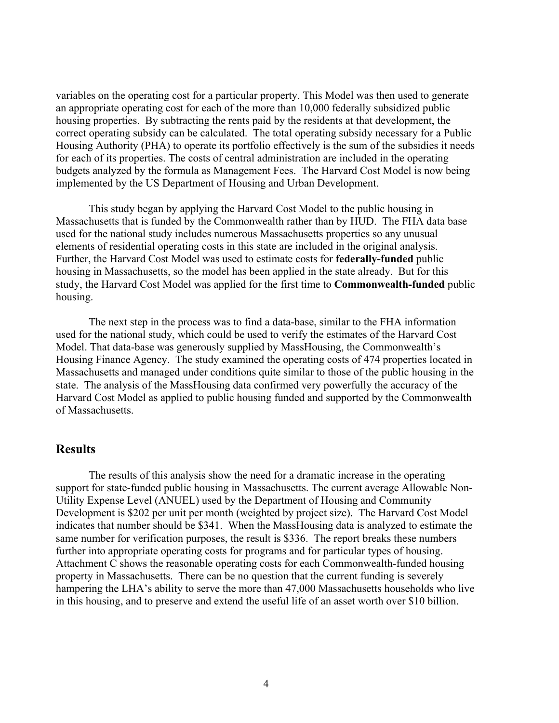variables on the operating cost for a particular property. This Model was then used to generate an appropriate operating cost for each of the more than 10,000 federally subsidized public housing properties. By subtracting the rents paid by the residents at that development, the correct operating subsidy can be calculated. The total operating subsidy necessary for a Public Housing Authority (PHA) to operate its portfolio effectively is the sum of the subsidies it needs for each of its properties. The costs of central administration are included in the operating budgets analyzed by the formula as Management Fees. The Harvard Cost Model is now being implemented by the US Department of Housing and Urban Development.

 This study began by applying the Harvard Cost Model to the public housing in Massachusetts that is funded by the Commonwealth rather than by HUD. The FHA data base used for the national study includes numerous Massachusetts properties so any unusual elements of residential operating costs in this state are included in the original analysis. Further, the Harvard Cost Model was used to estimate costs for **federally-funded** public housing in Massachusetts, so the model has been applied in the state already. But for this study, the Harvard Cost Model was applied for the first time to **Commonwealth-funded** public housing.

 The next step in the process was to find a data-base, similar to the FHA information used for the national study, which could be used to verify the estimates of the Harvard Cost Model. That data-base was generously supplied by MassHousing, the Commonwealth's Housing Finance Agency. The study examined the operating costs of 474 properties located in Massachusetts and managed under conditions quite similar to those of the public housing in the state. The analysis of the MassHousing data confirmed very powerfully the accuracy of the Harvard Cost Model as applied to public housing funded and supported by the Commonwealth of Massachusetts.

# **Results**

The results of this analysis show the need for a dramatic increase in the operating support for state-funded public housing in Massachusetts. The current average Allowable Non-Utility Expense Level (ANUEL) used by the Department of Housing and Community Development is \$202 per unit per month (weighted by project size). The Harvard Cost Model indicates that number should be \$341. When the MassHousing data is analyzed to estimate the same number for verification purposes, the result is \$336. The report breaks these numbers further into appropriate operating costs for programs and for particular types of housing. Attachment C shows the reasonable operating costs for each Commonwealth-funded housing property in Massachusetts. There can be no question that the current funding is severely hampering the LHA's ability to serve the more than 47,000 Massachusetts households who live in this housing, and to preserve and extend the useful life of an asset worth over \$10 billion.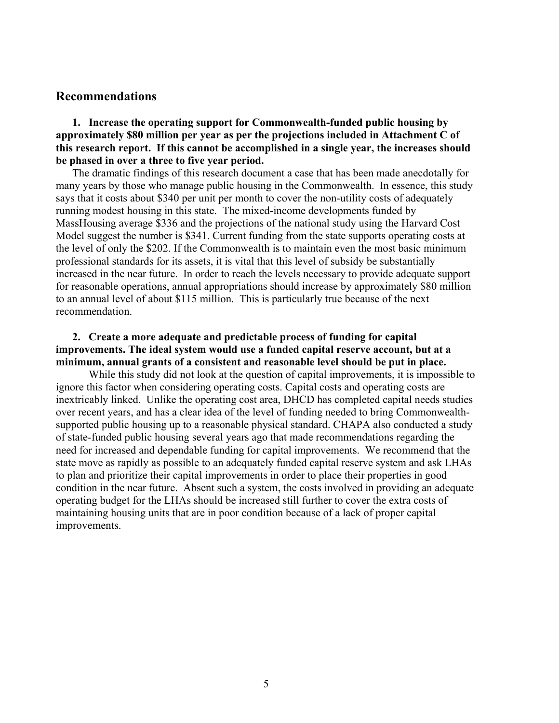#### **Recommendations**

**1. Increase the operating support for Commonwealth-funded public housing by approximately \$80 million per year as per the projections included in Attachment C of this research report. If this cannot be accomplished in a single year, the increases should be phased in over a three to five year period.** 

The dramatic findings of this research document a case that has been made anecdotally for many years by those who manage public housing in the Commonwealth. In essence, this study says that it costs about \$340 per unit per month to cover the non-utility costs of adequately running modest housing in this state. The mixed-income developments funded by MassHousing average \$336 and the projections of the national study using the Harvard Cost Model suggest the number is \$341. Current funding from the state supports operating costs at the level of only the \$202. If the Commonwealth is to maintain even the most basic minimum professional standards for its assets, it is vital that this level of subsidy be substantially increased in the near future. In order to reach the levels necessary to provide adequate support for reasonable operations, annual appropriations should increase by approximately \$80 million to an annual level of about \$115 million. This is particularly true because of the next recommendation.

### **2. Create a more adequate and predictable process of funding for capital improvements. The ideal system would use a funded capital reserve account, but at a minimum, annual grants of a consistent and reasonable level should be put in place.**

While this study did not look at the question of capital improvements, it is impossible to ignore this factor when considering operating costs. Capital costs and operating costs are inextricably linked. Unlike the operating cost area, DHCD has completed capital needs studies over recent years, and has a clear idea of the level of funding needed to bring Commonwealthsupported public housing up to a reasonable physical standard. CHAPA also conducted a study of state-funded public housing several years ago that made recommendations regarding the need for increased and dependable funding for capital improvements. We recommend that the state move as rapidly as possible to an adequately funded capital reserve system and ask LHAs to plan and prioritize their capital improvements in order to place their properties in good condition in the near future. Absent such a system, the costs involved in providing an adequate operating budget for the LHAs should be increased still further to cover the extra costs of maintaining housing units that are in poor condition because of a lack of proper capital improvements.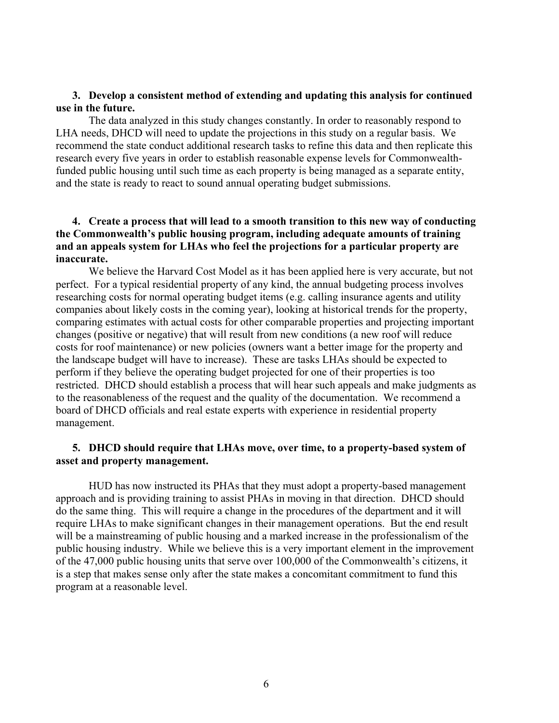### **3. Develop a consistent method of extending and updating this analysis for continued use in the future.**

The data analyzed in this study changes constantly. In order to reasonably respond to LHA needs, DHCD will need to update the projections in this study on a regular basis. We recommend the state conduct additional research tasks to refine this data and then replicate this research every five years in order to establish reasonable expense levels for Commonwealthfunded public housing until such time as each property is being managed as a separate entity, and the state is ready to react to sound annual operating budget submissions.

### **4. Create a process that will lead to a smooth transition to this new way of conducting the Commonwealth's public housing program, including adequate amounts of training and an appeals system for LHAs who feel the projections for a particular property are inaccurate.**

We believe the Harvard Cost Model as it has been applied here is very accurate, but not perfect. For a typical residential property of any kind, the annual budgeting process involves researching costs for normal operating budget items (e.g. calling insurance agents and utility companies about likely costs in the coming year), looking at historical trends for the property, comparing estimates with actual costs for other comparable properties and projecting important changes (positive or negative) that will result from new conditions (a new roof will reduce costs for roof maintenance) or new policies (owners want a better image for the property and the landscape budget will have to increase). These are tasks LHAs should be expected to perform if they believe the operating budget projected for one of their properties is too restricted. DHCD should establish a process that will hear such appeals and make judgments as to the reasonableness of the request and the quality of the documentation. We recommend a board of DHCD officials and real estate experts with experience in residential property management.

### **5. DHCD should require that LHAs move, over time, to a property-based system of asset and property management.**

HUD has now instructed its PHAs that they must adopt a property-based management approach and is providing training to assist PHAs in moving in that direction. DHCD should do the same thing. This will require a change in the procedures of the department and it will require LHAs to make significant changes in their management operations. But the end result will be a mainstreaming of public housing and a marked increase in the professionalism of the public housing industry. While we believe this is a very important element in the improvement of the 47,000 public housing units that serve over 100,000 of the Commonwealth's citizens, it is a step that makes sense only after the state makes a concomitant commitment to fund this program at a reasonable level.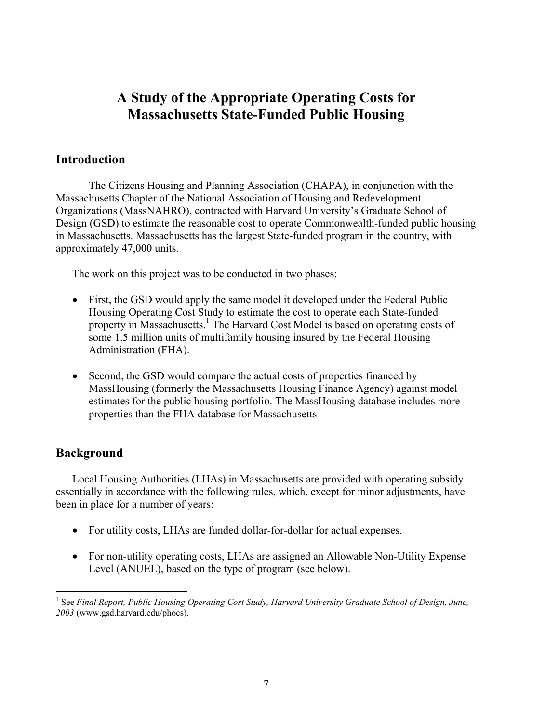# **A Study of the Appropriate Operating Costs for Massachusetts State-Funded Public Housing**

# **Introduction**

The Citizens Housing and Planning Association (CHAPA), in conjunction with the Massachusetts Chapter of the National Association of Housing and Redevelopment Organizations (MassNAHRO), contracted with Harvard University's Graduate School of Design (GSD) to estimate the reasonable cost to operate Commonwealth-funded public housing in Massachusetts. Massachusetts has the largest State-funded program in the country, with approximately 47,000 units.

The work on this project was to be conducted in two phases:

- First, the GSD would apply the same model it developed under the Federal Public Housing Operating Cost Study to estimate the cost to operate each State-funded property in Massachusetts.<sup>1</sup> The Harvard Cost Model is based on operating costs of some 1.5 million units of multifamily housing insured by the Federal Housing Administration (FHA).
- Second, the GSD would compare the actual costs of properties financed by MassHousing (formerly the Massachusetts Housing Finance Agency) against model estimates for the public housing portfolio. The MassHousing database includes more properties than the FHA database for Massachusetts

# **Background**

Local Housing Authorities (LHAs) in Massachusetts are provided with operating subsidy essentially in accordance with the following rules, which, except for minor adjustments, have been in place for a number of years:

- For utility costs, LHAs are funded dollar-for-dollar for actual expenses.
- For non-utility operating costs, LHAs are assigned an Allowable Non-Utility Expense Level (ANUEL), based on the type of program (see below).

 $\overline{a}$ <sup>1</sup> See *Final Report, Public Housing Operating Cost Study, Harvard University Graduate School of Design, June, 2003* (www.gsd.harvard.edu/phocs).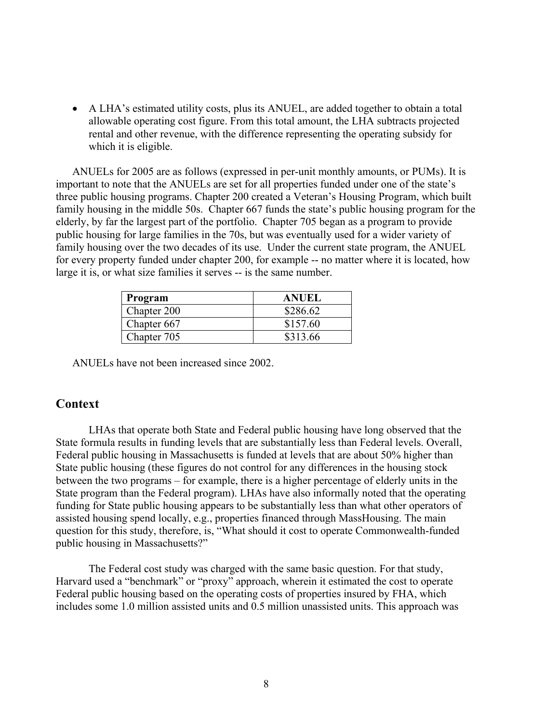• A LHA's estimated utility costs, plus its ANUEL, are added together to obtain a total allowable operating cost figure. From this total amount, the LHA subtracts projected rental and other revenue, with the difference representing the operating subsidy for which it is eligible.

ANUELs for 2005 are as follows (expressed in per-unit monthly amounts, or PUMs). It is important to note that the ANUELs are set for all properties funded under one of the state's three public housing programs. Chapter 200 created a Veteran's Housing Program, which built family housing in the middle 50s. Chapter 667 funds the state's public housing program for the elderly, by far the largest part of the portfolio. Chapter 705 began as a program to provide public housing for large families in the 70s, but was eventually used for a wider variety of family housing over the two decades of its use. Under the current state program, the ANUEL for every property funded under chapter 200, for example -- no matter where it is located, how large it is, or what size families it serves -- is the same number.

| Program     | <b>ANUEL</b> |
|-------------|--------------|
| Chapter 200 | \$286.62     |
| Chapter 667 | \$157.60     |
| Chapter 705 | \$313.66     |

ANUELs have not been increased since 2002.

# **Context**

LHAs that operate both State and Federal public housing have long observed that the State formula results in funding levels that are substantially less than Federal levels. Overall, Federal public housing in Massachusetts is funded at levels that are about 50% higher than State public housing (these figures do not control for any differences in the housing stock between the two programs – for example, there is a higher percentage of elderly units in the State program than the Federal program). LHAs have also informally noted that the operating funding for State public housing appears to be substantially less than what other operators of assisted housing spend locally, e.g., properties financed through MassHousing. The main question for this study, therefore, is, "What should it cost to operate Commonwealth-funded public housing in Massachusetts?"

The Federal cost study was charged with the same basic question. For that study, Harvard used a "benchmark" or "proxy" approach, wherein it estimated the cost to operate Federal public housing based on the operating costs of properties insured by FHA, which includes some 1.0 million assisted units and 0.5 million unassisted units. This approach was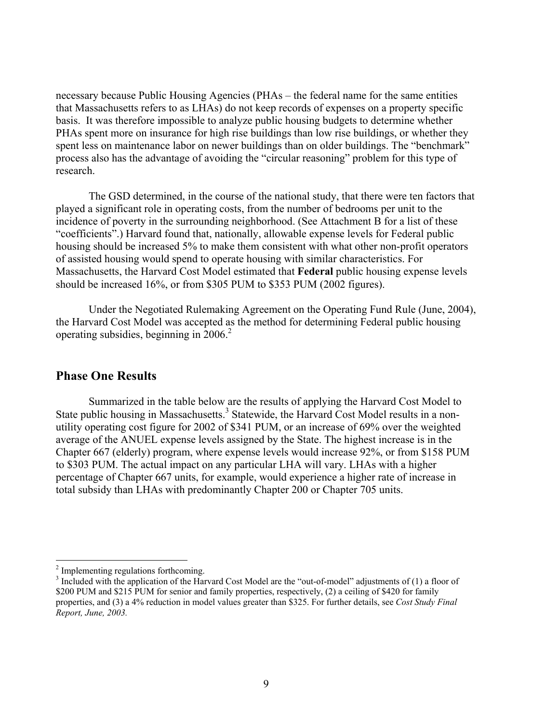necessary because Public Housing Agencies (PHAs – the federal name for the same entities that Massachusetts refers to as LHAs) do not keep records of expenses on a property specific basis. It was therefore impossible to analyze public housing budgets to determine whether PHAs spent more on insurance for high rise buildings than low rise buildings, or whether they spent less on maintenance labor on newer buildings than on older buildings. The "benchmark" process also has the advantage of avoiding the "circular reasoning" problem for this type of research.

The GSD determined, in the course of the national study, that there were ten factors that played a significant role in operating costs, from the number of bedrooms per unit to the incidence of poverty in the surrounding neighborhood. (See Attachment B for a list of these "coefficients".) Harvard found that, nationally, allowable expense levels for Federal public housing should be increased 5% to make them consistent with what other non-profit operators of assisted housing would spend to operate housing with similar characteristics. For Massachusetts, the Harvard Cost Model estimated that **Federal** public housing expense levels should be increased 16%, or from \$305 PUM to \$353 PUM (2002 figures).

Under the Negotiated Rulemaking Agreement on the Operating Fund Rule (June, 2004), the Harvard Cost Model was accepted as the method for determining Federal public housing operating subsidies, beginning in  $2006$ <sup>2</sup>

### **Phase One Results**

Summarized in the table below are the results of applying the Harvard Cost Model to State public housing in Massachusetts.<sup>3</sup> Statewide, the Harvard Cost Model results in a nonutility operating cost figure for 2002 of \$341 PUM, or an increase of 69% over the weighted average of the ANUEL expense levels assigned by the State. The highest increase is in the Chapter 667 (elderly) program, where expense levels would increase 92%, or from \$158 PUM to \$303 PUM. The actual impact on any particular LHA will vary. LHAs with a higher percentage of Chapter 667 units, for example, would experience a higher rate of increase in total subsidy than LHAs with predominantly Chapter 200 or Chapter 705 units.

 $\overline{a}$ 

<sup>&</sup>lt;sup>2</sup> Implementing regulations forthcoming.

 $3$  Included with the application of the Harvard Cost Model are the "out-of-model" adjustments of (1) a floor of \$200 PUM and \$215 PUM for senior and family properties, respectively, (2) a ceiling of \$420 for family properties, and (3) a 4% reduction in model values greater than \$325. For further details, see *Cost Study Final Report, June, 2003.*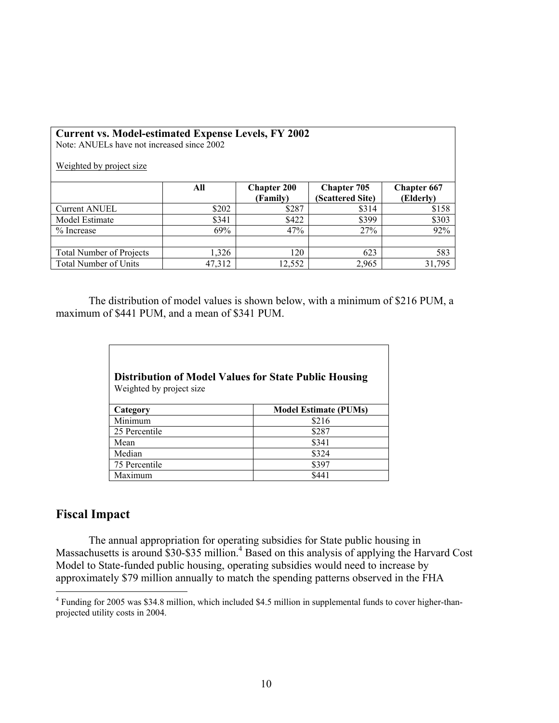| <b>Current vs. Model-estimated Expense Levels, FY 2002</b><br>Note: ANUELs have not increased since 2002<br>Weighted by project size |        |                                |                                        |                                 |  |
|--------------------------------------------------------------------------------------------------------------------------------------|--------|--------------------------------|----------------------------------------|---------------------------------|--|
|                                                                                                                                      | All    | <b>Chapter 200</b><br>(Family) | <b>Chapter 705</b><br>(Scattered Site) | <b>Chapter 667</b><br>(Elderly) |  |
| <b>Current ANUEL</b>                                                                                                                 | \$202  | \$287                          | \$314                                  | \$158                           |  |
| Model Estimate                                                                                                                       | \$341  | \$422                          | \$399                                  | \$303                           |  |
| $%$ Increase                                                                                                                         | 69%    | 47%                            | 27%                                    | 92%                             |  |
|                                                                                                                                      |        |                                |                                        |                                 |  |
| <b>Total Number of Projects</b>                                                                                                      | 1,326  | 120                            | 623                                    | 583                             |  |
| Total Number of Units                                                                                                                | 47,312 | 12,552                         | 2,965                                  | 31,795                          |  |

The distribution of model values is shown below, with a minimum of \$216 PUM, a maximum of \$441 PUM, and a mean of \$341 PUM.

| Weighted by project size | <b>Distribution of Model Values for State Public Housing</b> |
|--------------------------|--------------------------------------------------------------|
| Category                 | <b>Model Estimate (PUMs)</b>                                 |
| Minimum                  | \$216                                                        |
| 25 Percentile            | \$287                                                        |
| Mean                     | \$341                                                        |
| Median                   | \$324                                                        |
| 75 Percentile            | \$397                                                        |
| Maximum                  | \$441                                                        |

# **Fiscal Impact**

The annual appropriation for operating subsidies for State public housing in Massachusetts is around \$30-\$35 million.<sup>4</sup> Based on this analysis of applying the Harvard Cost Model to State-funded public housing, operating subsidies would need to increase by approximately \$79 million annually to match the spending patterns observed in the FHA

 4 Funding for 2005 was \$34.8 million, which included \$4.5 million in supplemental funds to cover higher-thanprojected utility costs in 2004.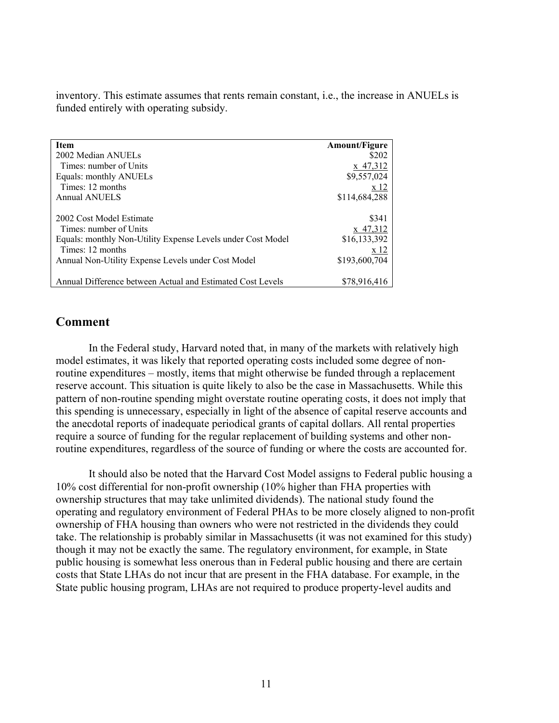inventory. This estimate assumes that rents remain constant, i.e., the increase in ANUELs is funded entirely with operating subsidy.

| <b>Item</b>                                                 | <b>Amount/Figure</b> |
|-------------------------------------------------------------|----------------------|
| 2002 Median ANUELs                                          | \$202                |
| Times: number of Units                                      | x 47,312             |
| Equals: monthly ANUELs                                      | \$9,557,024          |
| Times: 12 months                                            | x 12                 |
| <b>Annual ANUELS</b>                                        | \$114,684,288        |
|                                                             |                      |
| 2002 Cost Model Estimate                                    | \$341                |
| Times: number of Units                                      | x 47,312             |
| Equals: monthly Non-Utility Expense Levels under Cost Model | \$16,133,392         |
| Times: 12 months                                            | x 12                 |
| Annual Non-Utility Expense Levels under Cost Model          | \$193,600,704        |
|                                                             |                      |
| Annual Difference between Actual and Estimated Cost Levels  | \$78,916,416         |

# **Comment**

In the Federal study, Harvard noted that, in many of the markets with relatively high model estimates, it was likely that reported operating costs included some degree of nonroutine expenditures – mostly, items that might otherwise be funded through a replacement reserve account. This situation is quite likely to also be the case in Massachusetts. While this pattern of non-routine spending might overstate routine operating costs, it does not imply that this spending is unnecessary, especially in light of the absence of capital reserve accounts and the anecdotal reports of inadequate periodical grants of capital dollars. All rental properties require a source of funding for the regular replacement of building systems and other nonroutine expenditures, regardless of the source of funding or where the costs are accounted for.

It should also be noted that the Harvard Cost Model assigns to Federal public housing a 10% cost differential for non-profit ownership (10% higher than FHA properties with ownership structures that may take unlimited dividends). The national study found the operating and regulatory environment of Federal PHAs to be more closely aligned to non-profit ownership of FHA housing than owners who were not restricted in the dividends they could take. The relationship is probably similar in Massachusetts (it was not examined for this study) though it may not be exactly the same. The regulatory environment, for example, in State public housing is somewhat less onerous than in Federal public housing and there are certain costs that State LHAs do not incur that are present in the FHA database. For example, in the State public housing program, LHAs are not required to produce property-level audits and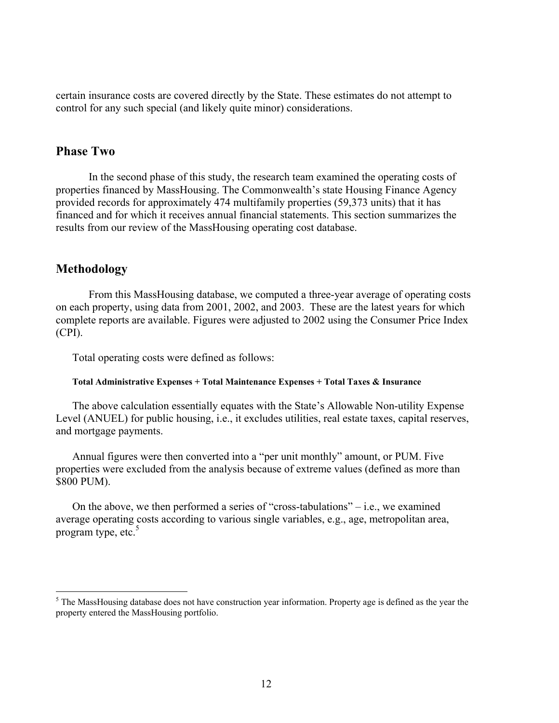certain insurance costs are covered directly by the State. These estimates do not attempt to control for any such special (and likely quite minor) considerations.

### **Phase Two**

In the second phase of this study, the research team examined the operating costs of properties financed by MassHousing. The Commonwealth's state Housing Finance Agency provided records for approximately 474 multifamily properties (59,373 units) that it has financed and for which it receives annual financial statements. This section summarizes the results from our review of the MassHousing operating cost database.

# **Methodology**

 $\overline{a}$ 

From this MassHousing database, we computed a three-year average of operating costs on each property, using data from 2001, 2002, and 2003. These are the latest years for which complete reports are available. Figures were adjusted to 2002 using the Consumer Price Index (CPI).

Total operating costs were defined as follows:

#### **Total Administrative Expenses + Total Maintenance Expenses + Total Taxes & Insurance**

The above calculation essentially equates with the State's Allowable Non-utility Expense Level (ANUEL) for public housing, i.e., it excludes utilities, real estate taxes, capital reserves, and mortgage payments.

Annual figures were then converted into a "per unit monthly" amount, or PUM. Five properties were excluded from the analysis because of extreme values (defined as more than \$800 PUM).

On the above, we then performed a series of "cross-tabulations" $-$  i.e., we examined average operating costs according to various single variables, e.g., age, metropolitan area, program type, etc. $5$ 

 $<sup>5</sup>$  The MassHousing database does not have construction year information. Property age is defined as the year the</sup> property entered the MassHousing portfolio.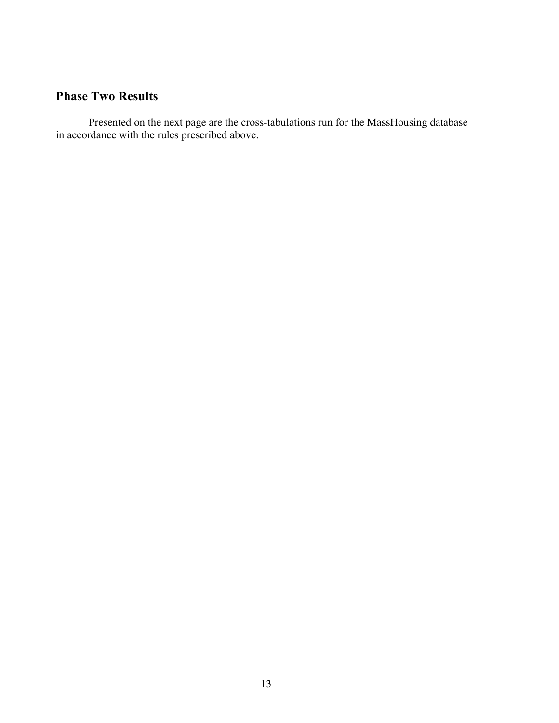# **Phase Two Results**

Presented on the next page are the cross-tabulations run for the MassHousing database in accordance with the rules prescribed above.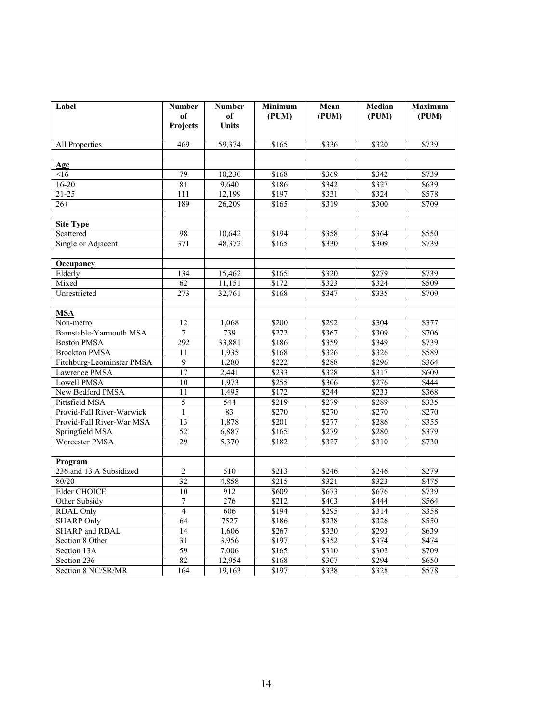| Label                     | <b>Number</b><br>of<br>Projects | <b>Number</b><br>of<br><b>Units</b> | Minimum<br>(PUM)  | Mean<br>(PUM)     | Median<br>(PUM) | <b>Maximum</b><br>(PUM) |
|---------------------------|---------------------------------|-------------------------------------|-------------------|-------------------|-----------------|-------------------------|
| All Properties            | 469                             | 59,374                              | \$165             | \$336             | \$320           | \$739                   |
| Age                       |                                 |                                     |                   |                   |                 |                         |
| <16                       | 79                              | 10,230                              | \$168             | \$369             | \$342           | $\sqrt{$739}$           |
| $16 - 20$                 | 81                              | 9,640                               | \$186             | \$342             | \$327           | \$639                   |
| $21 - 25$                 | 111                             | 12,199                              | \$197             | \$331             | \$324           | \$578                   |
| $26+$                     | 189                             | 26.209                              | \$165             | \$319             | \$300           | \$709                   |
| <b>Site Type</b>          |                                 |                                     |                   |                   |                 |                         |
| Scattered                 | 98                              | 10,642                              | \$194             | \$358             | \$364           | \$550                   |
| Single or Adjacent        | 371                             | 48,372                              | \$165             | \$330             | \$309           | \$739                   |
|                           |                                 |                                     |                   |                   |                 |                         |
| <b>Occupancy</b>          |                                 |                                     |                   |                   |                 |                         |
| Elderly                   | 134                             | 15,462                              | \$165             | \$320             | \$279           | \$739                   |
| Mixed                     | 62                              | 11,151                              | \$172             | \$323             | \$324           | \$509                   |
| Unrestricted              | 273                             | 32,761                              | \$168             | \$347             | \$335           | \$709                   |
| <b>MSA</b>                |                                 |                                     |                   |                   |                 |                         |
| Non-metro                 | 12                              | 1,068                               | \$200             | $\sqrt{$292}$     | \$304           | \$377                   |
| Barnstable-Yarmouth MSA   | $\boldsymbol{7}$                | 739                                 | \$272             | \$367             | \$309           | \$706                   |
| <b>Boston PMSA</b>        | 292                             | 33,881                              | \$186             | \$359             | \$349           | \$739                   |
| <b>Brockton PMSA</b>      | 11                              | 1,935                               | \$168             | \$326             | \$326           | \$589                   |
| Fitchburg-Leominster PMSA | 9                               | 1,280                               | \$222             | \$288             | \$296           | \$364                   |
| Lawrence PMSA             | 17                              | 2,441                               | \$233             | \$328             | \$317           | \$609                   |
| Lowell PMSA               | 10                              | 1,973                               | \$255             | \$306             | \$276           | \$444                   |
| New Bedford PMSA          | 11                              | 1,495                               | \$172             | \$244             | \$233           | \$368                   |
| Pittsfield MSA            | 5                               | 544                                 | \$219             | \$279             | \$289           | \$335                   |
| Provid-Fall River-Warwick | $\mathbf{1}$                    | 83                                  | \$270             | $\overline{$270}$ | \$270           | \$270                   |
| Provid-Fall River-War MSA | 13                              | 1,878                               | $\overline{$201}$ | \$277             | \$286           | \$355                   |
| Springfield MSA           | $\overline{52}$                 | 6,887                               | \$165             | \$279             | \$280           | \$379                   |
| <b>Worcester PMSA</b>     | 29                              | 5,370                               | \$182             | 3327              | \$310           | $\sqrt{$730}$           |
| Program                   |                                 |                                     |                   |                   |                 |                         |
| 236 and 13 A Subsidized   | $\overline{c}$                  | 510                                 | \$213             | \$246             | \$246           | \$279                   |
| 80/20                     | 32                              | 4,858                               | \$215             | \$321             | \$323           | \$475                   |
| Elder CHOICE              | 10                              | 912                                 | \$609             | \$673             | \$676           | \$739                   |
| Other Subsidy             | $\boldsymbol{7}$                | 276                                 | \$212             | \$403             | \$444           | \$564                   |
| <b>RDAL Only</b>          | $\overline{4}$                  | 606                                 | \$194             | \$295             | \$314           | \$358                   |
| <b>SHARP Only</b>         | 64                              | 7527                                | \$186             | \$338             | \$326           | \$550                   |
| <b>SHARP</b> and RDAL     | 14                              | 1,606                               | \$267             | \$330             | \$293           | \$639                   |
| Section 8 Other           | $\overline{31}$                 | 3,956                               | \$197             | \$352             | \$374           | \$474                   |
| Section 13A               | 59                              | 7.006                               | \$165             | \$310             | \$302           | \$709                   |
| Section 236               | 82                              | 12,954                              | \$168             | \$307             | \$294           | \$650                   |
| Section 8 NC/SR/MR        | 164                             | 19,163                              | \$197             | \$338             | \$328           | \$578                   |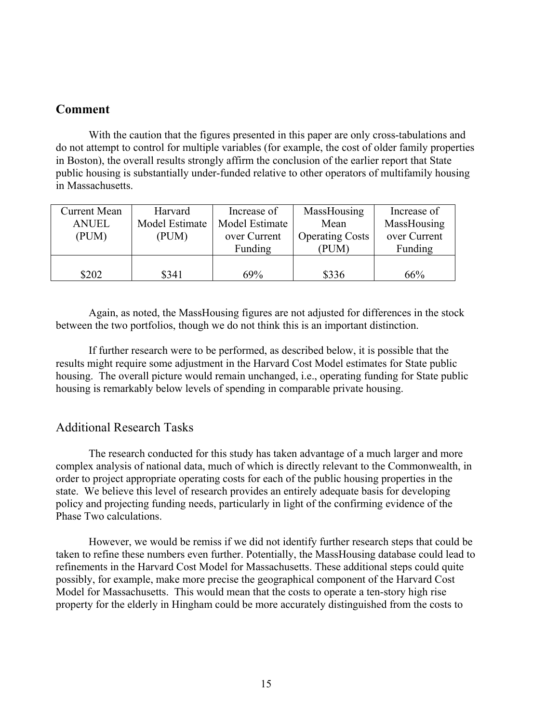### **Comment**

With the caution that the figures presented in this paper are only cross-tabulations and do not attempt to control for multiple variables (for example, the cost of older family properties in Boston), the overall results strongly affirm the conclusion of the earlier report that State public housing is substantially under-funded relative to other operators of multifamily housing in Massachusetts.

| <b>Current Mean</b> | Harvard        | Increase of    | MassHousing            | Increase of  |
|---------------------|----------------|----------------|------------------------|--------------|
| <b>ANUEL</b>        | Model Estimate | Model Estimate | Mean                   | MassHousing  |
| (PUM)               | (PUM)          | over Current   | <b>Operating Costs</b> | over Current |
|                     |                | Funding        | (PUM)                  | Funding      |
|                     |                |                |                        |              |
| \$202               | \$341          | 69%            | \$336                  | 66%          |

Again, as noted, the MassHousing figures are not adjusted for differences in the stock between the two portfolios, though we do not think this is an important distinction.

If further research were to be performed, as described below, it is possible that the results might require some adjustment in the Harvard Cost Model estimates for State public housing. The overall picture would remain unchanged, i.e., operating funding for State public housing is remarkably below levels of spending in comparable private housing.

### Additional Research Tasks

The research conducted for this study has taken advantage of a much larger and more complex analysis of national data, much of which is directly relevant to the Commonwealth, in order to project appropriate operating costs for each of the public housing properties in the state. We believe this level of research provides an entirely adequate basis for developing policy and projecting funding needs, particularly in light of the confirming evidence of the Phase Two calculations.

However, we would be remiss if we did not identify further research steps that could be taken to refine these numbers even further. Potentially, the MassHousing database could lead to refinements in the Harvard Cost Model for Massachusetts. These additional steps could quite possibly, for example, make more precise the geographical component of the Harvard Cost Model for Massachusetts. This would mean that the costs to operate a ten-story high rise property for the elderly in Hingham could be more accurately distinguished from the costs to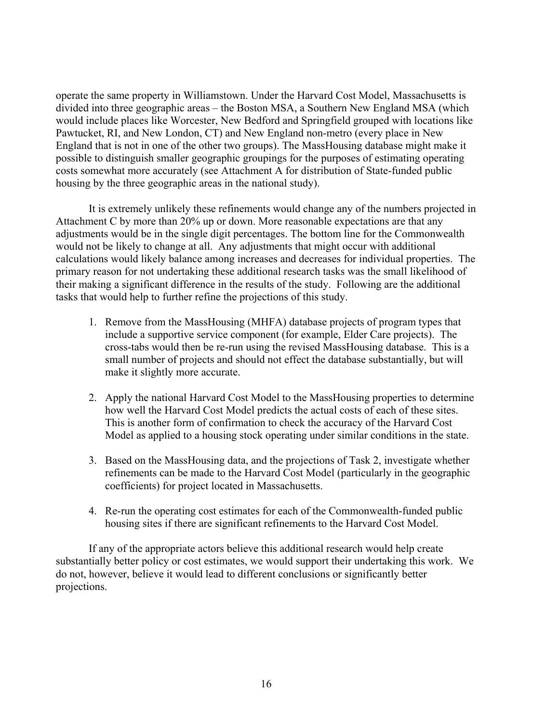operate the same property in Williamstown. Under the Harvard Cost Model, Massachusetts is divided into three geographic areas – the Boston MSA, a Southern New England MSA (which would include places like Worcester, New Bedford and Springfield grouped with locations like Pawtucket, RI, and New London, CT) and New England non-metro (every place in New England that is not in one of the other two groups). The MassHousing database might make it possible to distinguish smaller geographic groupings for the purposes of estimating operating costs somewhat more accurately (see Attachment A for distribution of State-funded public housing by the three geographic areas in the national study).

It is extremely unlikely these refinements would change any of the numbers projected in Attachment C by more than 20% up or down. More reasonable expectations are that any adjustments would be in the single digit percentages. The bottom line for the Commonwealth would not be likely to change at all. Any adjustments that might occur with additional calculations would likely balance among increases and decreases for individual properties. The primary reason for not undertaking these additional research tasks was the small likelihood of their making a significant difference in the results of the study. Following are the additional tasks that would help to further refine the projections of this study.

- 1. Remove from the MassHousing (MHFA) database projects of program types that include a supportive service component (for example, Elder Care projects). The cross-tabs would then be re-run using the revised MassHousing database. This is a small number of projects and should not effect the database substantially, but will make it slightly more accurate.
- 2. Apply the national Harvard Cost Model to the MassHousing properties to determine how well the Harvard Cost Model predicts the actual costs of each of these sites. This is another form of confirmation to check the accuracy of the Harvard Cost Model as applied to a housing stock operating under similar conditions in the state.
- 3. Based on the MassHousing data, and the projections of Task 2, investigate whether refinements can be made to the Harvard Cost Model (particularly in the geographic coefficients) for project located in Massachusetts.
- 4. Re-run the operating cost estimates for each of the Commonwealth-funded public housing sites if there are significant refinements to the Harvard Cost Model.

If any of the appropriate actors believe this additional research would help create substantially better policy or cost estimates, we would support their undertaking this work. We do not, however, believe it would lead to different conclusions or significantly better projections.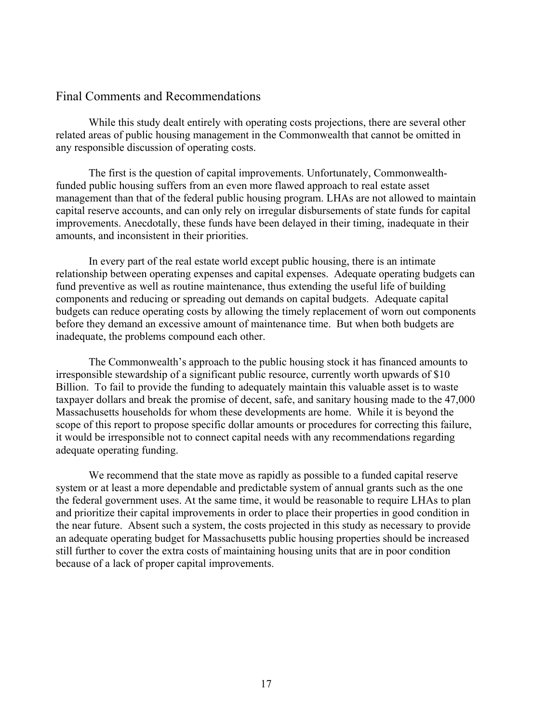### Final Comments and Recommendations

 While this study dealt entirely with operating costs projections, there are several other related areas of public housing management in the Commonwealth that cannot be omitted in any responsible discussion of operating costs.

 The first is the question of capital improvements. Unfortunately, Commonwealthfunded public housing suffers from an even more flawed approach to real estate asset management than that of the federal public housing program. LHAs are not allowed to maintain capital reserve accounts, and can only rely on irregular disbursements of state funds for capital improvements. Anecdotally, these funds have been delayed in their timing, inadequate in their amounts, and inconsistent in their priorities.

In every part of the real estate world except public housing, there is an intimate relationship between operating expenses and capital expenses. Adequate operating budgets can fund preventive as well as routine maintenance, thus extending the useful life of building components and reducing or spreading out demands on capital budgets. Adequate capital budgets can reduce operating costs by allowing the timely replacement of worn out components before they demand an excessive amount of maintenance time. But when both budgets are inadequate, the problems compound each other.

The Commonwealth's approach to the public housing stock it has financed amounts to irresponsible stewardship of a significant public resource, currently worth upwards of \$10 Billion. To fail to provide the funding to adequately maintain this valuable asset is to waste taxpayer dollars and break the promise of decent, safe, and sanitary housing made to the 47,000 Massachusetts households for whom these developments are home. While it is beyond the scope of this report to propose specific dollar amounts or procedures for correcting this failure, it would be irresponsible not to connect capital needs with any recommendations regarding adequate operating funding.

We recommend that the state move as rapidly as possible to a funded capital reserve system or at least a more dependable and predictable system of annual grants such as the one the federal government uses. At the same time, it would be reasonable to require LHAs to plan and prioritize their capital improvements in order to place their properties in good condition in the near future. Absent such a system, the costs projected in this study as necessary to provide an adequate operating budget for Massachusetts public housing properties should be increased still further to cover the extra costs of maintaining housing units that are in poor condition because of a lack of proper capital improvements.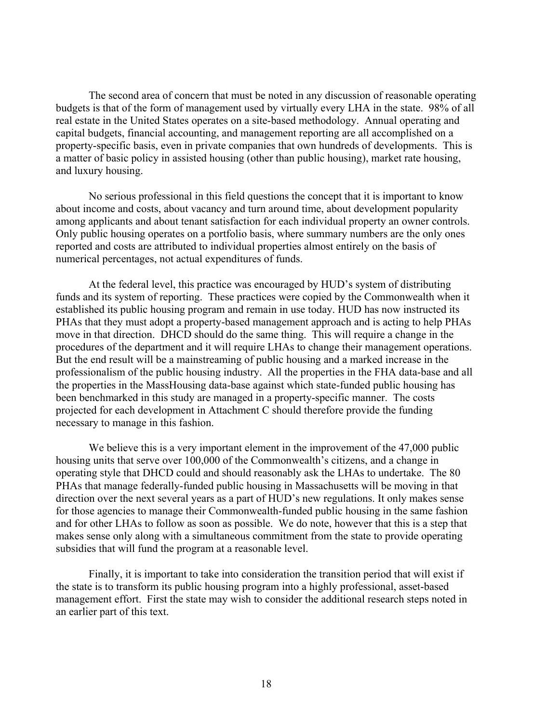The second area of concern that must be noted in any discussion of reasonable operating budgets is that of the form of management used by virtually every LHA in the state. 98% of all real estate in the United States operates on a site-based methodology. Annual operating and capital budgets, financial accounting, and management reporting are all accomplished on a property-specific basis, even in private companies that own hundreds of developments. This is a matter of basic policy in assisted housing (other than public housing), market rate housing, and luxury housing.

 No serious professional in this field questions the concept that it is important to know about income and costs, about vacancy and turn around time, about development popularity among applicants and about tenant satisfaction for each individual property an owner controls. Only public housing operates on a portfolio basis, where summary numbers are the only ones reported and costs are attributed to individual properties almost entirely on the basis of numerical percentages, not actual expenditures of funds.

At the federal level, this practice was encouraged by HUD's system of distributing funds and its system of reporting. These practices were copied by the Commonwealth when it established its public housing program and remain in use today. HUD has now instructed its PHAs that they must adopt a property-based management approach and is acting to help PHAs move in that direction. DHCD should do the same thing. This will require a change in the procedures of the department and it will require LHAs to change their management operations. But the end result will be a mainstreaming of public housing and a marked increase in the professionalism of the public housing industry. All the properties in the FHA data-base and all the properties in the MassHousing data-base against which state-funded public housing has been benchmarked in this study are managed in a property-specific manner. The costs projected for each development in Attachment C should therefore provide the funding necessary to manage in this fashion.

We believe this is a very important element in the improvement of the 47,000 public housing units that serve over 100,000 of the Commonwealth's citizens, and a change in operating style that DHCD could and should reasonably ask the LHAs to undertake. The 80 PHAs that manage federally-funded public housing in Massachusetts will be moving in that direction over the next several years as a part of HUD's new regulations. It only makes sense for those agencies to manage their Commonwealth-funded public housing in the same fashion and for other LHAs to follow as soon as possible. We do note, however that this is a step that makes sense only along with a simultaneous commitment from the state to provide operating subsidies that will fund the program at a reasonable level.

Finally, it is important to take into consideration the transition period that will exist if the state is to transform its public housing program into a highly professional, asset-based management effort. First the state may wish to consider the additional research steps noted in an earlier part of this text.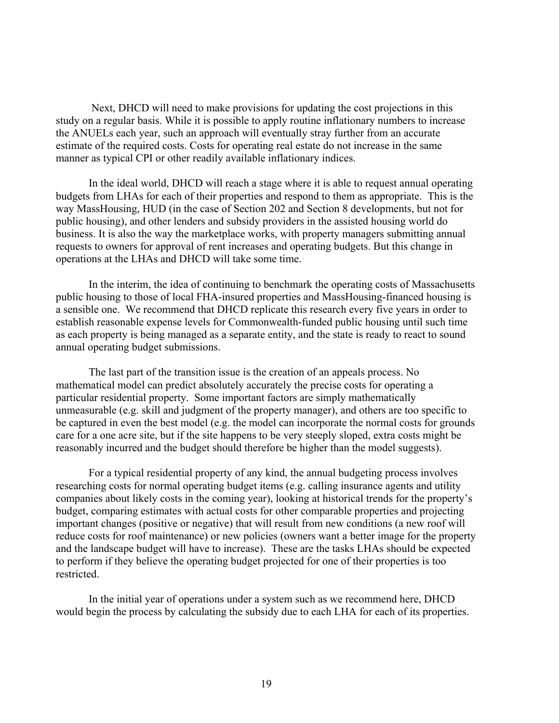Next, DHCD will need to make provisions for updating the cost projections in this study on a regular basis. While it is possible to apply routine inflationary numbers to increase the ANUELs each year, such an approach will eventually stray further from an accurate estimate of the required costs. Costs for operating real estate do not increase in the same manner as typical CPI or other readily available inflationary indices.

In the ideal world, DHCD will reach a stage where it is able to request annual operating budgets from LHAs for each of their properties and respond to them as appropriate. This is the way MassHousing, HUD (in the case of Section 202 and Section 8 developments, but not for public housing), and other lenders and subsidy providers in the assisted housing world do business. It is also the way the marketplace works, with property managers submitting annual requests to owners for approval of rent increases and operating budgets. But this change in operations at the LHAs and DHCD will take some time.

In the interim, the idea of continuing to benchmark the operating costs of Massachusetts public housing to those of local FHA-insured properties and MassHousing-financed housing is a sensible one. We recommend that DHCD replicate this research every five years in order to establish reasonable expense levels for Commonwealth-funded public housing until such time as each property is being managed as a separate entity, and the state is ready to react to sound annual operating budget submissions.

The last part of the transition issue is the creation of an appeals process. No mathematical model can predict absolutely accurately the precise costs for operating a particular residential property. Some important factors are simply mathematically unmeasurable (e.g. skill and judgment of the property manager), and others are too specific to be captured in even the best model (e.g. the model can incorporate the normal costs for grounds care for a one acre site, but if the site happens to be very steeply sloped, extra costs might be reasonably incurred and the budget should therefore be higher than the model suggests).

For a typical residential property of any kind, the annual budgeting process involves researching costs for normal operating budget items (e.g. calling insurance agents and utility companies about likely costs in the coming year), looking at historical trends for the property's budget, comparing estimates with actual costs for other comparable properties and projecting important changes (positive or negative) that will result from new conditions (a new roof will reduce costs for roof maintenance) or new policies (owners want a better image for the property and the landscape budget will have to increase). These are the tasks LHAs should be expected to perform if they believe the operating budget projected for one of their properties is too restricted.

In the initial year of operations under a system such as we recommend here, DHCD would begin the process by calculating the subsidy due to each LHA for each of its properties.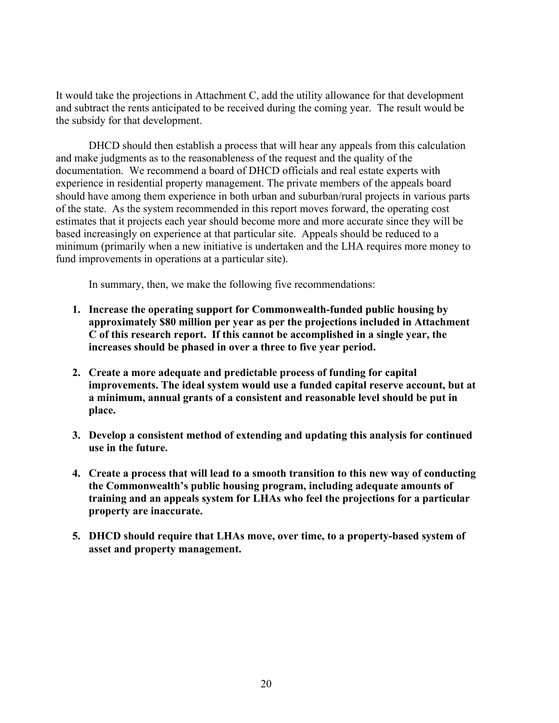It would take the projections in Attachment C, add the utility allowance for that development and subtract the rents anticipated to be received during the coming year. The result would be the subsidy for that development.

DHCD should then establish a process that will hear any appeals from this calculation and make judgments as to the reasonableness of the request and the quality of the documentation. We recommend a board of DHCD officials and real estate experts with experience in residential property management. The private members of the appeals board should have among them experience in both urban and suburban/rural projects in various parts of the state. As the system recommended in this report moves forward, the operating cost estimates that it projects each year should become more and more accurate since they will be based increasingly on experience at that particular site. Appeals should be reduced to a minimum (primarily when a new initiative is undertaken and the LHA requires more money to fund improvements in operations at a particular site).

In summary, then, we make the following five recommendations:

- **1. Increase the operating support for Commonwealth-funded public housing by approximately \$80 million per year as per the projections included in Attachment C of this research report. If this cannot be accomplished in a single year, the increases should be phased in over a three to five year period.**
- **2. Create a more adequate and predictable process of funding for capital improvements. The ideal system would use a funded capital reserve account, but at a minimum, annual grants of a consistent and reasonable level should be put in place.**
- **3. Develop a consistent method of extending and updating this analysis for continued use in the future.**
- **4. Create a process that will lead to a smooth transition to this new way of conducting the Commonwealth's public housing program, including adequate amounts of training and an appeals system for LHAs who feel the projections for a particular property are inaccurate.**
- **5. DHCD should require that LHAs move, over time, to a property-based system of asset and property management.**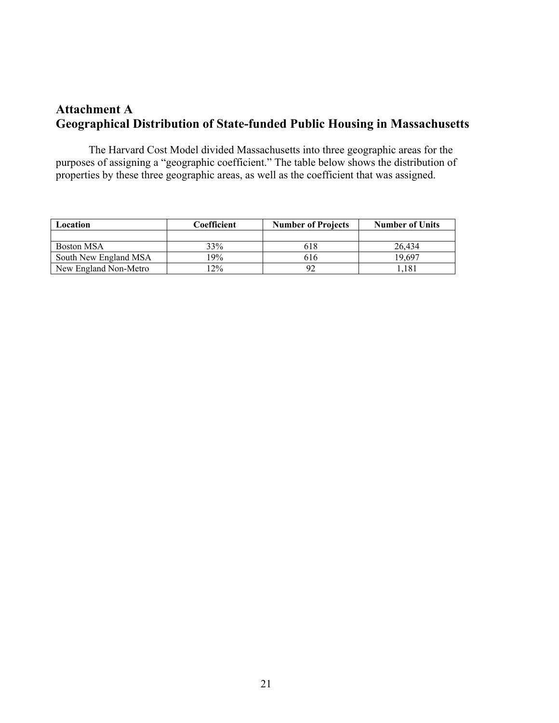# **Attachment A Geographical Distribution of State-funded Public Housing in Massachusetts**

The Harvard Cost Model divided Massachusetts into three geographic areas for the purposes of assigning a "geographic coefficient." The table below shows the distribution of properties by these three geographic areas, as well as the coefficient that was assigned.

| Location              | Coefficient | <b>Number of Projects</b> | <b>Number of Units</b> |
|-----------------------|-------------|---------------------------|------------------------|
|                       |             |                           |                        |
| Boston MSA            | 33%         | 618                       | 26.434                 |
| South New England MSA | 19%         | 616                       | 19.697                 |
| New England Non-Metro | $12\%$      |                           | .181                   |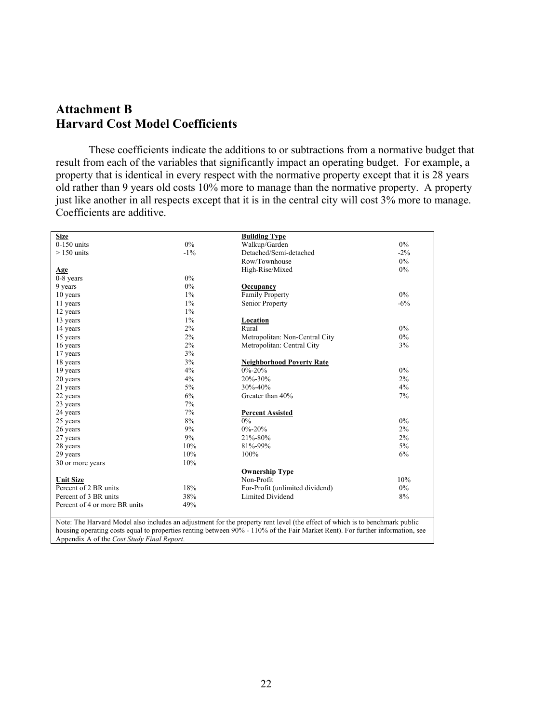# **Attachment B Harvard Cost Model Coefficients**

 These coefficients indicate the additions to or subtractions from a normative budget that result from each of the variables that significantly impact an operating budget. For example, a property that is identical in every respect with the normative property except that it is 28 years old rather than 9 years old costs 10% more to manage than the normative property. A property just like another in all respects except that it is in the central city will cost 3% more to manage. Coefficients are additive.

| <b>Size</b>                   |        | <b>Building Type</b>                                                                                                          |        |
|-------------------------------|--------|-------------------------------------------------------------------------------------------------------------------------------|--------|
| $0-150$ units                 | $0\%$  | Walkup/Garden                                                                                                                 | $0\%$  |
| $>150$ units                  | $-1\%$ | Detached/Semi-detached                                                                                                        | $-2\%$ |
|                               |        | Row/Townhouse                                                                                                                 | $0\%$  |
| Age                           |        | High-Rise/Mixed                                                                                                               | 0%     |
| $0-8$ years                   | $0\%$  |                                                                                                                               |        |
| 9 years                       | $0\%$  | Occupancy                                                                                                                     |        |
| 10 years                      | $1\%$  | Family Property                                                                                                               | $0\%$  |
| 11 years                      | $1\%$  | Senior Property                                                                                                               | $-6%$  |
| 12 years                      | $1\%$  |                                                                                                                               |        |
| 13 years                      | $1\%$  | <b>Location</b>                                                                                                               |        |
| 14 years                      | 2%     | Rural                                                                                                                         | $0\%$  |
| 15 years                      | 2%     | Metropolitan: Non-Central City                                                                                                | $0\%$  |
| 16 years                      | 2%     | Metropolitan: Central City                                                                                                    | 3%     |
| 17 years                      | 3%     |                                                                                                                               |        |
| 18 years                      | 3%     | <b>Neighborhood Poverty Rate</b>                                                                                              |        |
| 19 years                      | 4%     | $0\% - 20\%$                                                                                                                  | $0\%$  |
| 20 years                      | 4%     | 20%-30%                                                                                                                       | $2\%$  |
| 21 years                      | $5\%$  | 30%-40%                                                                                                                       | 4%     |
| 22 years                      | 6%     | Greater than 40%                                                                                                              | 7%     |
| 23 years                      | 7%     |                                                                                                                               |        |
| 24 years                      | 7%     | <b>Percent Assisted</b>                                                                                                       |        |
| 25 years                      | 8%     | $0\%$                                                                                                                         | $0\%$  |
| 26 years                      | 9%     | $0\% - 20\%$                                                                                                                  | 2%     |
| 27 years                      | 9%     | 21%-80%                                                                                                                       | 2%     |
| 28 years                      | 10%    | 81%-99%                                                                                                                       | $5\%$  |
| 29 years                      | 10%    | 100%                                                                                                                          | 6%     |
| 30 or more years              | 10%    |                                                                                                                               |        |
|                               |        | <b>Ownership Type</b>                                                                                                         |        |
| <b>Unit Size</b>              |        | Non-Profit                                                                                                                    | 10%    |
| Percent of 2 BR units         | 18%    | For-Profit (unlimited dividend)                                                                                               | $0\%$  |
| Percent of 3 BR units         | 38%    | Limited Dividend                                                                                                              | 8%     |
| Percent of 4 or more BR units | 49%    |                                                                                                                               |        |
|                               |        |                                                                                                                               |        |
|                               |        | Note: The Harvard Model also includes an adjustment for the property rent level (the effect of which is to benchmark public   |        |
|                               |        | housing operating costs equal to properties renting between 90% - 110% of the Fair Market Rent). For further information, see |        |

Appendix A of the *Cost Study Final Report*.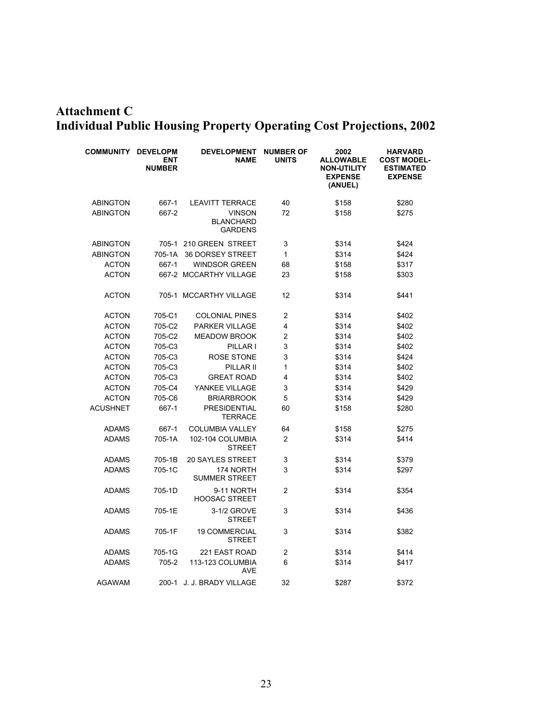# **Attachment C Individual Public Housing Property Operating Cost Projections, 2002**

| <b>COMMUNITY</b> | <b>DEVELOPM</b><br>ENT<br><b>NUMBER</b> | <b>DEVELOPMENT</b><br><b>NAME</b>                   | <b>NUMBER OF</b><br><b>UNITS</b> | 2002<br><b>ALLOWABLE</b><br><b>NON-UTILITY</b><br><b>EXPENSE</b><br>(ANUEL) | <b>HARVARD</b><br><b>COST MODEL-</b><br><b>ESTIMATED</b><br><b>EXPENSE</b> |
|------------------|-----------------------------------------|-----------------------------------------------------|----------------------------------|-----------------------------------------------------------------------------|----------------------------------------------------------------------------|
| <b>ABINGTON</b>  | 667-1                                   | <b>LEAVITT TERRACE</b>                              | 40                               | \$158                                                                       | \$280                                                                      |
| <b>ABINGTON</b>  | 667-2                                   | <b>VINSON</b><br><b>BLANCHARD</b><br><b>GARDENS</b> | 72                               | \$158                                                                       | \$275                                                                      |
| <b>ABINGTON</b>  |                                         | 705-1 210 GREEN STREET                              | 3                                | \$314                                                                       | \$424                                                                      |
| <b>ABINGTON</b>  | 705-1A                                  | <b>36 DORSEY STREET</b>                             | 1                                | \$314                                                                       | \$424                                                                      |
| <b>ACTON</b>     | 667-1                                   | <b>WINDSOR GREEN</b>                                | 68                               | \$158                                                                       | \$317                                                                      |
| <b>ACTON</b>     |                                         | 667-2 MCCARTHY VILLAGE                              | 23                               | \$158                                                                       | \$303                                                                      |
| <b>ACTON</b>     |                                         | 705-1 MCCARTHY VILLAGE                              | 12                               | \$314                                                                       | \$441                                                                      |
| <b>ACTON</b>     | 705-C1                                  | <b>COLONIAL PINES</b>                               | $\overline{2}$                   | \$314                                                                       | \$402                                                                      |
| <b>ACTON</b>     | 705-C2                                  | PARKER VILLAGE                                      | 4                                | \$314                                                                       | \$402                                                                      |
| <b>ACTON</b>     | 705-C2                                  | <b>MEADOW BROOK</b>                                 | 2                                | \$314                                                                       | \$402                                                                      |
| <b>ACTON</b>     | 705-C3                                  | PILLAR I                                            | 3                                | \$314                                                                       | \$402                                                                      |
| <b>ACTON</b>     | 705-C3                                  | ROSE STONE                                          | 3                                | \$314                                                                       | \$424                                                                      |
| <b>ACTON</b>     | 705-C3                                  | PILLAR II                                           | 1                                | \$314                                                                       | \$402                                                                      |
| <b>ACTON</b>     | 705-C3                                  | <b>GREAT ROAD</b>                                   | 4                                | \$314                                                                       | \$402                                                                      |
| <b>ACTON</b>     | 705-C4                                  | YANKEE VILLAGE                                      | 3                                | \$314                                                                       | \$429                                                                      |
| <b>ACTON</b>     | 705-C6                                  | <b>BRIARBROOK</b>                                   | 5                                | \$314                                                                       | \$429                                                                      |
| <b>ACUSHNET</b>  | 667-1                                   | <b>PRESIDENTIAL</b><br>TERRACE                      | 60                               | \$158                                                                       | \$280                                                                      |
| <b>ADAMS</b>     | 667-1                                   | <b>COLUMBIA VALLEY</b>                              | 64                               | \$158                                                                       | \$275                                                                      |
| <b>ADAMS</b>     | 705-1A                                  | 102-104 COLUMBIA<br>STREET                          | $\overline{2}$                   | \$314                                                                       | \$414                                                                      |
| <b>ADAMS</b>     | 705-1B                                  | <b>20 SAYLES STREET</b>                             | 3                                | \$314                                                                       | \$379                                                                      |
| <b>ADAMS</b>     | 705-1C                                  | 174 NORTH<br><b>SUMMER STREET</b>                   | 3                                | \$314                                                                       | \$297                                                                      |
| <b>ADAMS</b>     | 705-1D                                  | 9-11 NORTH<br><b>HOOSAC STREET</b>                  | $\overline{2}$                   | \$314                                                                       | \$354                                                                      |
| <b>ADAMS</b>     | 705-1E                                  | 3-1/2 GROVE<br><b>STREET</b>                        | 3                                | \$314                                                                       | \$436                                                                      |
| <b>ADAMS</b>     | 705-1F                                  | <b>19 COMMERCIAL</b><br><b>STREET</b>               | 3                                | \$314                                                                       | \$382                                                                      |
| <b>ADAMS</b>     | 705-1G                                  | 221 EAST ROAD                                       | 2                                | \$314                                                                       | \$414                                                                      |
| <b>ADAMS</b>     | 705-2                                   | 113-123 COLUMBIA<br>AVE                             | 6                                | \$314                                                                       | \$417                                                                      |
| <b>AGAWAM</b>    | 200-1                                   | J. J. BRADY VILLAGE                                 | 32                               | \$287                                                                       | \$372                                                                      |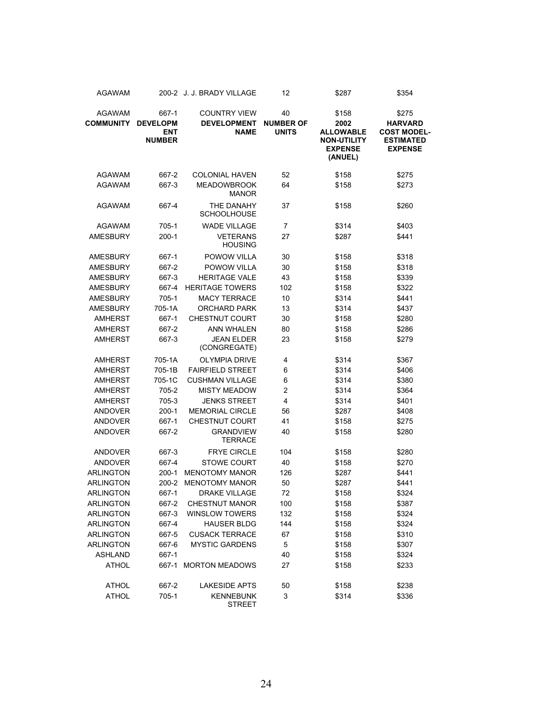| <b>AGAWAM</b>    |                               | 200-2 J. J. BRADY VILLAGE          | 12                               | \$287                                           | \$354                                |
|------------------|-------------------------------|------------------------------------|----------------------------------|-------------------------------------------------|--------------------------------------|
| <b>AGAWAM</b>    | 667-1                         | <b>COUNTRY VIEW</b>                | 40                               | \$158                                           | \$275                                |
| <b>COMMUNITY</b> | <b>DEVELOPM</b><br><b>ENT</b> | <b>DEVELOPMENT</b><br><b>NAME</b>  | <b>NUMBER OF</b><br><b>UNITS</b> | 2002<br><b>ALLOWABLE</b>                        | <b>HARVARD</b><br><b>COST MODEL-</b> |
|                  | <b>NUMBER</b>                 |                                    |                                  | <b>NON-UTILITY</b><br><b>EXPENSE</b><br>(ANUEL) | <b>ESTIMATED</b><br><b>EXPENSE</b>   |
| <b>AGAWAM</b>    | 667-2                         | <b>COLONIAL HAVEN</b>              | 52                               | \$158                                           | \$275                                |
| <b>AGAWAM</b>    | 667-3                         | <b>MEADOWBROOK</b><br><b>MANOR</b> | 64                               | \$158                                           | \$273                                |
| <b>AGAWAM</b>    | 667-4                         | THE DANAHY<br><b>SCHOOLHOUSE</b>   | 37                               | \$158                                           | \$260                                |
| <b>AGAWAM</b>    | 705-1                         | <b>WADE VILLAGE</b>                | 7                                | \$314                                           | \$403                                |
| <b>AMESBURY</b>  | $200-1$                       | <b>VETERANS</b><br><b>HOUSING</b>  | 27                               | \$287                                           | \$441                                |
| <b>AMESBURY</b>  | 667-1                         | POWOW VILLA                        | 30                               | \$158                                           | \$318                                |
| <b>AMESBURY</b>  | 667-2                         | POWOW VILLA                        | 30                               | \$158                                           | \$318                                |
| <b>AMESBURY</b>  | 667-3                         | <b>HERITAGE VALE</b>               | 43                               | \$158                                           | \$339                                |
| <b>AMESBURY</b>  | 667-4                         | <b>HERITAGE TOWERS</b>             | 102                              | \$158                                           | \$322                                |
| <b>AMESBURY</b>  | 705-1                         | <b>MACY TERRACE</b>                | 10                               | \$314                                           | \$441                                |
| <b>AMESBURY</b>  | 705-1A                        | <b>ORCHARD PARK</b>                | 13                               | \$314                                           | \$437                                |
| <b>AMHERST</b>   | 667-1                         | <b>CHESTNUT COURT</b>              | 30                               | \$158                                           | \$280                                |
| <b>AMHERST</b>   | 667-2                         | <b>ANN WHALEN</b>                  | 80                               | \$158                                           | \$286                                |
| <b>AMHERST</b>   | 667-3                         | <b>JEAN ELDER</b><br>(CONGREGATE)  | 23                               | \$158                                           | \$279                                |
| <b>AMHERST</b>   | 705-1A                        | <b>OLYMPIA DRIVE</b>               | 4                                | \$314                                           | \$367                                |
| <b>AMHERST</b>   | 705-1B                        | <b>FAIRFIELD STREET</b>            | 6                                | \$314                                           | \$406                                |
| <b>AMHERST</b>   | 705-1C                        | <b>CUSHMAN VILLAGE</b>             | 6                                | \$314                                           | \$380                                |
| <b>AMHERST</b>   | 705-2                         | <b>MISTY MEADOW</b>                | 2                                | \$314                                           | \$364                                |
| <b>AMHERST</b>   | 705-3                         | <b>JENKS STREET</b>                | 4                                | \$314                                           | \$401                                |
| <b>ANDOVER</b>   | 200-1                         | MEMORIAL CIRCLE                    | 56                               | \$287                                           | \$408                                |
| <b>ANDOVER</b>   | 667-1                         | <b>CHESTNUT COURT</b>              | 41                               | \$158                                           | \$275                                |
| <b>ANDOVER</b>   | 667-2                         | <b>GRANDVIEW</b><br>TERRACE        | 40                               | \$158                                           | \$280                                |
| <b>ANDOVER</b>   | 667-3                         | <b>FRYE CIRCLE</b>                 | 104                              | \$158                                           | \$280                                |
| <b>ANDOVER</b>   | 667-4                         | <b>STOWE COURT</b>                 | 40                               | \$158                                           | \$270                                |
| <b>ARLINGTON</b> | $200-1$                       | <b>MENOTOMY MANOR</b>              | 126                              | \$287                                           | \$441                                |
| <b>ARLINGTON</b> | 200-2                         | <b>MENOTOMY MANOR</b>              | 50                               | \$287                                           | \$441                                |
| <b>ARLINGTON</b> | 667-1                         | <b>DRAKE VILLAGE</b>               | 72                               | \$158                                           | \$324                                |
| <b>ARLINGTON</b> | 667-2                         | <b>CHESTNUT MANOR</b>              | 100                              | \$158                                           | \$387                                |
| <b>ARLINGTON</b> | 667-3                         | <b>WINSLOW TOWERS</b>              | 132                              | \$158                                           | \$324                                |
| <b>ARLINGTON</b> | 667-4                         | <b>HAUSER BLDG</b>                 | 144                              | \$158                                           | \$324                                |
| <b>ARLINGTON</b> | 667-5                         | <b>CUSACK TERRACE</b>              | 67                               | \$158                                           | \$310                                |
| <b>ARLINGTON</b> | 667-6                         | <b>MYSTIC GARDENS</b>              | 5                                | \$158                                           | \$307                                |
| <b>ASHLAND</b>   | 667-1                         |                                    | 40                               | \$158                                           | \$324                                |
| <b>ATHOL</b>     |                               | 667-1 MORTON MEADOWS               | 27                               | \$158                                           | \$233                                |
| <b>ATHOL</b>     | 667-2                         | <b>LAKESIDE APTS</b>               | 50                               | \$158                                           | \$238                                |
| <b>ATHOL</b>     | 705-1                         | <b>KENNEBUNK</b><br><b>STREET</b>  | 3                                | \$314                                           | \$336                                |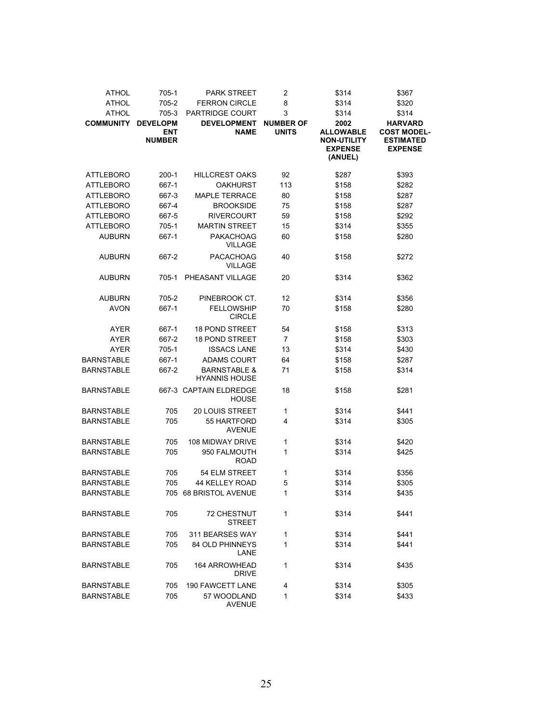| <b>ATHOL</b>      | 705-1                       | <b>PARK STREET</b>                              | $\overline{c}$   | \$314                                                               | \$367                                                    |
|-------------------|-----------------------------|-------------------------------------------------|------------------|---------------------------------------------------------------------|----------------------------------------------------------|
| <b>ATHOL</b>      | 705-2                       | <b>FERRON CIRCLE</b>                            | 8                | \$314                                                               | \$320                                                    |
| <b>ATHOL</b>      | 705-3                       | PARTRIDGE COURT                                 | 3                | \$314                                                               | \$314                                                    |
| <b>COMMUNITY</b>  | <b>DEVELOPM</b>             | <b>DEVELOPMENT</b>                              | <b>NUMBER OF</b> | 2002                                                                | <b>HARVARD</b>                                           |
|                   | <b>ENT</b><br><b>NUMBER</b> | <b>NAME</b>                                     | <b>UNITS</b>     | <b>ALLOWABLE</b><br><b>NON-UTILITY</b><br><b>EXPENSE</b><br>(ANUEL) | <b>COST MODEL-</b><br><b>ESTIMATED</b><br><b>EXPENSE</b> |
| ATTLEBORO         | $200-1$                     | <b>HILLCREST OAKS</b>                           | 92               | \$287                                                               | \$393                                                    |
| ATTLEBORO         | 667-1                       | <b>OAKHURST</b>                                 | 113              | \$158                                                               | \$282                                                    |
| <b>ATTLEBORO</b>  | 667-3                       | <b>MAPLE TERRACE</b>                            | 80               | \$158                                                               | \$287                                                    |
| ATTLEBORO         | 667-4                       | <b>BROOKSIDE</b>                                | 75               | \$158                                                               | \$287                                                    |
| <b>ATTLEBORO</b>  | 667-5                       | <b>RIVERCOURT</b>                               | 59               | \$158                                                               | \$292                                                    |
| <b>ATTLEBORO</b>  | $705 - 1$                   | <b>MARTIN STREET</b>                            | 15               | \$314                                                               | \$355                                                    |
| <b>AUBURN</b>     | 667-1                       | <b>PAKACHOAG</b><br><b>VILLAGE</b>              | 60               | \$158                                                               | \$280                                                    |
| <b>AUBURN</b>     | 667-2                       | <b>PACACHOAG</b><br><b>VILLAGE</b>              | 40               | \$158                                                               | \$272                                                    |
| <b>AUBURN</b>     | 705-1                       | PHEASANT VILLAGE                                | 20               | \$314                                                               | \$362                                                    |
| <b>AUBURN</b>     | 705-2                       | PINEBROOK CT.                                   | 12               | \$314                                                               | \$356                                                    |
| <b>AVON</b>       | 667-1                       | <b>FELLOWSHIP</b><br><b>CIRCLE</b>              | 70               | \$158                                                               | \$280                                                    |
| <b>AYER</b>       | 667-1                       | <b>18 POND STREET</b>                           | 54               | \$158                                                               | \$313                                                    |
| <b>AYER</b>       | 667-2                       | <b>18 POND STREET</b>                           | 7                | \$158                                                               | \$303                                                    |
| <b>AYER</b>       | 705-1                       | <b>ISSACS LANE</b>                              | 13               | \$314                                                               | \$430                                                    |
| <b>BARNSTABLE</b> | 667-1                       | <b>ADAMS COURT</b>                              | 64               | \$158                                                               | \$287                                                    |
| <b>BARNSTABLE</b> | 667-2                       | <b>BARNSTABLE &amp;</b><br><b>HYANNIS HOUSE</b> | 71               | \$158                                                               | \$314                                                    |
| <b>BARNSTABLE</b> |                             | 667-3 CAPTAIN ELDREDGE<br><b>HOUSE</b>          | 18               | \$158                                                               | \$281                                                    |
| <b>BARNSTABLE</b> | 705                         | <b>20 LOUIS STREET</b>                          | 1                | \$314                                                               | \$441                                                    |
| <b>BARNSTABLE</b> | 705                         | 55 HARTFORD<br><b>AVENUE</b>                    | 4                | \$314                                                               | \$305                                                    |
| <b>BARNSTABLE</b> | 705                         | 108 MIDWAY DRIVE                                | 1                | \$314                                                               | \$420                                                    |
| <b>BARNSTABLE</b> | 705                         | 950 FALMOUTH<br><b>ROAD</b>                     | 1                | \$314                                                               | \$425                                                    |
| <b>BARNSTABLE</b> | 705                         | 54 ELM STREET                                   | 1                | \$314                                                               | \$356                                                    |
| <b>BARNSTABLE</b> | 705                         | 44 KELLEY ROAD                                  | 5                | \$314                                                               | \$305                                                    |
| <b>BARNSTABLE</b> | 705                         | <b>68 BRISTOL AVENUE</b>                        | 1                | \$314                                                               | \$435                                                    |
| <b>BARNSTABLE</b> | 705                         | <b>72 CHESTNUT</b><br><b>STREET</b>             | 1                | \$314                                                               | \$441                                                    |
| <b>BARNSTABLE</b> | 705                         | 311 BEARSES WAY                                 | 1                | \$314                                                               | \$441                                                    |
| <b>BARNSTABLE</b> | 705                         | <b>84 OLD PHINNEYS</b><br>LANE                  | 1                | \$314                                                               | \$441                                                    |
| BARNSTABLE        | 705                         | <b>164 ARROWHEAD</b><br><b>DRIVE</b>            | 1                | \$314                                                               | \$435                                                    |
| BARNSTABLE        | 705                         | <b>190 FAWCETT LANE</b>                         | 4                | \$314                                                               | \$305                                                    |
| <b>BARNSTABLE</b> | 705                         | 57 WOODLAND<br><b>AVENUE</b>                    | 1                | \$314                                                               | \$433                                                    |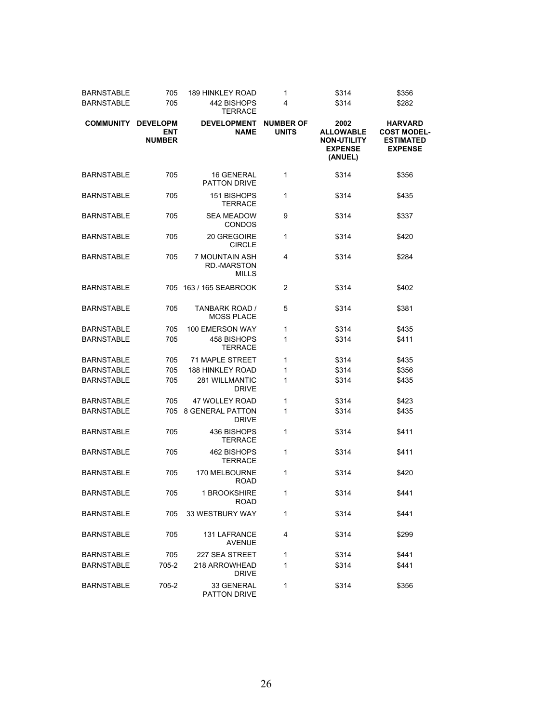| <b>BARNSTABLE</b> | 705                                            | <b>189 HINKLEY ROAD</b>                                     | 1                                | \$314                                                                       | \$356                                                                      |
|-------------------|------------------------------------------------|-------------------------------------------------------------|----------------------------------|-----------------------------------------------------------------------------|----------------------------------------------------------------------------|
| <b>BARNSTABLE</b> | 705                                            | 442 BISHOPS<br><b>TERRACE</b>                               | 4                                | \$314                                                                       | \$282                                                                      |
| <b>COMMUNITY</b>  | <b>DEVELOPM</b><br><b>ENT</b><br><b>NUMBER</b> | <b>DEVELOPMENT</b><br><b>NAME</b>                           | <b>NUMBER OF</b><br><b>UNITS</b> | 2002<br><b>ALLOWABLE</b><br><b>NON-UTILITY</b><br><b>EXPENSE</b><br>(ANUEL) | <b>HARVARD</b><br><b>COST MODEL-</b><br><b>ESTIMATED</b><br><b>EXPENSE</b> |
| <b>BARNSTABLE</b> | 705                                            | <b>16 GENERAL</b><br><b>PATTON DRIVE</b>                    | 1                                | \$314                                                                       | \$356                                                                      |
| <b>BARNSTABLE</b> | 705                                            | 151 BISHOPS<br><b>TERRACE</b>                               | 1                                | \$314                                                                       | \$435                                                                      |
| BARNSTABLE        | 705                                            | <b>SEA MEADOW</b><br><b>CONDOS</b>                          | 9                                | \$314                                                                       | \$337                                                                      |
| <b>BARNSTABLE</b> | 705                                            | 20 GREGOIRE<br><b>CIRCLE</b>                                | 1                                | \$314                                                                       | \$420                                                                      |
| BARNSTABLE        | 705                                            | <b>7 MOUNTAIN ASH</b><br><b>RD.-MARSTON</b><br><b>MILLS</b> | 4                                | \$314                                                                       | \$284                                                                      |
| <b>BARNSTABLE</b> |                                                | 705 163 / 165 SEABROOK                                      | $\overline{2}$                   | \$314                                                                       | \$402                                                                      |
| <b>BARNSTABLE</b> | 705                                            | TANBARK ROAD /<br><b>MOSS PLACE</b>                         | 5                                | \$314                                                                       | \$381                                                                      |
| <b>BARNSTABLE</b> | 705                                            | <b>100 EMERSON WAY</b>                                      | 1                                | \$314                                                                       | \$435                                                                      |
| <b>BARNSTABLE</b> | 705                                            | 458 BISHOPS<br><b>TERRACE</b>                               | 1                                | \$314                                                                       | \$411                                                                      |
| <b>BARNSTABLE</b> | 705                                            | <b>71 MAPLE STREET</b>                                      | 1                                | \$314                                                                       | \$435                                                                      |
| <b>BARNSTABLE</b> | 705                                            | <b>188 HINKLEY ROAD</b>                                     | 1                                | \$314                                                                       | \$356                                                                      |
| <b>BARNSTABLE</b> | 705                                            | <b>281 WILLMANTIC</b><br><b>DRIVE</b>                       | 1                                | \$314                                                                       | \$435                                                                      |
| <b>BARNSTABLE</b> | 705                                            | <b>47 WOLLEY ROAD</b>                                       | 1                                | \$314                                                                       | \$423                                                                      |
| <b>BARNSTABLE</b> | 705                                            | <b>8 GENERAL PATTON</b><br><b>DRIVE</b>                     | 1                                | \$314                                                                       | \$435                                                                      |
| BARNSTABLE        | 705                                            | 436 BISHOPS<br><b>TERRACE</b>                               | 1                                | \$314                                                                       | \$411                                                                      |
| BARNSTABLE        | 705                                            | 462 BISHOPS<br><b>TERRACE</b>                               | 1                                | \$314                                                                       | \$411                                                                      |
| <b>BARNSTABLE</b> | 705                                            | 170 MELBOURNE<br><b>ROAD</b>                                | 1                                | \$314                                                                       | \$420                                                                      |
| <b>BARNSTABLE</b> | 705                                            | 1 BROOKSHIRE<br><b>ROAD</b>                                 | 1                                | \$314                                                                       | \$441                                                                      |
| BARNSTABLE        | 705                                            | 33 WESTBURY WAY                                             | 1                                | \$314                                                                       | \$441                                                                      |
| BARNSTABLE        | 705                                            | <b>131 LAFRANCE</b><br><b>AVENUE</b>                        | 4                                | \$314                                                                       | \$299                                                                      |
| BARNSTABLE        | 705                                            | 227 SEA STREET                                              | 1                                | \$314                                                                       | \$441                                                                      |
| <b>BARNSTABLE</b> | 705-2                                          | 218 ARROWHEAD<br><b>DRIVE</b>                               | 1                                | \$314                                                                       | \$441                                                                      |
| BARNSTABLE        | 705-2                                          | 33 GENERAL<br>PATTON DRIVE                                  | 1                                | \$314                                                                       | \$356                                                                      |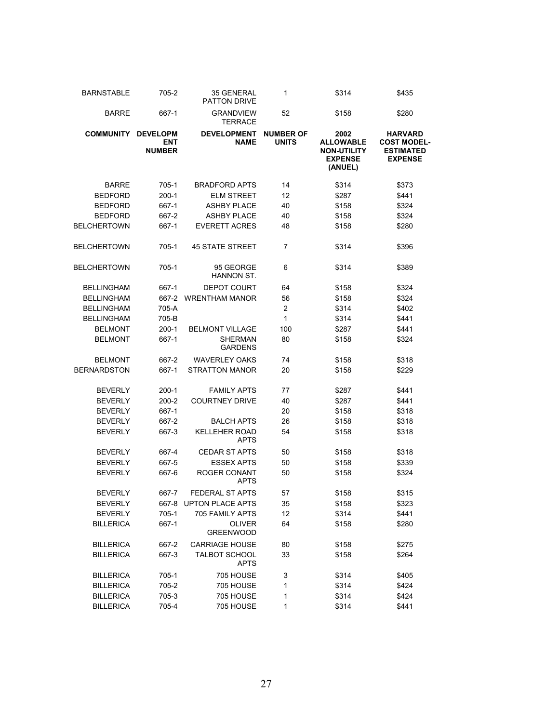| <b>BARNSTABLE</b>  | 705-2                                          | 35 GENERAL<br><b>PATTON DRIVE</b>   | 1                                | \$314                                                                       | \$435                                                                      |
|--------------------|------------------------------------------------|-------------------------------------|----------------------------------|-----------------------------------------------------------------------------|----------------------------------------------------------------------------|
| <b>BARRE</b>       | 667-1                                          | <b>GRANDVIEW</b><br><b>TERRACE</b>  | 52                               | \$158                                                                       | \$280                                                                      |
| <b>COMMUNITY</b>   | <b>DEVELOPM</b><br><b>ENT</b><br><b>NUMBER</b> | <b>DEVELOPMENT</b><br><b>NAME</b>   | <b>NUMBER OF</b><br><b>UNITS</b> | 2002<br><b>ALLOWABLE</b><br><b>NON-UTILITY</b><br><b>EXPENSE</b><br>(ANUEL) | <b>HARVARD</b><br><b>COST MODEL-</b><br><b>ESTIMATED</b><br><b>EXPENSE</b> |
| <b>BARRE</b>       | 705-1                                          | <b>BRADFORD APTS</b>                | 14                               | \$314                                                                       | \$373                                                                      |
| <b>BEDFORD</b>     | $200 - 1$                                      | <b>ELM STREET</b>                   | 12                               | \$287                                                                       | \$441                                                                      |
| <b>BEDFORD</b>     | 667-1                                          | <b>ASHBY PLACE</b>                  | 40                               | \$158                                                                       | \$324                                                                      |
| <b>BEDFORD</b>     | 667-2                                          | <b>ASHBY PLACE</b>                  | 40                               | \$158                                                                       | \$324                                                                      |
| BELCHERTOWN        | 667-1                                          | <b>EVERETT ACRES</b>                | 48                               | \$158                                                                       | \$280                                                                      |
| BELCHERTOWN        | 705-1                                          | <b>45 STATE STREET</b>              | 7                                | \$314                                                                       | \$396                                                                      |
| BELCHERTOWN        | 705-1                                          | 95 GEORGE<br>HANNON ST.             | 6                                | \$314                                                                       | \$389                                                                      |
| <b>BELLINGHAM</b>  | 667-1                                          | <b>DEPOT COURT</b>                  | 64                               | \$158                                                                       | \$324                                                                      |
| <b>BELLINGHAM</b>  | 667-2                                          | <b>WRENTHAM MANOR</b>               | 56                               | \$158                                                                       | \$324                                                                      |
| <b>BELLINGHAM</b>  | 705-A                                          |                                     | 2                                | \$314                                                                       | \$402                                                                      |
| <b>BELLINGHAM</b>  | 705-B                                          |                                     | 1                                | \$314                                                                       | \$441                                                                      |
| <b>BELMONT</b>     | $200-1$                                        | <b>BELMONT VILLAGE</b>              | 100                              | \$287                                                                       | \$441                                                                      |
| <b>BELMONT</b>     | 667-1                                          | <b>SHERMAN</b><br><b>GARDENS</b>    | 80                               | \$158                                                                       | \$324                                                                      |
| <b>BELMONT</b>     | 667-2                                          | <b>WAVERLEY OAKS</b>                | 74                               | \$158                                                                       | \$318                                                                      |
| <b>BERNARDSTON</b> | 667-1                                          | <b>STRATTON MANOR</b>               | 20                               | \$158                                                                       | \$229                                                                      |
| <b>BEVERLY</b>     | $200-1$                                        | <b>FAMILY APTS</b>                  | 77                               | \$287                                                                       | \$441                                                                      |
| <b>BEVERLY</b>     | $200 - 2$                                      | <b>COURTNEY DRIVE</b>               | 40                               | \$287                                                                       | \$441                                                                      |
| <b>BEVERLY</b>     | 667-1                                          |                                     | 20                               | \$158                                                                       | \$318                                                                      |
| <b>BEVERLY</b>     | 667-2                                          | <b>BALCH APTS</b>                   | 26                               | \$158                                                                       | \$318                                                                      |
| <b>BEVERLY</b>     | 667-3                                          | <b>KELLEHER ROAD</b><br><b>APTS</b> | 54                               | \$158                                                                       | \$318                                                                      |
| <b>BEVERLY</b>     | 667-4                                          | <b>CEDAR ST APTS</b>                | 50                               | \$158                                                                       | \$318                                                                      |
| <b>BEVERLY</b>     | 667-5                                          | <b>ESSEX APTS</b>                   | 50                               | \$158                                                                       | \$339                                                                      |
| <b>BEVERLY</b>     | 667-6                                          | ROGER CONANT<br><b>APTS</b>         | 50                               | \$158                                                                       | \$324                                                                      |
| <b>BEVERLY</b>     | 667-7                                          | <b>FEDERAL ST APTS</b>              | 57                               | \$158                                                                       | \$315                                                                      |
| <b>BEVERLY</b>     |                                                | 667-8 UPTON PLACE APTS              | 35                               | \$158                                                                       | \$323                                                                      |
| <b>BEVERLY</b>     | 705-1                                          | 705 FAMILY APTS                     | 12                               | \$314                                                                       | \$441                                                                      |
| <b>BILLERICA</b>   | 667-1                                          | <b>OLIVER</b><br><b>GREENWOOD</b>   | 64                               | \$158                                                                       | \$280                                                                      |
| <b>BILLERICA</b>   | 667-2                                          | <b>CARRIAGE HOUSE</b>               | 80                               | \$158                                                                       | \$275                                                                      |
| <b>BILLERICA</b>   | 667-3                                          | <b>TALBOT SCHOOL</b><br><b>APTS</b> | 33                               | \$158                                                                       | \$264                                                                      |
| <b>BILLERICA</b>   | 705-1                                          | 705 HOUSE                           | 3                                | \$314                                                                       | \$405                                                                      |
| <b>BILLERICA</b>   | 705-2                                          | 705 HOUSE                           | 1                                | \$314                                                                       | \$424                                                                      |
| <b>BILLERICA</b>   | 705-3                                          | 705 HOUSE                           | 1                                | \$314                                                                       | \$424                                                                      |
| <b>BILLERICA</b>   | 705-4                                          | 705 HOUSE                           | 1                                | \$314                                                                       | \$441                                                                      |
|                    |                                                |                                     |                                  |                                                                             |                                                                            |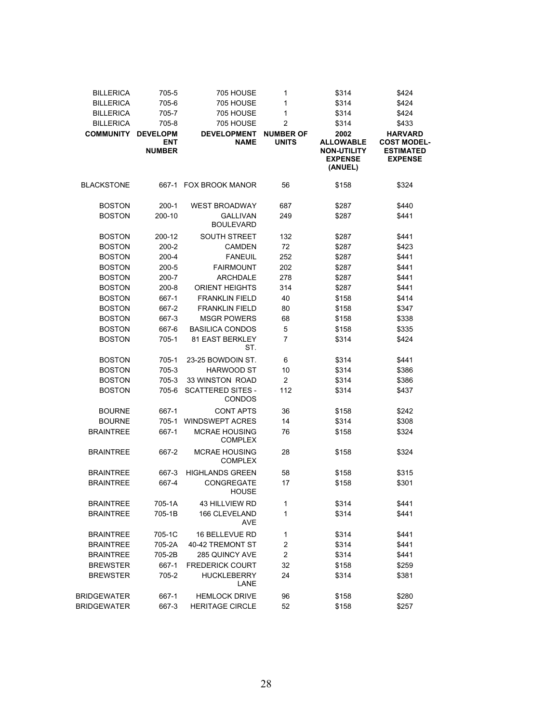| <b>BILLERICA</b>   | 705-5                                          | 705 HOUSE                                 | 1                                | \$314                                                                       | \$424                                                                      |
|--------------------|------------------------------------------------|-------------------------------------------|----------------------------------|-----------------------------------------------------------------------------|----------------------------------------------------------------------------|
| <b>BILLERICA</b>   |                                                | 705 HOUSE                                 | 1                                | \$314                                                                       |                                                                            |
|                    | 705-6                                          |                                           |                                  |                                                                             | \$424                                                                      |
| <b>BILLERICA</b>   | 705-7                                          | 705 HOUSE                                 | 1                                | \$314                                                                       | \$424                                                                      |
| <b>BILLERICA</b>   | 705-8                                          | 705 HOUSE                                 | $\overline{c}$                   | \$314                                                                       | \$433                                                                      |
| <b>COMMUNITY</b>   | <b>DEVELOPM</b><br><b>ENT</b><br><b>NUMBER</b> | <b>DEVELOPMENT</b><br><b>NAME</b>         | <b>NUMBER OF</b><br><b>UNITS</b> | 2002<br><b>ALLOWABLE</b><br><b>NON-UTILITY</b><br><b>EXPENSE</b><br>(ANUEL) | <b>HARVARD</b><br><b>COST MODEL-</b><br><b>ESTIMATED</b><br><b>EXPENSE</b> |
| <b>BLACKSTONE</b>  |                                                | 667-1 FOX BROOK MANOR                     | 56                               | \$158                                                                       | \$324                                                                      |
| <b>BOSTON</b>      | $200-1$                                        | <b>WEST BROADWAY</b>                      | 687                              | \$287                                                                       | \$440                                                                      |
| <b>BOSTON</b>      | 200-10                                         | <b>GALLIVAN</b><br><b>BOULEVARD</b>       | 249                              | \$287                                                                       | \$441                                                                      |
| <b>BOSTON</b>      | 200-12                                         | <b>SOUTH STREET</b>                       | 132                              | \$287                                                                       | \$441                                                                      |
| <b>BOSTON</b>      | $200 - 2$                                      | <b>CAMDEN</b>                             | 72                               | \$287                                                                       | \$423                                                                      |
| <b>BOSTON</b>      | $200 - 4$                                      | <b>FANEUIL</b>                            | 252                              | \$287                                                                       | \$441                                                                      |
| <b>BOSTON</b>      | $200 - 5$                                      | <b>FAIRMOUNT</b>                          | 202                              | \$287                                                                       | \$441                                                                      |
| <b>BOSTON</b>      | $200 - 7$                                      | <b>ARCHDALE</b>                           | 278                              | \$287                                                                       | \$441                                                                      |
| <b>BOSTON</b>      | $200 - 8$                                      | <b>ORIENT HEIGHTS</b>                     | 314                              | \$287                                                                       | \$441                                                                      |
| <b>BOSTON</b>      | 667-1                                          | <b>FRANKLIN FIELD</b>                     | 40                               | \$158                                                                       | \$414                                                                      |
| <b>BOSTON</b>      | 667-2                                          | <b>FRANKLIN FIELD</b>                     | 80                               | \$158                                                                       | \$347                                                                      |
| <b>BOSTON</b>      | 667-3                                          | <b>MSGR POWERS</b>                        | 68                               | \$158                                                                       | \$338                                                                      |
| <b>BOSTON</b>      | 667-6                                          | <b>BASILICA CONDOS</b>                    | 5                                | \$158                                                                       | \$335                                                                      |
| <b>BOSTON</b>      | 705-1                                          | 81 EAST BERKLEY<br>ST.                    | 7                                | \$314                                                                       | \$424                                                                      |
| <b>BOSTON</b>      | 705-1                                          | 23-25 BOWDOIN ST.                         | 6                                | \$314                                                                       | \$441                                                                      |
| <b>BOSTON</b>      | 705-3                                          | <b>HARWOOD ST</b>                         | 10                               | \$314                                                                       | \$386                                                                      |
| <b>BOSTON</b>      | 705-3                                          | 33 WINSTON ROAD                           | $\overline{2}$                   | \$314                                                                       | \$386                                                                      |
| <b>BOSTON</b>      | 705-6                                          | <b>SCATTERED SITES -</b><br><b>CONDOS</b> | 112                              | \$314                                                                       | \$437                                                                      |
| <b>BOURNE</b>      | 667-1                                          | <b>CONT APTS</b>                          | 36                               | \$158                                                                       | \$242                                                                      |
| <b>BOURNE</b>      | $705-1$                                        | <b>WINDSWEPT ACRES</b>                    | 14                               | \$314                                                                       | \$308                                                                      |
| <b>BRAINTREE</b>   | 667-1                                          | <b>MCRAE HOUSING</b><br><b>COMPLEX</b>    | 76                               | \$158                                                                       | \$324                                                                      |
| <b>BRAINTREE</b>   | 667-2                                          | <b>MCRAE HOUSING</b><br><b>COMPLEX</b>    | 28                               | \$158                                                                       | \$324                                                                      |
| <b>BRAINTREE</b>   | 667-3                                          | <b>HIGHLANDS GREEN</b>                    | 58                               | \$158                                                                       | \$315                                                                      |
| <b>BRAINTREE</b>   | 667-4                                          | CONGREGATE<br><b>HOUSE</b>                | 17                               | \$158                                                                       | \$301                                                                      |
| <b>BRAINTREE</b>   | 705-1A                                         | 43 HILLVIEW RD                            | 1                                | \$314                                                                       | \$441                                                                      |
| <b>BRAINTREE</b>   | 705-1B                                         | 166 CLEVELAND<br>AVE                      | 1                                | \$314                                                                       | \$441                                                                      |
| <b>BRAINTREE</b>   | 705-1C                                         | <b>16 BELLEVUE RD</b>                     | 1                                | \$314                                                                       | \$441                                                                      |
| <b>BRAINTREE</b>   | 705-2A                                         | 40-42 TREMONT ST                          | $\overline{\mathbf{c}}$          | \$314                                                                       | \$441                                                                      |
| <b>BRAINTREE</b>   | 705-2B                                         | 285 QUINCY AVE                            | $\overline{\mathbf{c}}$          | \$314                                                                       | \$441                                                                      |
| <b>BREWSTER</b>    | 667-1                                          | <b>FREDERICK COURT</b>                    | 32                               | \$158                                                                       | \$259                                                                      |
| <b>BREWSTER</b>    | 705-2                                          | <b>HUCKLEBERRY</b><br>LANE                | 24                               | \$314                                                                       | \$381                                                                      |
| <b>BRIDGEWATER</b> | 667-1                                          | <b>HEMLOCK DRIVE</b>                      | 96                               | \$158                                                                       | \$280                                                                      |
| <b>BRIDGEWATER</b> | 667-3                                          | <b>HERITAGE CIRCLE</b>                    | 52                               | \$158                                                                       | \$257                                                                      |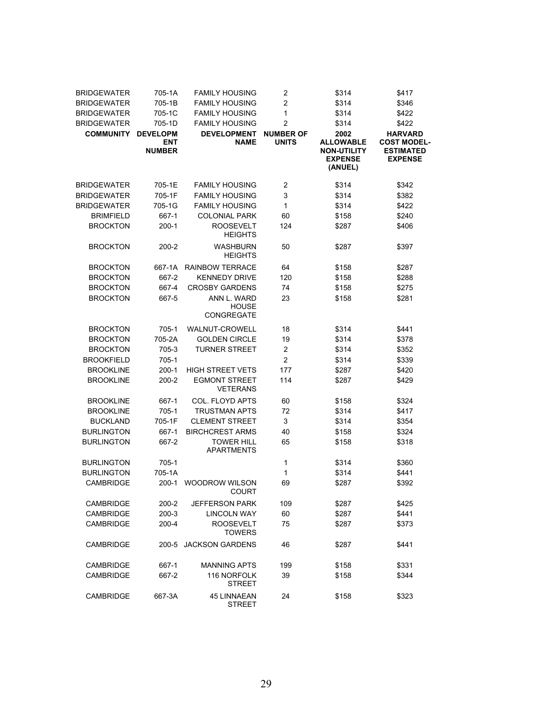| <b>BRIDGEWATER</b> | 705-1A                                         | <b>FAMILY HOUSING</b>                   | 2                                | \$314                                                                       | \$417                                                                      |
|--------------------|------------------------------------------------|-----------------------------------------|----------------------------------|-----------------------------------------------------------------------------|----------------------------------------------------------------------------|
| <b>BRIDGEWATER</b> | 705-1B                                         | <b>FAMILY HOUSING</b>                   | $\overline{2}$                   | \$314                                                                       | \$346                                                                      |
| <b>BRIDGEWATER</b> | 705-1C                                         | <b>FAMILY HOUSING</b>                   | 1                                | \$314                                                                       | \$422                                                                      |
| <b>BRIDGEWATER</b> | 705-1D                                         | <b>FAMILY HOUSING</b>                   | $\overline{2}$                   | \$314                                                                       | \$422                                                                      |
| <b>COMMUNITY</b>   | <b>DEVELOPM</b><br><b>ENT</b><br><b>NUMBER</b> | <b>DEVELOPMENT</b><br><b>NAME</b>       | <b>NUMBER OF</b><br><b>UNITS</b> | 2002<br><b>ALLOWABLE</b><br><b>NON-UTILITY</b><br><b>EXPENSE</b><br>(ANUEL) | <b>HARVARD</b><br><b>COST MODEL-</b><br><b>ESTIMATED</b><br><b>EXPENSE</b> |
| <b>BRIDGEWATER</b> | 705-1E                                         | <b>FAMILY HOUSING</b>                   | $\overline{c}$                   | \$314                                                                       | \$342                                                                      |
| <b>BRIDGEWATER</b> | 705-1F                                         | <b>FAMILY HOUSING</b>                   | 3                                | \$314                                                                       | \$382                                                                      |
| <b>BRIDGEWATER</b> | 705-1G                                         | <b>FAMILY HOUSING</b>                   | 1                                | \$314                                                                       | \$422                                                                      |
| <b>BRIMFIELD</b>   | 667-1                                          | <b>COLONIAL PARK</b>                    | 60                               | \$158                                                                       | \$240                                                                      |
| <b>BROCKTON</b>    | $200-1$                                        | <b>ROOSEVELT</b><br><b>HEIGHTS</b>      | 124                              | \$287                                                                       | \$406                                                                      |
| <b>BROCKTON</b>    | 200-2                                          | <b>WASHBURN</b><br><b>HEIGHTS</b>       | 50                               | \$287                                                                       | \$397                                                                      |
| <b>BROCKTON</b>    | 667-1A                                         | <b>RAINBOW TERRACE</b>                  | 64                               | \$158                                                                       | \$287                                                                      |
| <b>BROCKTON</b>    | 667-2                                          | <b>KENNEDY DRIVE</b>                    | 120                              | \$158                                                                       | \$288                                                                      |
| <b>BROCKTON</b>    | 667-4                                          | <b>CROSBY GARDENS</b>                   | 74                               | \$158                                                                       | \$275                                                                      |
| <b>BROCKTON</b>    | 667-5                                          | ANN L. WARD                             | 23                               | \$158                                                                       | \$281                                                                      |
|                    |                                                | <b>HOUSE</b><br>CONGREGATE              |                                  |                                                                             |                                                                            |
| <b>BROCKTON</b>    | $705-1$                                        | <b>WALNUT-CROWELL</b>                   | 18                               | \$314                                                                       | \$441                                                                      |
| <b>BROCKTON</b>    | 705-2A                                         | <b>GOLDEN CIRCLE</b>                    | 19                               | \$314                                                                       | \$378                                                                      |
| <b>BROCKTON</b>    | 705-3                                          | <b>TURNER STREET</b>                    | $\overline{c}$                   | \$314                                                                       | \$352                                                                      |
| <b>BROOKFIELD</b>  | 705-1                                          |                                         | 2                                | \$314                                                                       | \$339                                                                      |
| <b>BROOKLINE</b>   | $200-1$                                        | <b>HIGH STREET VETS</b>                 | 177                              | \$287                                                                       | \$420                                                                      |
| <b>BROOKLINE</b>   | $200 - 2$                                      | <b>EGMONT STREET</b><br><b>VETERANS</b> | 114                              | \$287                                                                       | \$429                                                                      |
| <b>BROOKLINE</b>   | 667-1                                          | COL. FLOYD APTS                         | 60                               | \$158                                                                       | \$324                                                                      |
| <b>BROOKLINE</b>   | 705-1                                          | <b>TRUSTMAN APTS</b>                    | 72                               | \$314                                                                       | \$417                                                                      |
| <b>BUCKLAND</b>    | 705-1F                                         | <b>CLEMENT STREET</b>                   | 3                                | \$314                                                                       | \$354                                                                      |
| <b>BURLINGTON</b>  | 667-1                                          | <b>BIRCHCREST ARMS</b>                  | 40                               | \$158                                                                       | \$324                                                                      |
| <b>BURLINGTON</b>  | 667-2                                          | <b>TOWER HILL</b><br><b>APARTMENTS</b>  | 65                               | \$158                                                                       | \$318                                                                      |
| <b>BURLINGTON</b>  | $705-1$                                        |                                         | 1                                | \$314                                                                       | \$360                                                                      |
| <b>BURLINGTON</b>  | 705-1A                                         |                                         | 1                                | \$314                                                                       | \$441                                                                      |
| <b>CAMBRIDGE</b>   | $200-1$                                        | WOODROW WILSON<br><b>COURT</b>          | 69                               | \$287                                                                       | \$392                                                                      |
| <b>CAMBRIDGE</b>   | 200-2                                          | <b>JEFFERSON PARK</b>                   | 109                              | \$287                                                                       | \$425                                                                      |
| <b>CAMBRIDGE</b>   | $200-3$                                        | <b>LINCOLN WAY</b>                      | 60                               | \$287                                                                       | \$441                                                                      |
| CAMBRIDGE          | $200 - 4$                                      | <b>ROOSEVELT</b><br><b>TOWERS</b>       | 75                               | \$287                                                                       | \$373                                                                      |
| <b>CAMBRIDGE</b>   | 200-5                                          | <b>JACKSON GARDENS</b>                  | 46                               | \$287                                                                       | \$441                                                                      |
| <b>CAMBRIDGE</b>   | 667-1                                          | <b>MANNING APTS</b>                     | 199                              | \$158                                                                       | \$331                                                                      |
| <b>CAMBRIDGE</b>   | 667-2                                          | 116 NORFOLK<br><b>STREET</b>            | 39                               | \$158                                                                       | \$344                                                                      |
| <b>CAMBRIDGE</b>   | 667-3A                                         | <b>45 LINNAEAN</b><br><b>STREET</b>     | 24                               | \$158                                                                       | \$323                                                                      |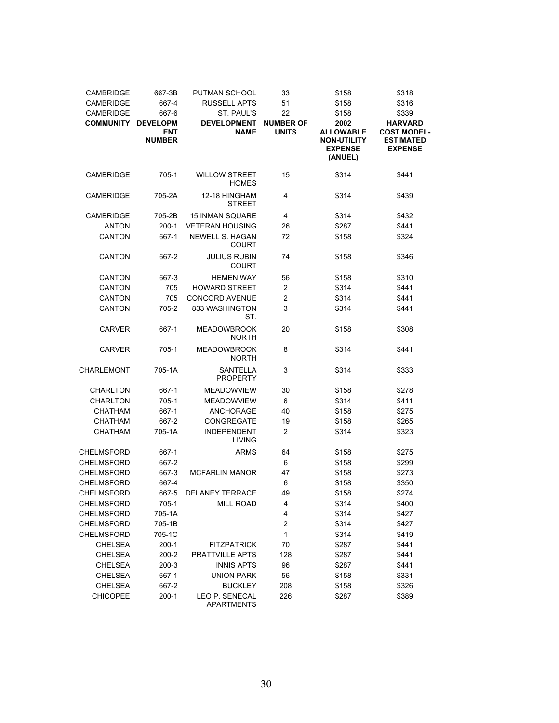| CAMBRIDGE         | 667-3B               | PUTMAN SCHOOL                        | 33                      | \$158                                                    | \$318                                                    |
|-------------------|----------------------|--------------------------------------|-------------------------|----------------------------------------------------------|----------------------------------------------------------|
| CAMBRIDGE         | 667-4                | <b>RUSSELL APTS</b>                  | 51                      | \$158                                                    | \$316                                                    |
| <b>CAMBRIDGE</b>  | 667-6                | ST. PAUL'S                           | 22                      | \$158                                                    | \$339                                                    |
| <b>COMMUNITY</b>  | <b>DEVELOPM</b>      | <b>DEVELOPMENT</b>                   | <b>NUMBER OF</b>        | 2002                                                     | <b>HARVARD</b>                                           |
|                   | ENT<br><b>NUMBER</b> | <b>NAME</b>                          | <b>UNITS</b>            | <b>ALLOWABLE</b><br><b>NON-UTILITY</b><br><b>EXPENSE</b> | <b>COST MODEL-</b><br><b>ESTIMATED</b><br><b>EXPENSE</b> |
|                   |                      |                                      |                         | (ANUEL)                                                  |                                                          |
| CAMBRIDGE         | $705-1$              | <b>WILLOW STREET</b><br><b>HOMES</b> | 15                      | \$314                                                    | \$441                                                    |
| <b>CAMBRIDGE</b>  | 705-2A               | 12-18 HINGHAM<br><b>STREET</b>       | 4                       | \$314                                                    | \$439                                                    |
| <b>CAMBRIDGE</b>  | 705-2B               | <b>15 INMAN SQUARE</b>               | 4                       | \$314                                                    | \$432                                                    |
| <b>ANTON</b>      | $200-1$              | <b>VETERAN HOUSING</b>               | 26                      | \$287                                                    | \$441                                                    |
| <b>CANTON</b>     | 667-1                | <b>NEWELL S. HAGAN</b>               | 72                      | \$158                                                    | \$324                                                    |
|                   |                      | <b>COURT</b>                         |                         |                                                          |                                                          |
| <b>CANTON</b>     | 667-2                | <b>JULIUS RUBIN</b><br><b>COURT</b>  | 74                      | \$158                                                    | \$346                                                    |
| <b>CANTON</b>     | 667-3                | <b>HEMEN WAY</b>                     | 56                      | \$158                                                    | \$310                                                    |
| <b>CANTON</b>     | 705                  | <b>HOWARD STREET</b>                 | $\overline{\mathbf{c}}$ | \$314                                                    | \$441                                                    |
| <b>CANTON</b>     | 705                  | <b>CONCORD AVENUE</b>                | $\overline{2}$          | \$314                                                    | \$441                                                    |
| <b>CANTON</b>     | 705-2                | 833 WASHINGTON<br>ST.                | 3                       | \$314                                                    | \$441                                                    |
| <b>CARVER</b>     | 667-1                | <b>MEADOWBROOK</b><br><b>NORTH</b>   | 20                      | \$158                                                    | \$308                                                    |
| <b>CARVER</b>     | 705-1                | <b>MEADOWBROOK</b><br><b>NORTH</b>   | 8                       | \$314                                                    | \$441                                                    |
| CHARLEMONT        | 705-1A               | <b>SANTELLA</b><br><b>PROPERTY</b>   | 3                       | \$314                                                    | \$333                                                    |
| <b>CHARLTON</b>   | 667-1                | <b>MEADOWVIEW</b>                    | 30                      | \$158                                                    | \$278                                                    |
| <b>CHARLTON</b>   | 705-1                | <b>MEADOWVIEW</b>                    | 6                       | \$314                                                    | \$411                                                    |
| <b>CHATHAM</b>    | 667-1                | ANCHORAGE                            | 40                      | \$158                                                    | \$275                                                    |
| <b>CHATHAM</b>    | 667-2                | <b>CONGREGATE</b>                    | 19                      | \$158                                                    | \$265                                                    |
| <b>CHATHAM</b>    | 705-1A               | <b>INDEPENDENT</b>                   | $\overline{c}$          | \$314                                                    | \$323                                                    |
|                   |                      | LIVING                               |                         |                                                          |                                                          |
| CHELMSFORD        | 667-1                | <b>ARMS</b>                          | 64                      | \$158                                                    | \$275                                                    |
| <b>CHELMSFORD</b> | 667-2                |                                      | 6                       | \$158                                                    | \$299                                                    |
| <b>CHELMSFORD</b> | 667-3                | <b>MCFARLIN MANOR</b>                | 47                      | \$158                                                    | \$273                                                    |
| <b>CHELMSFORD</b> | 667-4                |                                      | 6                       | \$158                                                    | \$350                                                    |
| <b>CHELMSFORD</b> | 667-5                | <b>DELANEY TERRACE</b>               | 49                      | \$158                                                    | \$274                                                    |
| <b>CHELMSFORD</b> | 705-1                | <b>MILL ROAD</b>                     | 4                       | \$314                                                    | \$400                                                    |
| <b>CHELMSFORD</b> | 705-1A               |                                      | 4                       | \$314                                                    | \$427                                                    |
| <b>CHELMSFORD</b> | 705-1B               |                                      | $\overline{\mathbf{c}}$ | \$314                                                    | \$427                                                    |
| CHELMSFORD        | 705-1C               |                                      | 1                       | \$314                                                    | \$419                                                    |
| <b>CHELSEA</b>    | $200-1$              | <b>FITZPATRICK</b>                   | 70                      | \$287                                                    | \$441                                                    |
| <b>CHELSEA</b>    | 200-2                | PRATTVILLE APTS                      | 128                     | \$287                                                    | \$441                                                    |
| <b>CHELSEA</b>    | 200-3                | <b>INNIS APTS</b>                    | 96                      | \$287                                                    | \$441                                                    |
| <b>CHELSEA</b>    | 667-1                | <b>UNION PARK</b>                    | 56                      |                                                          | \$331                                                    |
|                   |                      | <b>BUCKLEY</b>                       |                         | \$158                                                    |                                                          |
| <b>CHELSEA</b>    | 667-2                | LEO P. SENECAL                       | 208                     | \$158                                                    | \$326                                                    |
| <b>CHICOPEE</b>   | $200-1$              | APARTMENTS                           | 226                     | \$287                                                    | \$389                                                    |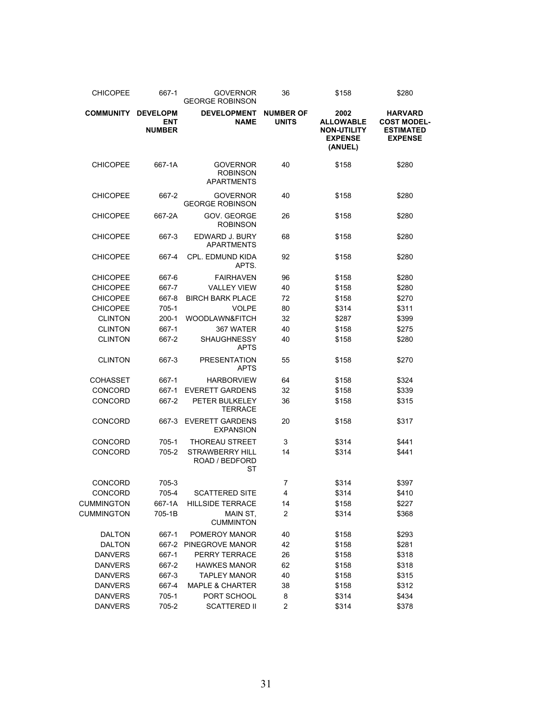| <b>CHICOPEE</b>   | 667-1                                          | <b>GOVERNOR</b><br><b>GEORGE ROBINSON</b>               | 36                               | \$158                                                                       | \$280                                                                      |
|-------------------|------------------------------------------------|---------------------------------------------------------|----------------------------------|-----------------------------------------------------------------------------|----------------------------------------------------------------------------|
| <b>COMMUNITY</b>  | <b>DEVELOPM</b><br><b>ENT</b><br><b>NUMBER</b> | <b>DEVELOPMENT</b><br><b>NAME</b>                       | <b>NUMBER OF</b><br><b>UNITS</b> | 2002<br><b>ALLOWABLE</b><br><b>NON-UTILITY</b><br><b>EXPENSE</b><br>(ANUEL) | <b>HARVARD</b><br><b>COST MODEL-</b><br><b>ESTIMATED</b><br><b>EXPENSE</b> |
| <b>CHICOPEE</b>   | 667-1A                                         | <b>GOVERNOR</b><br><b>ROBINSON</b><br><b>APARTMENTS</b> | 40                               | \$158                                                                       | \$280                                                                      |
| <b>CHICOPEE</b>   | 667-2                                          | <b>GOVERNOR</b><br><b>GEORGE ROBINSON</b>               | 40                               | \$158                                                                       | \$280                                                                      |
| <b>CHICOPEE</b>   | 667-2A                                         | GOV. GEORGE<br><b>ROBINSON</b>                          | 26                               | \$158                                                                       | \$280                                                                      |
| <b>CHICOPEE</b>   | 667-3                                          | EDWARD J. BURY<br><b>APARTMENTS</b>                     | 68                               | \$158                                                                       | \$280                                                                      |
| <b>CHICOPEE</b>   | 667-4                                          | <b>CPL. EDMUND KIDA</b><br>APTS.                        | 92                               | \$158                                                                       | \$280                                                                      |
| <b>CHICOPEE</b>   | 667-6                                          | <b>FAIRHAVEN</b>                                        | 96                               | \$158                                                                       | \$280                                                                      |
| <b>CHICOPEE</b>   | 667-7                                          | <b>VALLEY VIEW</b>                                      | 40                               | \$158                                                                       | \$280                                                                      |
| <b>CHICOPEE</b>   | 667-8                                          | <b>BIRCH BARK PLACE</b>                                 | 72                               | \$158                                                                       | \$270                                                                      |
| <b>CHICOPEE</b>   | 705-1                                          | <b>VOLPE</b>                                            | 80                               | \$314                                                                       | \$311                                                                      |
| <b>CLINTON</b>    | $200-1$                                        | WOODLAWN&FITCH                                          | 32                               | \$287                                                                       | \$399                                                                      |
| <b>CLINTON</b>    | 667-1                                          | 367 WATER                                               | 40                               | \$158                                                                       | \$275                                                                      |
| <b>CLINTON</b>    | 667-2                                          | <b>SHAUGHNESSY</b><br><b>APTS</b>                       | 40                               | \$158                                                                       | \$280                                                                      |
| <b>CLINTON</b>    | 667-3                                          | <b>PRESENTATION</b><br><b>APTS</b>                      | 55                               | \$158                                                                       | \$270                                                                      |
| <b>COHASSET</b>   | 667-1                                          | <b>HARBORVIEW</b>                                       | 64                               | \$158                                                                       | \$324                                                                      |
| <b>CONCORD</b>    | 667-1                                          | <b>EVERETT GARDENS</b>                                  | 32                               | \$158                                                                       | \$339                                                                      |
| CONCORD           | 667-2                                          | PETER BULKELEY<br><b>TERRACE</b>                        | 36                               | \$158                                                                       | \$315                                                                      |
| <b>CONCORD</b>    | 667-3                                          | <b>EVERETT GARDENS</b><br><b>EXPANSION</b>              | 20                               | \$158                                                                       | \$317                                                                      |
| CONCORD           | 705-1                                          | <b>THOREAU STREET</b>                                   | 3                                | \$314                                                                       | \$441                                                                      |
| <b>CONCORD</b>    | 705-2                                          | <b>STRAWBERRY HILL</b><br>ROAD / BEDFORD<br>ST          | 14                               | \$314                                                                       | \$441                                                                      |
| CONCORD           | 705-3                                          |                                                         | 7                                | \$314                                                                       | \$397                                                                      |
| CONCORD           | 705-4                                          | <b>SCATTERED SITE</b>                                   | 4                                | \$314                                                                       | \$410                                                                      |
| <b>CUMMINGTON</b> | 667-1A                                         | <b>HILLSIDE TERRACE</b>                                 | 14                               | \$158                                                                       | \$227                                                                      |
| <b>CUMMINGTON</b> | 705-1B                                         | MAIN ST.<br><b>CUMMINTON</b>                            | 2                                | \$314                                                                       | \$368                                                                      |
| <b>DALTON</b>     | 667-1                                          | POMEROY MANOR                                           | 40                               | \$158                                                                       | \$293                                                                      |
| <b>DALTON</b>     | 667-2                                          | PINEGROVE MANOR                                         | 42                               | \$158                                                                       | \$281                                                                      |
| <b>DANVERS</b>    | 667-1                                          | PERRY TERRACE                                           | 26                               | \$158                                                                       | \$318                                                                      |
| <b>DANVERS</b>    | 667-2                                          | <b>HAWKES MANOR</b>                                     | 62                               | \$158                                                                       | \$318                                                                      |
| <b>DANVERS</b>    | 667-3                                          | <b>TAPLEY MANOR</b>                                     | 40                               | \$158                                                                       | \$315                                                                      |
| <b>DANVERS</b>    | 667-4                                          | <b>MAPLE &amp; CHARTER</b>                              | 38                               | \$158                                                                       | \$312                                                                      |
| <b>DANVERS</b>    | 705-1                                          | PORT SCHOOL                                             | 8                                | \$314                                                                       | \$434                                                                      |
| <b>DANVERS</b>    | 705-2                                          | <b>SCATTERED II</b>                                     | $\boldsymbol{2}$                 | \$314                                                                       | \$378                                                                      |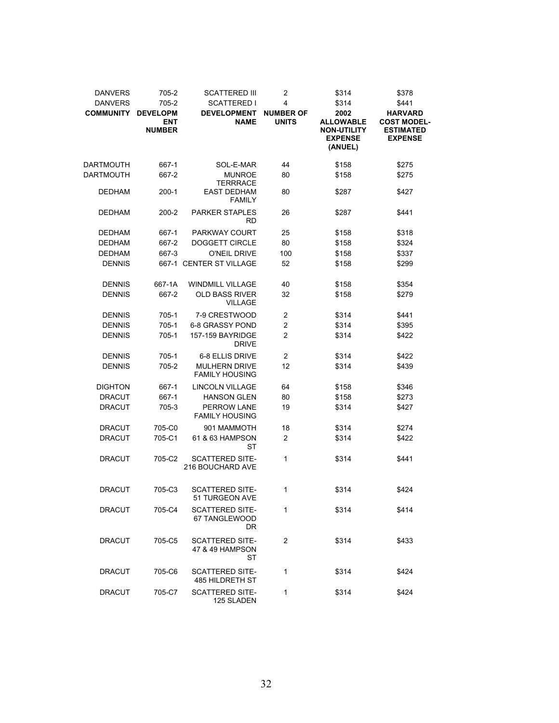| <b>DANVERS</b><br><b>DANVERS</b> | 705-2<br>705-2                                 | <b>SCATTERED III</b><br><b>SCATTERED I</b>             | $\overline{2}$<br>4              | \$314<br>\$314                                                              | \$378<br>\$441                                                             |
|----------------------------------|------------------------------------------------|--------------------------------------------------------|----------------------------------|-----------------------------------------------------------------------------|----------------------------------------------------------------------------|
| <b>COMMUNITY</b>                 | <b>DEVELOPM</b><br><b>ENT</b><br><b>NUMBER</b> | <b>DEVELOPMENT</b><br><b>NAME</b>                      | <b>NUMBER OF</b><br><b>UNITS</b> | 2002<br><b>ALLOWABLE</b><br><b>NON-UTILITY</b><br><b>EXPENSE</b><br>(ANUEL) | <b>HARVARD</b><br><b>COST MODEL-</b><br><b>ESTIMATED</b><br><b>EXPENSE</b> |
| <b>DARTMOUTH</b>                 | 667-1                                          | SOL-E-MAR                                              | 44                               | \$158                                                                       | \$275                                                                      |
| <b>DARTMOUTH</b>                 | 667-2                                          | <b>MUNROE</b>                                          | 80                               | \$158                                                                       | \$275                                                                      |
| <b>DEDHAM</b>                    | 200-1                                          | <b>TERRRACE</b><br><b>EAST DEDHAM</b><br><b>FAMILY</b> | 80                               | \$287                                                                       | \$427                                                                      |
| <b>DEDHAM</b>                    | 200-2                                          | <b>PARKER STAPLES</b><br>RD                            | 26                               | \$287                                                                       | \$441                                                                      |
| <b>DEDHAM</b>                    | 667-1                                          | <b>PARKWAY COURT</b>                                   | 25                               | \$158                                                                       | \$318                                                                      |
| <b>DEDHAM</b>                    | 667-2                                          | DOGGETT CIRCLE                                         | 80                               | \$158                                                                       | \$324                                                                      |
| <b>DEDHAM</b>                    | 667-3                                          | O'NEIL DRIVE                                           | 100                              | \$158                                                                       | \$337                                                                      |
| <b>DENNIS</b>                    |                                                | 667-1 CENTER ST VILLAGE                                | 52                               | \$158                                                                       | \$299                                                                      |
| <b>DENNIS</b>                    | 667-1A                                         | <b>WINDMILL VILLAGE</b>                                | 40                               | \$158                                                                       | \$354                                                                      |
| <b>DENNIS</b>                    | 667-2                                          | OLD BASS RIVER<br><b>VILLAGE</b>                       | 32                               | \$158                                                                       | \$279                                                                      |
| <b>DENNIS</b>                    | 705-1                                          | 7-9 CRESTWOOD                                          | 2                                | \$314                                                                       | \$441                                                                      |
| <b>DENNIS</b>                    | 705-1                                          | <b>6-8 GRASSY POND</b>                                 | 2                                | \$314                                                                       | \$395                                                                      |
| <b>DENNIS</b>                    | 705-1                                          | 157-159 BAYRIDGE<br><b>DRIVE</b>                       | 2                                | \$314                                                                       | \$422                                                                      |
| <b>DENNIS</b>                    | 705-1                                          | 6-8 ELLIS DRIVE                                        | $\overline{2}$                   | \$314                                                                       | \$422                                                                      |
| <b>DENNIS</b>                    | 705-2                                          | <b>MULHERN DRIVE</b><br><b>FAMILY HOUSING</b>          | 12                               | \$314                                                                       | \$439                                                                      |
| <b>DIGHTON</b>                   | 667-1                                          | <b>LINCOLN VILLAGE</b>                                 | 64                               | \$158                                                                       | \$346                                                                      |
| <b>DRACUT</b>                    | 667-1                                          | <b>HANSON GLEN</b>                                     | 80                               | \$158                                                                       | \$273                                                                      |
| <b>DRACUT</b>                    | 705-3                                          | <b>PERROW LANE</b><br><b>FAMILY HOUSING</b>            | 19                               | \$314                                                                       | \$427                                                                      |
| <b>DRACUT</b>                    | 705-C0                                         | 901 MAMMOTH                                            | 18                               | \$314                                                                       | \$274                                                                      |
| DRACUT                           | 705-C1                                         | 61 & 63 HAMPSON<br>ST                                  | $\overline{2}$                   | \$314                                                                       | \$422                                                                      |
| DRACUT                           | 705-C2                                         | <b>SCATTERED SITE-</b><br>216 BOUCHARD AVE             | 1                                | \$314                                                                       | \$441                                                                      |
| <b>DRACUT</b>                    | 705-C3                                         | <b>SCATTERED SITE-</b><br>51 TURGEON AVE               | 1                                | \$314                                                                       | \$424                                                                      |
| DRACUT                           | 705-C4                                         | <b>SCATTERED SITE-</b><br>67 TANGLEWOOD<br>DR          | 1                                | \$314                                                                       | \$414                                                                      |
| <b>DRACUT</b>                    | 705-C5                                         | <b>SCATTERED SITE-</b><br>47 & 49 HAMPSON<br>ST        | $\overline{2}$                   | \$314                                                                       | \$433                                                                      |
| <b>DRACUT</b>                    | 705-C6                                         | SCATTERED SITE-<br><b>485 HILDRETH ST</b>              | 1                                | \$314                                                                       | \$424                                                                      |
| DRACUT                           | 705-C7                                         | <b>SCATTERED SITE-</b><br>125 SLADEN                   | 1                                | \$314                                                                       | \$424                                                                      |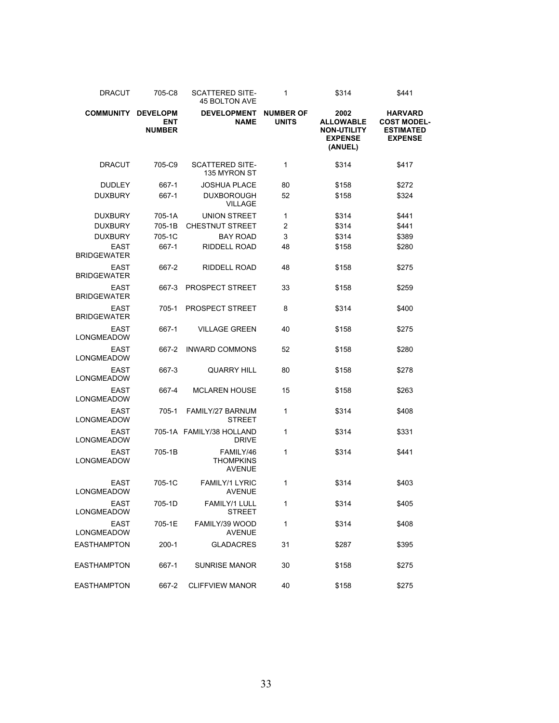| <b>DRACUT</b>                     | 705-C8                                         | <b>SCATTERED SITE-</b><br><b>45 BOLTON AVE</b> | 1                                | \$314                                                                       | \$441                                                                      |
|-----------------------------------|------------------------------------------------|------------------------------------------------|----------------------------------|-----------------------------------------------------------------------------|----------------------------------------------------------------------------|
| <b>COMMUNITY</b>                  | <b>DEVELOPM</b><br><b>ENT</b><br><b>NUMBER</b> | <b>DEVELOPMENT</b><br><b>NAME</b>              | <b>NUMBER OF</b><br><b>UNITS</b> | 2002<br><b>ALLOWABLE</b><br><b>NON-UTILITY</b><br><b>EXPENSE</b><br>(ANUEL) | <b>HARVARD</b><br><b>COST MODEL-</b><br><b>ESTIMATED</b><br><b>EXPENSE</b> |
| <b>DRACUT</b>                     | 705-C9                                         | <b>SCATTERED SITE-</b><br>135 MYRON ST         | 1                                | \$314                                                                       | \$417                                                                      |
| <b>DUDLEY</b>                     | 667-1                                          | <b>JOSHUA PLACE</b>                            | 80                               | \$158                                                                       | \$272                                                                      |
| <b>DUXBURY</b>                    | 667-1                                          | <b>DUXBOROUGH</b><br><b>VILLAGE</b>            | 52                               | \$158                                                                       | \$324                                                                      |
| <b>DUXBURY</b>                    | 705-1A                                         | <b>UNION STREET</b>                            | 1                                | \$314                                                                       | \$441                                                                      |
| <b>DUXBURY</b>                    | 705-1B                                         | <b>CHESTNUT STREET</b>                         | 2                                | \$314                                                                       | \$441                                                                      |
| <b>DUXBURY</b>                    | 705-1C                                         | <b>BAY ROAD</b>                                | 3                                | \$314                                                                       | \$389                                                                      |
| <b>EAST</b><br><b>BRIDGEWATER</b> | 667-1                                          | <b>RIDDELL ROAD</b>                            | 48                               | \$158                                                                       | \$280                                                                      |
| <b>EAST</b><br><b>BRIDGEWATER</b> | 667-2                                          | RIDDELL ROAD                                   | 48                               | \$158                                                                       | \$275                                                                      |
| <b>EAST</b><br><b>BRIDGEWATER</b> | 667-3                                          | <b>PROSPECT STREET</b>                         | 33                               | \$158                                                                       | \$259                                                                      |
| <b>EAST</b><br><b>BRIDGEWATER</b> | 705-1                                          | <b>PROSPECT STREET</b>                         | 8                                | \$314                                                                       | \$400                                                                      |
| <b>EAST</b><br>LONGMEADOW         | 667-1                                          | <b>VILLAGE GREEN</b>                           | 40                               | \$158                                                                       | \$275                                                                      |
| <b>EAST</b><br>LONGMEADOW         | 667-2                                          | <b>INWARD COMMONS</b>                          | 52                               | \$158                                                                       | \$280                                                                      |
| <b>EAST</b><br>LONGMEADOW         | 667-3                                          | <b>QUARRY HILL</b>                             | 80                               | \$158                                                                       | \$278                                                                      |
| <b>EAST</b><br>LONGMEADOW         | 667-4                                          | <b>MCLAREN HOUSE</b>                           | 15                               | \$158                                                                       | \$263                                                                      |
| <b>EAST</b><br>LONGMEADOW         | 705-1                                          | FAMILY/27 BARNUM<br><b>STREET</b>              | 1                                | \$314                                                                       | \$408                                                                      |
| <b>EAST</b><br>LONGMEADOW         |                                                | 705-1A FAMILY/38 HOLLAND<br><b>DRIVE</b>       | 1                                | \$314                                                                       | \$331                                                                      |
| <b>EAST</b><br>LONGMEADOW         | 705-1B                                         | FAMILY/46<br><b>THOMPKINS</b><br><b>AVENUE</b> | 1                                | \$314                                                                       | \$441                                                                      |
| <b>EAST</b><br><b>LONGMEADOW</b>  | 705-1C                                         | <b>FAMILY/1 LYRIC</b><br><b>AVENUE</b>         | 1                                | \$314                                                                       | \$403                                                                      |
| <b>EAST</b><br>LONGMEADOW         | 705-1D                                         | FAMILY/1 LULL<br><b>STREET</b>                 | 1                                | \$314                                                                       | \$405                                                                      |
| <b>EAST</b><br>LONGMEADOW         | 705-1E                                         | FAMILY/39 WOOD<br><b>AVENUE</b>                | 1                                | \$314                                                                       | \$408                                                                      |
| EASTHAMPTON                       | $200-1$                                        | <b>GLADACRES</b>                               | 31                               | \$287                                                                       | \$395                                                                      |
| EASTHAMPTON                       | 667-1                                          | <b>SUNRISE MANOR</b>                           | 30                               | \$158                                                                       | \$275                                                                      |
| EASTHAMPTON                       | 667-2                                          | <b>CLIFFVIEW MANOR</b>                         | 40                               | \$158                                                                       | \$275                                                                      |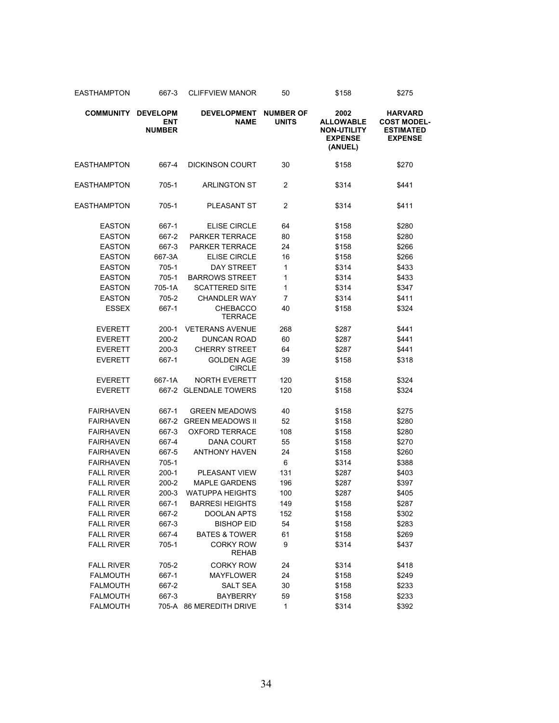| EASTHAMPTON        | 667-3                                          | <b>CLIFFVIEW MANOR</b>            | 50                               | \$158                                                                       | \$275                                                                      |  |
|--------------------|------------------------------------------------|-----------------------------------|----------------------------------|-----------------------------------------------------------------------------|----------------------------------------------------------------------------|--|
| <b>COMMUNITY</b>   | <b>DEVELOPM</b><br><b>ENT</b><br><b>NUMBER</b> | <b>DEVELOPMENT</b><br>NAME        | <b>NUMBER OF</b><br><b>UNITS</b> | 2002<br><b>ALLOWABLE</b><br><b>NON-UTILITY</b><br><b>EXPENSE</b><br>(ANUEL) | <b>HARVARD</b><br><b>COST MODEL-</b><br><b>ESTIMATED</b><br><b>EXPENSE</b> |  |
| <b>EASTHAMPTON</b> | 667-4                                          | <b>DICKINSON COURT</b>            | 30                               | \$158                                                                       | \$270                                                                      |  |
| <b>EASTHAMPTON</b> | 705-1                                          | <b>ARLINGTON ST</b>               | 2                                | \$314                                                                       | \$441                                                                      |  |
| <b>EASTHAMPTON</b> | 705-1                                          | <b>PLEASANT ST</b>                | $\overline{c}$                   | \$314                                                                       | \$411                                                                      |  |
| <b>EASTON</b>      | 667-1                                          | <b>ELISE CIRCLE</b>               | 64                               | \$158                                                                       | \$280                                                                      |  |
| <b>EASTON</b>      | 667-2                                          | <b>PARKER TERRACE</b>             | 80                               | \$158                                                                       | \$280                                                                      |  |
| <b>EASTON</b>      | 667-3                                          | <b>PARKER TERRACE</b>             | 24                               | \$158                                                                       | \$266                                                                      |  |
| <b>EASTON</b>      | 667-3A                                         | <b>ELISE CIRCLE</b>               | 16                               | \$158                                                                       | \$266                                                                      |  |
| <b>EASTON</b>      | 705-1                                          | DAY STREET                        | 1                                | \$314                                                                       | \$433                                                                      |  |
| <b>EASTON</b>      | 705-1                                          | <b>BARROWS STREET</b>             | 1                                | \$314                                                                       | \$433                                                                      |  |
| <b>EASTON</b>      | 705-1A                                         | <b>SCATTERED SITE</b>             | 1                                | \$314                                                                       | \$347                                                                      |  |
| <b>EASTON</b>      | 705-2                                          | <b>CHANDLER WAY</b>               | 7                                | \$314                                                                       | \$411                                                                      |  |
| <b>ESSEX</b>       | 667-1                                          | <b>CHEBACCO</b><br><b>TERRACE</b> | 40                               | \$158                                                                       | \$324                                                                      |  |
| <b>EVERETT</b>     | $200-1$                                        | <b>VETERANS AVENUE</b>            | 268                              | \$287                                                                       | \$441                                                                      |  |
| <b>EVERETT</b>     | 200-2                                          | <b>DUNCAN ROAD</b>                | 60                               | \$287                                                                       | \$441                                                                      |  |
| <b>EVERETT</b>     | 200-3                                          | <b>CHERRY STREET</b>              | 64                               | \$287                                                                       | \$441                                                                      |  |
| <b>EVERETT</b>     | 667-1                                          | GOLDEN AGE<br><b>CIRCLE</b>       | 39                               | \$158                                                                       | \$318                                                                      |  |
| <b>EVERETT</b>     | 667-1A                                         | <b>NORTH EVERETT</b>              | 120                              | \$158                                                                       | \$324                                                                      |  |
| <b>EVERETT</b>     |                                                | 667-2 GLENDALE TOWERS             | 120                              | \$158                                                                       | \$324                                                                      |  |
| <b>FAIRHAVEN</b>   | 667-1                                          | <b>GREEN MEADOWS</b>              | 40                               | \$158                                                                       | \$275                                                                      |  |
| <b>FAIRHAVEN</b>   | 667-2                                          | <b>GREEN MEADOWS II</b>           | 52                               | \$158                                                                       | \$280                                                                      |  |
| <b>FAIRHAVEN</b>   | 667-3                                          | <b>OXFORD TERRACE</b>             | 108                              | \$158                                                                       | \$280                                                                      |  |
| <b>FAIRHAVEN</b>   | 667-4                                          | DANA COURT                        | 55                               | \$158                                                                       | \$270                                                                      |  |
| <b>FAIRHAVEN</b>   | 667-5                                          | <b>ANTHONY HAVEN</b>              | 24                               | \$158                                                                       | \$260                                                                      |  |
| <b>FAIRHAVEN</b>   | 705-1                                          |                                   | 6                                | \$314                                                                       | \$388                                                                      |  |
| <b>FALL RIVER</b>  | 200-1                                          | PLEASANT VIEW                     | 131                              | \$287                                                                       | \$403                                                                      |  |
| <b>FALL RIVER</b>  | 200-2                                          | <b>MAPLE GARDENS</b>              | 196                              | \$287                                                                       | \$397                                                                      |  |
| <b>FALL RIVER</b>  | 200-3                                          | <b>WATUPPA HEIGHTS</b>            | 100                              | \$287                                                                       | \$405                                                                      |  |
| <b>FALL RIVER</b>  | 667-1                                          | <b>BARRESI HEIGHTS</b>            | 149                              | \$158                                                                       | \$287                                                                      |  |
| <b>FALL RIVER</b>  | 667-2                                          | <b>DOOLAN APTS</b>                | 152                              | \$158                                                                       | \$302                                                                      |  |
| <b>FALL RIVER</b>  | 667-3                                          | <b>BISHOP EID</b>                 | 54                               | \$158                                                                       | \$283                                                                      |  |
| <b>FALL RIVER</b>  | 667-4                                          | <b>BATES &amp; TOWER</b>          | 61                               | \$158                                                                       | \$269                                                                      |  |
| <b>FALL RIVER</b>  | 705-1                                          | <b>CORKY ROW</b><br><b>REHAB</b>  | 9                                | \$314                                                                       | \$437                                                                      |  |
| <b>FALL RIVER</b>  | 705-2                                          | <b>CORKY ROW</b>                  | 24                               | \$314                                                                       | \$418                                                                      |  |
| <b>FALMOUTH</b>    | 667-1                                          | <b>MAYFLOWER</b>                  | 24                               | \$158                                                                       | \$249                                                                      |  |
| <b>FALMOUTH</b>    | 667-2                                          | <b>SALT SEA</b>                   | 30                               | \$158                                                                       | \$233                                                                      |  |
| <b>FALMOUTH</b>    | 667-3                                          | <b>BAYBERRY</b>                   | 59                               | \$158                                                                       | \$233                                                                      |  |
| <b>FALMOUTH</b>    |                                                | 705-A 86 MEREDITH DRIVE           | 1                                | \$314                                                                       | \$392                                                                      |  |
|                    |                                                |                                   |                                  |                                                                             |                                                                            |  |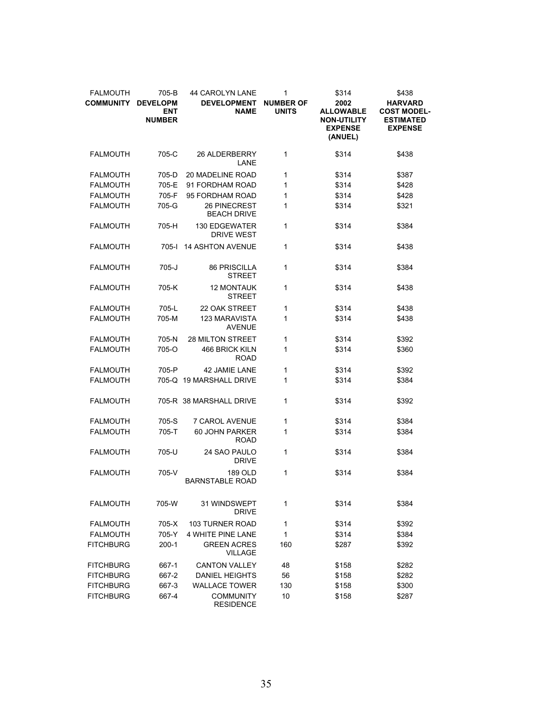| <b>FALMOUTH</b><br><b>COMMUNITY</b> | 705-B<br><b>DEVELOPM</b><br><b>ENT</b><br><b>NUMBER</b> | <b>44 CAROLYN LANE</b><br><b>DEVELOPMENT</b><br><b>NAME</b> | 1<br><b>NUMBER OF</b><br><b>UNITS</b> | \$314<br>2002<br><b>ALLOWABLE</b><br><b>NON-UTILITY</b><br><b>EXPENSE</b><br>(ANUEL) | \$438<br><b>HARVARD</b><br><b>COST MODEL-</b><br><b>ESTIMATED</b><br><b>EXPENSE</b> |
|-------------------------------------|---------------------------------------------------------|-------------------------------------------------------------|---------------------------------------|--------------------------------------------------------------------------------------|-------------------------------------------------------------------------------------|
| <b>FALMOUTH</b>                     | 705-C                                                   | 26 ALDERBERRY<br>LANE                                       | 1                                     | \$314                                                                                | \$438                                                                               |
| <b>FALMOUTH</b>                     | 705-D                                                   | 20 MADELINE ROAD                                            | 1                                     | \$314                                                                                | \$387                                                                               |
| <b>FALMOUTH</b>                     | 705-E                                                   | 91 FORDHAM ROAD                                             | 1                                     | \$314                                                                                | \$428                                                                               |
| <b>FALMOUTH</b>                     | 705-F                                                   | 95 FORDHAM ROAD                                             | 1                                     | \$314                                                                                | \$428                                                                               |
| <b>FALMOUTH</b>                     | 705-G                                                   | 26 PINECREST<br><b>BEACH DRIVE</b>                          | 1                                     | \$314                                                                                | \$321                                                                               |
| <b>FALMOUTH</b>                     | 705-H                                                   | <b>130 EDGEWATER</b><br><b>DRIVE WEST</b>                   | 1                                     | \$314                                                                                | \$384                                                                               |
| <b>FALMOUTH</b>                     | 705-l                                                   | <b>14 ASHTON AVENUE</b>                                     | 1                                     | \$314                                                                                | \$438                                                                               |
| <b>FALMOUTH</b>                     | $705 - J$                                               | <b>86 PRISCILLA</b><br><b>STREET</b>                        | 1                                     | \$314                                                                                | \$384                                                                               |
| <b>FALMOUTH</b>                     | 705-K                                                   | <b>12 MONTAUK</b><br><b>STREET</b>                          | 1                                     | \$314                                                                                | \$438                                                                               |
| <b>FALMOUTH</b>                     | 705-L                                                   | 22 OAK STREET                                               | 1                                     | \$314                                                                                | \$438                                                                               |
| <b>FALMOUTH</b>                     | 705-M                                                   | <b>123 MARAVISTA</b><br><b>AVENUE</b>                       | 1                                     | \$314                                                                                | \$438                                                                               |
| <b>FALMOUTH</b>                     | 705-N                                                   | <b>28 MILTON STREET</b>                                     | 1                                     | \$314                                                                                | \$392                                                                               |
| <b>FALMOUTH</b>                     | 705-O                                                   | 466 BRICK KILN<br><b>ROAD</b>                               | 1                                     | \$314                                                                                | \$360                                                                               |
| <b>FALMOUTH</b>                     | 705-P                                                   | 42 JAMIE LANE                                               | 1                                     | \$314                                                                                | \$392                                                                               |
| <b>FALMOUTH</b>                     |                                                         | 705-Q 19 MARSHALL DRIVE                                     | 1                                     | \$314                                                                                | \$384                                                                               |
| <b>FALMOUTH</b>                     |                                                         | 705-R 38 MARSHALL DRIVE                                     | 1                                     | \$314                                                                                | \$392                                                                               |
| <b>FALMOUTH</b>                     | 705-S                                                   | <b>7 CAROL AVENUE</b>                                       | 1                                     | \$314                                                                                | \$384                                                                               |
| <b>FALMOUTH</b>                     | 705-T                                                   | 60 JOHN PARKER<br><b>ROAD</b>                               | 1                                     | \$314                                                                                | \$384                                                                               |
| <b>FALMOUTH</b>                     | 705-U                                                   | 24 SAO PAULO<br><b>DRIVE</b>                                | 1                                     | \$314                                                                                | \$384                                                                               |
| <b>FALMOUTH</b>                     | 705-V                                                   | <b>189 OLD</b><br><b>BARNSTABLE ROAD</b>                    | 1                                     | \$314                                                                                | \$384                                                                               |
| <b>FALMOUTH</b>                     | 705-W                                                   | 31 WINDSWEPT<br><b>DRIVE</b>                                | 1                                     | \$314                                                                                | \$384                                                                               |
| <b>FALMOUTH</b>                     | 705-X                                                   | <b>103 TURNER ROAD</b>                                      | 1                                     | \$314                                                                                | \$392                                                                               |
| <b>FALMOUTH</b>                     | 705-Y                                                   | 4 WHITE PINE LANE                                           | 1                                     | \$314                                                                                | \$384                                                                               |
| <b>FITCHBURG</b>                    | $200-1$                                                 | <b>GREEN ACRES</b><br><b>VILLAGE</b>                        | 160                                   | \$287                                                                                | \$392                                                                               |
| <b>FITCHBURG</b>                    | 667-1                                                   | <b>CANTON VALLEY</b>                                        | 48                                    | \$158                                                                                | \$282                                                                               |
| <b>FITCHBURG</b>                    | 667-2                                                   | <b>DANIEL HEIGHTS</b>                                       | 56                                    | \$158                                                                                | \$282                                                                               |
| <b>FITCHBURG</b>                    | 667-3                                                   | <b>WALLACE TOWER</b>                                        | 130                                   | \$158                                                                                | \$300                                                                               |
| <b>FITCHBURG</b>                    | 667-4                                                   | <b>COMMUNITY</b><br><b>RESIDENCE</b>                        | 10                                    | \$158                                                                                | \$287                                                                               |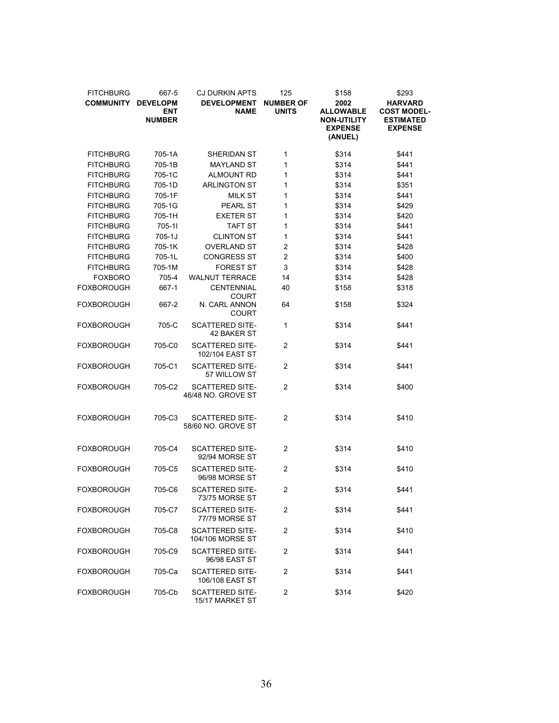| <b>FITCHBURG</b><br><b>COMMUNITY</b> | 667-5<br><b>DEVELOPM</b><br><b>ENT</b><br><b>NUMBER</b> | <b>CJ DURKIN APTS</b><br><b>DEVELOPMENT</b><br><b>NAME</b> | 125<br><b>NUMBER OF</b><br><b>UNITS</b> | \$158<br>2002<br><b>ALLOWABLE</b><br><b>NON-UTILITY</b><br><b>EXPENSE</b><br>(ANUEL) | \$293<br><b>HARVARD</b><br><b>COST MODEL-</b><br><b>ESTIMATED</b><br><b>EXPENSE</b> |
|--------------------------------------|---------------------------------------------------------|------------------------------------------------------------|-----------------------------------------|--------------------------------------------------------------------------------------|-------------------------------------------------------------------------------------|
| <b>FITCHBURG</b>                     | 705-1A                                                  | SHERIDAN ST                                                | 1                                       | \$314                                                                                | \$441                                                                               |
| <b>FITCHBURG</b>                     | 705-1B                                                  | <b>MAYLAND ST</b>                                          | 1                                       | \$314                                                                                | \$441                                                                               |
| <b>FITCHBURG</b>                     | 705-1C                                                  | <b>ALMOUNT RD</b>                                          | 1                                       | \$314                                                                                | \$441                                                                               |
| <b>FITCHBURG</b>                     | 705-1D                                                  | <b>ARLINGTON ST</b>                                        | 1                                       | \$314                                                                                | \$351                                                                               |
| <b>FITCHBURG</b>                     | 705-1F                                                  | <b>MILK ST</b>                                             | 1                                       | \$314                                                                                | \$441                                                                               |
| <b>FITCHBURG</b>                     | 705-1G                                                  | <b>PEARL ST</b>                                            | 1                                       | \$314                                                                                | \$429                                                                               |
| <b>FITCHBURG</b>                     | 705-1H                                                  | <b>EXETER ST</b>                                           | 1                                       | \$314                                                                                | \$420                                                                               |
| <b>FITCHBURG</b>                     | 705-11                                                  | TAFT ST                                                    | 1                                       | \$314                                                                                | \$441                                                                               |
| <b>FITCHBURG</b>                     | $705 - 1J$                                              | <b>CLINTON ST</b>                                          | 1                                       | \$314                                                                                | \$441                                                                               |
| <b>FITCHBURG</b>                     | 705-1K                                                  | <b>OVERLAND ST</b>                                         | $\overline{c}$                          | \$314                                                                                | \$428                                                                               |
| <b>FITCHBURG</b>                     | 705-1L                                                  | <b>CONGRESS ST</b>                                         | $\overline{2}$                          | \$314                                                                                | \$400                                                                               |
| <b>FITCHBURG</b>                     | 705-1M                                                  | <b>FOREST ST</b>                                           | 3                                       | \$314                                                                                | \$428                                                                               |
| <b>FOXBORO</b>                       | 705-4                                                   | <b>WALNUT TERRACE</b>                                      | 14                                      | \$314                                                                                | \$428                                                                               |
| FOXBOROUGH                           | 667-1                                                   | <b>CENTENNIAL</b><br><b>COURT</b>                          | 40                                      | \$158                                                                                | \$318                                                                               |
| FOXBOROUGH                           | 667-2                                                   | N. CARL ANNON<br>COURT                                     | 64                                      | \$158                                                                                | \$324                                                                               |
| FOXBOROUGH                           | 705-C                                                   | <b>SCATTERED SITE-</b><br>42 BAKER ST                      | 1                                       | \$314                                                                                | \$441                                                                               |
| FOXBOROUGH                           | 705-C0                                                  | <b>SCATTERED SITE-</b><br>102/104 EAST ST                  | 2                                       | \$314                                                                                | \$441                                                                               |
| FOXBOROUGH                           | 705-C1                                                  | <b>SCATTERED SITE-</b><br>57 WILLOW ST                     | 2                                       | \$314                                                                                | \$441                                                                               |
| FOXBOROUGH                           | 705-C2                                                  | <b>SCATTERED SITE-</b><br>46/48 NO. GROVE ST               | $\overline{c}$                          | \$314                                                                                | \$400                                                                               |
| <b>FOXBOROUGH</b>                    | 705-C3                                                  | <b>SCATTERED SITE-</b><br>58/60 NO. GROVE ST               | $\overline{c}$                          | \$314                                                                                | \$410                                                                               |
| FOXBOROUGH                           | 705-C4                                                  | <b>SCATTERED SITE-</b><br>92/94 MORSE ST                   | 2                                       | \$314                                                                                | \$410                                                                               |
| FOXBOROUGH                           | 705-C5                                                  | <b>SCATTERED SITE-</b><br>96/98 MORSE ST                   | 2                                       | \$314                                                                                | \$410                                                                               |
| FOXBOROUGH                           | 705-C6                                                  | <b>SCATTERED SITE-</b><br>73/75 MORSE ST                   | 2                                       | \$314                                                                                | \$441                                                                               |
| FOXBOROUGH                           | 705-C7                                                  | <b>SCATTERED SITE-</b><br>77/79 MORSE ST                   | 2                                       | \$314                                                                                | \$441                                                                               |
| FOXBOROUGH                           | 705-C8                                                  | <b>SCATTERED SITE-</b><br>104/106 MORSE ST                 | 2                                       | \$314                                                                                | \$410                                                                               |
| FOXBOROUGH                           | 705-C9                                                  | <b>SCATTERED SITE-</b><br>96/98 EAST ST                    | 2                                       | \$314                                                                                | \$441                                                                               |
| FOXBOROUGH                           | 705-Ca                                                  | <b>SCATTERED SITE-</b><br>106/108 EAST ST                  | 2                                       | \$314                                                                                | \$441                                                                               |
| FOXBOROUGH                           | 705-Cb                                                  | <b>SCATTERED SITE-</b><br>15/17 MARKET ST                  | 2                                       | \$314                                                                                | \$420                                                                               |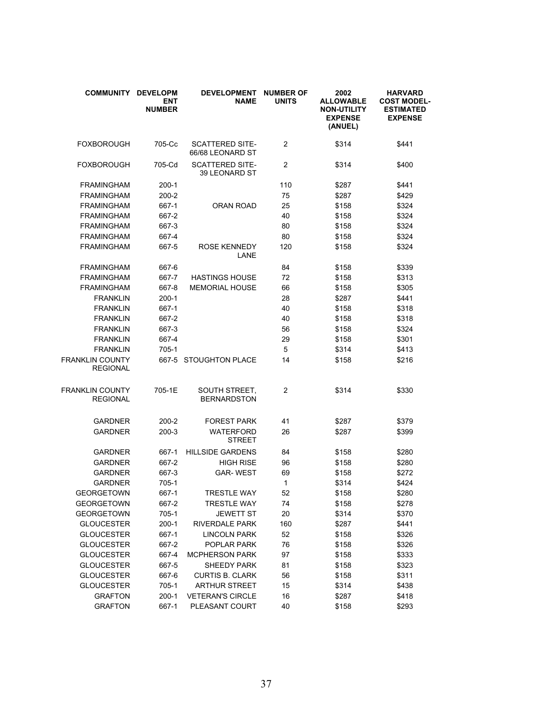| <b>COMMUNITY</b>                   | <b>DEVELOPM</b><br><b>ENT</b><br><b>NUMBER</b> | <b>DEVELOPMENT</b><br><b>NAME</b>          | <b>NUMBER OF</b><br><b>UNITS</b> | 2002<br><b>ALLOWABLE</b><br><b>NON-UTILITY</b><br><b>EXPENSE</b><br>(ANUEL) | <b>HARVARD</b><br><b>COST MODEL-</b><br><b>ESTIMATED</b><br><b>EXPENSE</b> |
|------------------------------------|------------------------------------------------|--------------------------------------------|----------------------------------|-----------------------------------------------------------------------------|----------------------------------------------------------------------------|
| <b>FOXBOROUGH</b>                  | 705-Cc                                         | <b>SCATTERED SITE-</b><br>66/68 LEONARD ST | $\overline{2}$                   | \$314                                                                       | \$441                                                                      |
| FOXBOROUGH                         | 705-Cd                                         | <b>SCATTERED SITE-</b><br>39 LEONARD ST    | 2                                | \$314                                                                       | \$400                                                                      |
| <b>FRAMINGHAM</b>                  | 200-1                                          |                                            | 110                              | \$287                                                                       | \$441                                                                      |
| <b>FRAMINGHAM</b>                  | 200-2                                          |                                            | 75                               | \$287                                                                       | \$429                                                                      |
| <b>FRAMINGHAM</b>                  | 667-1                                          | <b>ORAN ROAD</b>                           | 25                               | \$158                                                                       | \$324                                                                      |
| <b>FRAMINGHAM</b>                  | 667-2                                          |                                            | 40                               | \$158                                                                       | \$324                                                                      |
| <b>FRAMINGHAM</b>                  | 667-3                                          |                                            | 80                               | \$158                                                                       | \$324                                                                      |
| <b>FRAMINGHAM</b>                  | 667-4                                          |                                            | 80                               | \$158                                                                       | \$324                                                                      |
| <b>FRAMINGHAM</b>                  | 667-5                                          | <b>ROSE KENNEDY</b><br>LANE                | 120                              | \$158                                                                       | \$324                                                                      |
| <b>FRAMINGHAM</b>                  | 667-6                                          |                                            | 84                               | \$158                                                                       | \$339                                                                      |
| <b>FRAMINGHAM</b>                  | 667-7                                          | <b>HASTINGS HOUSE</b>                      | 72                               | \$158                                                                       | \$313                                                                      |
| <b>FRAMINGHAM</b>                  | 667-8                                          | <b>MEMORIAL HOUSE</b>                      | 66                               | \$158                                                                       | \$305                                                                      |
| <b>FRANKLIN</b>                    | $200-1$                                        |                                            | 28                               | \$287                                                                       | \$441                                                                      |
| <b>FRANKLIN</b>                    | 667-1                                          |                                            | 40                               | \$158                                                                       | \$318                                                                      |
| <b>FRANKLIN</b>                    | 667-2                                          |                                            | 40                               | \$158                                                                       | \$318                                                                      |
| <b>FRANKLIN</b>                    | 667-3                                          |                                            | 56                               | \$158                                                                       | \$324                                                                      |
| <b>FRANKLIN</b>                    | 667-4                                          |                                            | 29                               | \$158                                                                       | \$301                                                                      |
| <b>FRANKLIN</b>                    | 705-1                                          |                                            | 5                                | \$314                                                                       | \$413                                                                      |
| FRANKLIN COUNTY<br><b>REGIONAL</b> |                                                | 667-5 STOUGHTON PLACE                      | 14                               | \$158                                                                       | \$216                                                                      |
| FRANKLIN COUNTY<br><b>REGIONAL</b> | 705-1E                                         | SOUTH STREET,<br><b>BERNARDSTON</b>        | 2                                | \$314                                                                       | \$330                                                                      |
| <b>GARDNER</b>                     | 200-2                                          | <b>FOREST PARK</b>                         | 41                               | \$287                                                                       | \$379                                                                      |
| <b>GARDNER</b>                     | 200-3                                          | <b>WATERFORD</b><br><b>STREET</b>          | 26                               | \$287                                                                       | \$399                                                                      |
| <b>GARDNER</b>                     | 667-1                                          | <b>HILLSIDE GARDENS</b>                    | 84                               | \$158                                                                       | \$280                                                                      |
| <b>GARDNER</b>                     | 667-2                                          | <b>HIGH RISE</b>                           | 96                               | \$158                                                                       | \$280                                                                      |
| <b>GARDNER</b>                     | 667-3                                          | <b>GAR-WEST</b>                            | 69                               | \$158                                                                       | \$272                                                                      |
| <b>GARDNER</b>                     | 705-1                                          |                                            | 1                                | \$314                                                                       | \$424                                                                      |
| <b>GEORGETOWN</b>                  | 667-1                                          | <b>TRESTLE WAY</b>                         | 52                               | \$158                                                                       | \$280                                                                      |
| <b>GEORGETOWN</b>                  | 667-2                                          | <b>TRESTLE WAY</b>                         | 74                               | \$158                                                                       | \$278                                                                      |
| <b>GEORGETOWN</b>                  | $705-1$                                        | JEWETT ST                                  | 20                               | \$314                                                                       | \$370                                                                      |
| <b>GLOUCESTER</b>                  | $200-1$                                        | <b>RIVERDALE PARK</b>                      | 160                              | \$287                                                                       | \$441                                                                      |
| <b>GLOUCESTER</b>                  | 667-1                                          | <b>LINCOLN PARK</b>                        | 52                               | \$158                                                                       | \$326                                                                      |
| <b>GLOUCESTER</b>                  | 667-2                                          | POPLAR PARK                                | 76                               | \$158                                                                       | \$326                                                                      |
| <b>GLOUCESTER</b>                  | 667-4                                          | <b>MCPHERSON PARK</b>                      | 97                               | \$158                                                                       | \$333                                                                      |
| <b>GLOUCESTER</b>                  | 667-5                                          | <b>SHEEDY PARK</b>                         | 81                               | \$158                                                                       | \$323                                                                      |
| <b>GLOUCESTER</b>                  | 667-6                                          | <b>CURTIS B. CLARK</b>                     | 56                               | \$158                                                                       | \$311                                                                      |
| <b>GLOUCESTER</b>                  | 705-1                                          | <b>ARTHUR STREET</b>                       | 15                               | \$314                                                                       | \$438                                                                      |
| <b>GRAFTON</b>                     | $200-1$                                        | <b>VETERAN'S CIRCLE</b>                    | 16                               | \$287                                                                       | \$418                                                                      |
| <b>GRAFTON</b>                     | 667-1                                          | PLEASANT COURT                             | 40                               | \$158                                                                       | \$293                                                                      |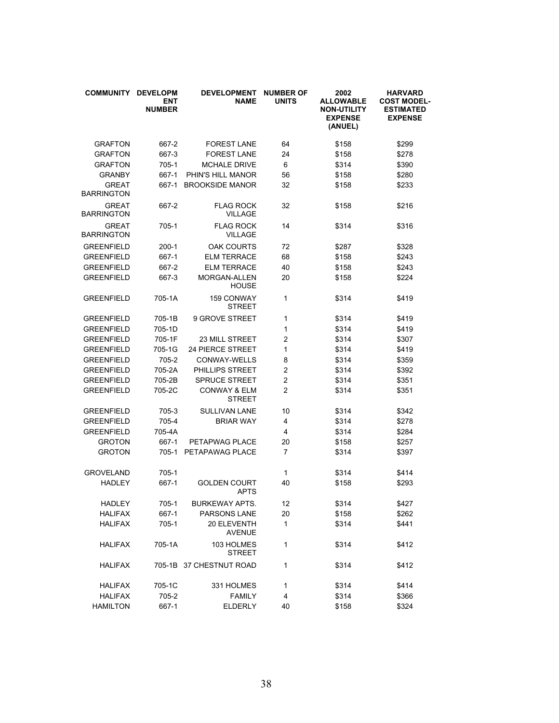| <b>COMMUNITY</b>                  | <b>DEVELOPM</b><br><b>ENT</b><br><b>NUMBER</b> | <b>DEVELOPMENT</b><br><b>NAME</b>        | <b>NUMBER OF</b><br><b>UNITS</b> | 2002<br><b>ALLOWABLE</b><br><b>NON-UTILITY</b><br><b>EXPENSE</b><br>(ANUEL) | <b>HARVARD</b><br><b>COST MODEL-</b><br><b>ESTIMATED</b><br><b>EXPENSE</b> |
|-----------------------------------|------------------------------------------------|------------------------------------------|----------------------------------|-----------------------------------------------------------------------------|----------------------------------------------------------------------------|
| <b>GRAFTON</b>                    | 667-2                                          | <b>FOREST LANE</b>                       | 64                               | \$158                                                                       | \$299                                                                      |
| <b>GRAFTON</b>                    | 667-3                                          | <b>FOREST LANE</b>                       | 24                               | \$158                                                                       | \$278                                                                      |
| <b>GRAFTON</b>                    | 705-1                                          | <b>MCHALE DRIVE</b>                      | 6                                | \$314                                                                       | \$390                                                                      |
| <b>GRANBY</b>                     | 667-1                                          | PHIN'S HILL MANOR                        | 56                               | \$158                                                                       | \$280                                                                      |
| <b>GREAT</b><br><b>BARRINGTON</b> | 667-1                                          | <b>BROOKSIDE MANOR</b>                   | 32                               | \$158                                                                       | \$233                                                                      |
| <b>GREAT</b><br>BARRINGTON        | 667-2                                          | <b>FLAG ROCK</b><br><b>VILLAGE</b>       | 32                               | \$158                                                                       | \$216                                                                      |
| <b>GREAT</b><br><b>BARRINGTON</b> | 705-1                                          | <b>FLAG ROCK</b><br><b>VILLAGE</b>       | 14                               | \$314                                                                       | \$316                                                                      |
| <b>GREENFIELD</b>                 | $200-1$                                        | <b>OAK COURTS</b>                        | 72                               | \$287                                                                       | \$328                                                                      |
| <b>GREENFIELD</b>                 | 667-1                                          | <b>ELM TERRACE</b>                       | 68                               | \$158                                                                       | \$243                                                                      |
| <b>GREENFIELD</b>                 | 667-2                                          | <b>ELM TERRACE</b>                       | 40                               | \$158                                                                       | \$243                                                                      |
| <b>GREENFIELD</b>                 | 667-3                                          | <b>MORGAN-ALLEN</b><br><b>HOUSE</b>      | 20                               | \$158                                                                       | \$224                                                                      |
| <b>GREENFIELD</b>                 | 705-1A                                         | <b>159 CONWAY</b><br><b>STREET</b>       | 1                                | \$314                                                                       | \$419                                                                      |
| <b>GREENFIELD</b>                 | 705-1B                                         | 9 GROVE STREET                           | 1                                | \$314                                                                       | \$419                                                                      |
| <b>GREENFIELD</b>                 | 705-1D                                         |                                          | 1                                | \$314                                                                       | \$419                                                                      |
| <b>GREENFIELD</b>                 | 705-1F                                         | <b>23 MILL STREET</b>                    | 2                                | \$314                                                                       | \$307                                                                      |
| <b>GREENFIELD</b>                 | 705-1G                                         | <b>24 PIERCE STREET</b>                  | 1                                | \$314                                                                       | \$419                                                                      |
| <b>GREENFIELD</b>                 | 705-2                                          | CONWAY-WELLS                             | 8                                | \$314                                                                       | \$359                                                                      |
| <b>GREENFIELD</b>                 | 705-2A                                         | <b>PHILLIPS STREET</b>                   | 2                                | \$314                                                                       | \$392                                                                      |
| <b>GREENFIELD</b>                 | 705-2B                                         | SPRUCE STREET                            | 2                                | \$314                                                                       | \$351                                                                      |
| <b>GREENFIELD</b>                 | 705-2C                                         | <b>CONWAY &amp; ELM</b><br><b>STREET</b> | 2                                | \$314                                                                       | \$351                                                                      |
| <b>GREENFIELD</b>                 | 705-3                                          | SULLIVAN LANE                            | 10                               | \$314                                                                       | \$342                                                                      |
| <b>GREENFIELD</b>                 | 705-4                                          | <b>BRIAR WAY</b>                         | 4                                | \$314                                                                       | \$278                                                                      |
| <b>GREENFIELD</b>                 | 705-4A                                         |                                          | 4                                | \$314                                                                       | \$284                                                                      |
| <b>GROTON</b>                     | 667-1                                          | PETAPWAG PLACE                           | 20                               | \$158                                                                       | \$257                                                                      |
| <b>GROTON</b>                     | 705-1                                          | PETAPAWAG PLACE                          | 7                                | \$314                                                                       | \$397                                                                      |
| <b>GROVELAND</b>                  | 705-1                                          |                                          | 1                                | \$314                                                                       | \$414                                                                      |
| <b>HADLEY</b>                     | 667-1                                          | <b>GOLDEN COURT</b><br><b>APTS</b>       | 40                               | \$158                                                                       | \$293                                                                      |
| <b>HADLEY</b>                     | 705-1                                          | <b>BURKEWAY APTS.</b>                    | 12                               | \$314                                                                       | \$427                                                                      |
| <b>HALIFAX</b>                    | 667-1                                          | <b>PARSONS LANE</b>                      | 20                               | \$158                                                                       | \$262                                                                      |
| <b>HALIFAX</b>                    | 705-1                                          | 20 ELEVENTH<br><b>AVENUE</b>             | $\mathbf{1}$                     | \$314                                                                       | \$441                                                                      |
| <b>HALIFAX</b>                    | 705-1A                                         | 103 HOLMES<br><b>STREET</b>              | 1                                | \$314                                                                       | \$412                                                                      |
| <b>HALIFAX</b>                    |                                                | 705-1B 37 CHESTNUT ROAD                  | 1                                | \$314                                                                       | \$412                                                                      |
| <b>HALIFAX</b>                    | 705-1C                                         | 331 HOLMES                               | 1                                | \$314                                                                       | \$414                                                                      |
| <b>HALIFAX</b>                    | 705-2                                          | <b>FAMILY</b>                            | 4                                | \$314                                                                       | \$366                                                                      |
| <b>HAMILTON</b>                   | 667-1                                          | <b>ELDERLY</b>                           | 40                               | \$158                                                                       | \$324                                                                      |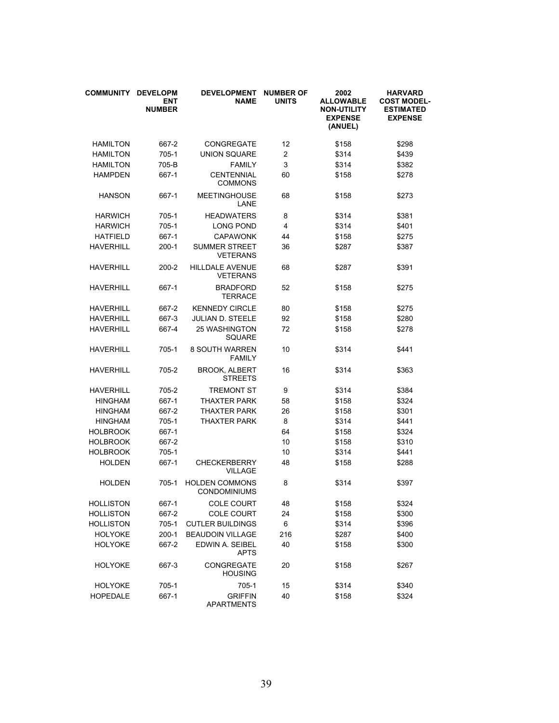| <b>COMMUNITY</b> | <b>DEVELOPM</b><br><b>ENT</b><br><b>NUMBER</b> | <b>DEVELOPMENT</b><br><b>NAME</b>            | <b>NUMBER OF</b><br><b>UNITS</b> | 2002<br><b>ALLOWABLE</b><br><b>NON-UTILITY</b><br><b>EXPENSE</b><br>(ANUEL) | <b>HARVARD</b><br><b>COST MODEL-</b><br><b>ESTIMATED</b><br><b>EXPENSE</b> |
|------------------|------------------------------------------------|----------------------------------------------|----------------------------------|-----------------------------------------------------------------------------|----------------------------------------------------------------------------|
| <b>HAMILTON</b>  | 667-2                                          | <b>CONGREGATE</b>                            | 12                               | \$158                                                                       | \$298                                                                      |
| <b>HAMILTON</b>  | $705-1$                                        | <b>UNION SQUARE</b>                          | $\overline{c}$                   | \$314                                                                       | \$439                                                                      |
| <b>HAMILTON</b>  | 705-B                                          | <b>FAMILY</b>                                | 3                                | \$314                                                                       | \$382                                                                      |
| <b>HAMPDEN</b>   | 667-1                                          | <b>CENTENNIAL</b><br><b>COMMONS</b>          | 60                               | \$158                                                                       | \$278                                                                      |
| <b>HANSON</b>    | 667-1                                          | <b>MEETINGHOUSE</b><br>LANE                  | 68                               | \$158                                                                       | \$273                                                                      |
| <b>HARWICH</b>   | 705-1                                          | <b>HEADWATERS</b>                            | 8                                | \$314                                                                       | \$381                                                                      |
| <b>HARWICH</b>   | 705-1                                          | <b>LONG POND</b>                             | 4                                | \$314                                                                       | \$401                                                                      |
| <b>HATFIELD</b>  | 667-1                                          | <b>CAPAWONK</b>                              | 44                               | \$158                                                                       | \$275                                                                      |
| <b>HAVERHILL</b> | 200-1                                          | <b>SUMMER STREET</b><br><b>VETERANS</b>      | 36                               | \$287                                                                       | \$387                                                                      |
| HAVERHILL        | 200-2                                          | <b>HILLDALE AVENUE</b><br><b>VETERANS</b>    | 68                               | \$287                                                                       | \$391                                                                      |
| <b>HAVERHILL</b> | 667-1                                          | <b>BRADFORD</b><br>TERRACE                   | 52                               | \$158                                                                       | \$275                                                                      |
| <b>HAVERHILL</b> | 667-2                                          | <b>KENNEDY CIRCLE</b>                        | 80                               | \$158                                                                       | \$275                                                                      |
| <b>HAVERHILL</b> | 667-3                                          | JULIAN D. STEELE                             | 92                               | \$158                                                                       | \$280                                                                      |
| <b>HAVERHILL</b> | 667-4                                          | <b>25 WASHINGTON</b><br>SQUARE               | 72                               | \$158                                                                       | \$278                                                                      |
| <b>HAVERHILL</b> | 705-1                                          | <b>8 SOUTH WARREN</b><br><b>FAMILY</b>       | 10                               | \$314                                                                       | \$441                                                                      |
| HAVERHILL        | 705-2                                          | <b>BROOK, ALBERT</b><br><b>STREETS</b>       | 16                               | \$314                                                                       | \$363                                                                      |
| HAVERHILL        | 705-2                                          | <b>TREMONT ST</b>                            | 9                                | \$314                                                                       | \$384                                                                      |
| <b>HINGHAM</b>   | 667-1                                          | THAXTER PARK                                 | 58                               | \$158                                                                       | \$324                                                                      |
| <b>HINGHAM</b>   | 667-2                                          | <b>THAXTER PARK</b>                          | 26                               | \$158                                                                       | \$301                                                                      |
| <b>HINGHAM</b>   | 705-1                                          | <b>THAXTER PARK</b>                          | 8                                | \$314                                                                       | \$441                                                                      |
| <b>HOLBROOK</b>  | 667-1                                          |                                              | 64                               | \$158                                                                       | \$324                                                                      |
| <b>HOLBROOK</b>  | 667-2                                          |                                              | 10                               | \$158                                                                       | \$310                                                                      |
| <b>HOLBROOK</b>  | 705-1                                          |                                              | 10                               | \$314                                                                       | \$441                                                                      |
| <b>HOLDEN</b>    | 667-1                                          | <b>CHECKERBERRY</b><br><b>VILLAGE</b>        | 48                               | \$158                                                                       | \$288                                                                      |
| <b>HOLDEN</b>    | $705-1$                                        | <b>HOLDEN COMMONS</b><br><b>CONDOMINIUMS</b> | 8                                | \$314                                                                       | \$397                                                                      |
| <b>HOLLISTON</b> | 667-1                                          | <b>COLE COURT</b>                            | 48                               | \$158                                                                       | \$324                                                                      |
| <b>HOLLISTON</b> | 667-2                                          | <b>COLE COURT</b>                            | 24                               | \$158                                                                       | \$300                                                                      |
| <b>HOLLISTON</b> | 705-1                                          | <b>CUTLER BUILDINGS</b>                      | 6                                | \$314                                                                       | \$396                                                                      |
| <b>HOLYOKE</b>   | $200-1$                                        | <b>BEAUDOIN VILLAGE</b>                      | 216                              | \$287                                                                       | \$400                                                                      |
| <b>HOLYOKE</b>   | 667-2                                          | EDWIN A. SEIBEL<br><b>APTS</b>               | 40                               | \$158                                                                       | \$300                                                                      |
| <b>HOLYOKE</b>   | 667-3                                          | <b>CONGREGATE</b><br><b>HOUSING</b>          | 20                               | \$158                                                                       | \$267                                                                      |
| <b>HOLYOKE</b>   | 705-1                                          | $705-1$                                      | 15                               | \$314                                                                       | \$340                                                                      |
| <b>HOPEDALE</b>  | 667-1                                          | <b>GRIFFIN</b><br>APARTMENTS                 | 40                               | \$158                                                                       | \$324                                                                      |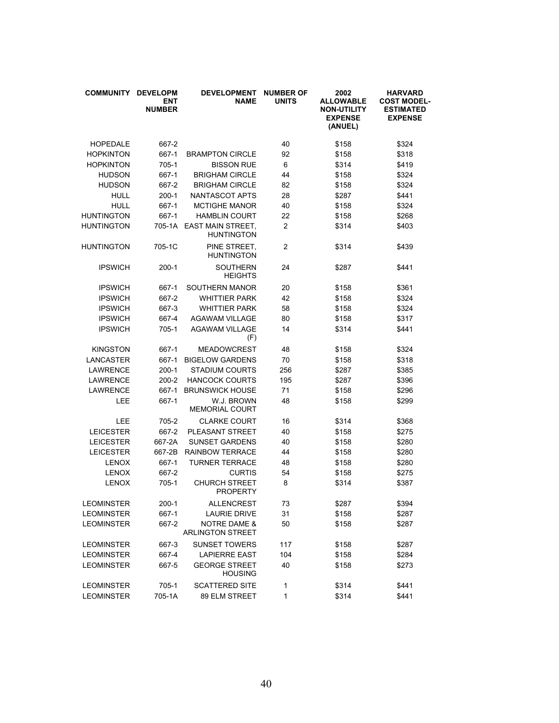| <b>COMMUNITY</b>  | <b>DEVELOPM</b><br><b>ENT</b><br><b>NUMBER</b> | <b>DEVELOPMENT</b><br><b>NAME</b>                  | <b>NUMBER OF</b><br><b>UNITS</b> | 2002<br><b>ALLOWABLE</b><br><b>NON-UTILITY</b><br><b>EXPENSE</b><br>(ANUEL) | <b>HARVARD</b><br><b>COST MODEL-</b><br><b>ESTIMATED</b><br><b>EXPENSE</b> |
|-------------------|------------------------------------------------|----------------------------------------------------|----------------------------------|-----------------------------------------------------------------------------|----------------------------------------------------------------------------|
| <b>HOPEDALE</b>   | 667-2                                          |                                                    | 40                               | \$158                                                                       | \$324                                                                      |
| <b>HOPKINTON</b>  | 667-1                                          | <b>BRAMPTON CIRCLE</b>                             | 92                               | \$158                                                                       | \$318                                                                      |
| <b>HOPKINTON</b>  | 705-1                                          | <b>BISSON RUE</b>                                  | 6                                | \$314                                                                       | \$419                                                                      |
| <b>HUDSON</b>     | 667-1                                          | <b>BRIGHAM CIRCLE</b>                              | 44                               | \$158                                                                       | \$324                                                                      |
| <b>HUDSON</b>     | 667-2                                          | <b>BRIGHAM CIRCLE</b>                              | 82                               | \$158                                                                       | \$324                                                                      |
| <b>HULL</b>       | $200-1$                                        | NANTASCOT APTS                                     | 28                               | \$287                                                                       | \$441                                                                      |
| <b>HULL</b>       | 667-1                                          | <b>MCTIGHE MANOR</b>                               | 40                               | \$158                                                                       | \$324                                                                      |
| <b>HUNTINGTON</b> | 667-1                                          | <b>HAMBLIN COURT</b>                               | 22                               | \$158                                                                       | \$268                                                                      |
| <b>HUNTINGTON</b> | 705-1A                                         | <b>EAST MAIN STREET,</b><br><b>HUNTINGTON</b>      | 2                                | \$314                                                                       | \$403                                                                      |
| <b>HUNTINGTON</b> | 705-1C                                         | PINE STREET.<br><b>HUNTINGTON</b>                  | 2                                | \$314                                                                       | \$439                                                                      |
| <b>IPSWICH</b>    | $200-1$                                        | <b>SOUTHERN</b><br><b>HEIGHTS</b>                  | 24                               | \$287                                                                       | \$441                                                                      |
| <b>IPSWICH</b>    | 667-1                                          | SOUTHERN MANOR                                     | 20                               | \$158                                                                       | \$361                                                                      |
| <b>IPSWICH</b>    | 667-2                                          | <b>WHITTIER PARK</b>                               | 42                               | \$158                                                                       | \$324                                                                      |
| <b>IPSWICH</b>    | 667-3                                          | <b>WHITTIER PARK</b>                               | 58                               | \$158                                                                       | \$324                                                                      |
| <b>IPSWICH</b>    | 667-4                                          | <b>AGAWAM VILLAGE</b>                              | 80                               | \$158                                                                       | \$317                                                                      |
| <b>IPSWICH</b>    | 705-1                                          | <b>AGAWAM VILLAGE</b><br>(F)                       | 14                               | \$314                                                                       | \$441                                                                      |
| <b>KINGSTON</b>   | 667-1                                          | <b>MEADOWCREST</b>                                 | 48                               | \$158                                                                       | \$324                                                                      |
| LANCASTER         | 667-1                                          | <b>BIGELOW GARDENS</b>                             | 70                               | \$158                                                                       | \$318                                                                      |
| <b>LAWRENCE</b>   | $200-1$                                        | <b>STADIUM COURTS</b>                              | 256                              | \$287                                                                       | \$385                                                                      |
| <b>LAWRENCE</b>   | 200-2                                          | <b>HANCOCK COURTS</b>                              | 195                              | \$287                                                                       | \$396                                                                      |
| <b>LAWRENCE</b>   | 667-1                                          | <b>BRUNSWICK HOUSE</b>                             | 71                               | \$158                                                                       | \$296                                                                      |
| LEE               | 667-1                                          | W.J. BROWN<br><b>MEMORIAL COURT</b>                | 48                               | \$158                                                                       | \$299                                                                      |
| LEE               | 705-2                                          | <b>CLARKE COURT</b>                                | 16                               | \$314                                                                       | \$368                                                                      |
| <b>LEICESTER</b>  | 667-2                                          | PLEASANT STREET                                    | 40                               | \$158                                                                       | \$275                                                                      |
| <b>LEICESTER</b>  | 667-2A                                         | <b>SUNSET GARDENS</b>                              | 40                               | \$158                                                                       | \$280                                                                      |
| <b>LEICESTER</b>  | 667-2B                                         | <b>RAINBOW TERRACE</b>                             | 44                               | \$158                                                                       | \$280                                                                      |
| <b>LENOX</b>      | 667-1                                          | <b>TURNER TERRACE</b>                              | 48                               | \$158                                                                       | \$280                                                                      |
| <b>LENOX</b>      | 667-2                                          | <b>CURTIS</b>                                      | 54                               | \$158                                                                       | \$275                                                                      |
| <b>LENOX</b>      | 705-1                                          | <b>CHURCH STREET</b><br><b>PROPERTY</b>            | 8                                | \$314                                                                       | \$387                                                                      |
| <b>LEOMINSTER</b> | 200-1                                          | <b>ALLENCREST</b>                                  | 73                               | \$287                                                                       | \$394                                                                      |
| <b>LEOMINSTER</b> | 667-1                                          | <b>LAURIE DRIVE</b>                                | 31                               | \$158                                                                       | \$287                                                                      |
| <b>LEOMINSTER</b> | 667-2                                          | <b>NOTRE DAME &amp;</b><br><b>ARLINGTON STREET</b> | 50                               | \$158                                                                       | \$287                                                                      |
| <b>LEOMINSTER</b> | 667-3                                          | <b>SUNSET TOWERS</b>                               | 117                              | \$158                                                                       | \$287                                                                      |
| <b>LEOMINSTER</b> | 667-4                                          | <b>LAPIERRE EAST</b>                               | 104                              | \$158                                                                       | \$284                                                                      |
| <b>LEOMINSTER</b> | 667-5                                          | <b>GEORGE STREET</b><br><b>HOUSING</b>             | 40                               | \$158                                                                       | \$273                                                                      |
| <b>LEOMINSTER</b> | 705-1                                          | <b>SCATTERED SITE</b>                              | 1                                | \$314                                                                       | \$441                                                                      |
| <b>LEOMINSTER</b> | 705-1A                                         | 89 ELM STREET                                      | 1                                | \$314                                                                       | \$441                                                                      |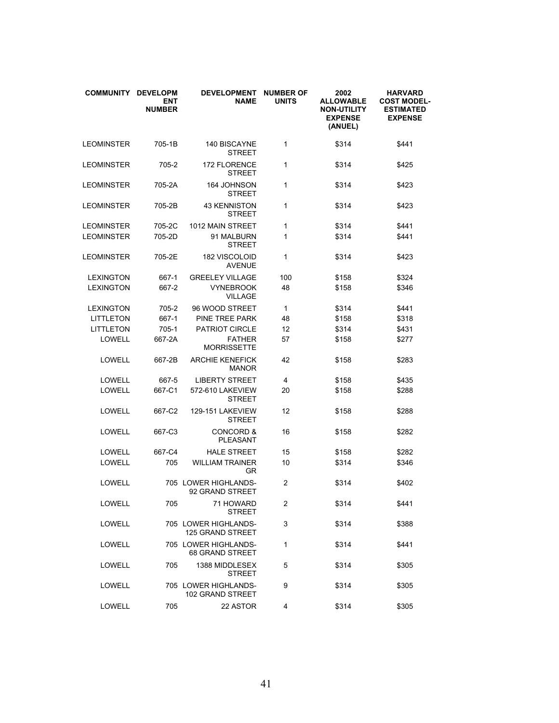| <b>COMMUNITY</b>  | <b>DEVELOPM</b><br><b>ENT</b><br><b>NUMBER</b> | <b>DEVELOPMENT</b><br><b>NAME</b>               | <b>NUMBER OF</b><br><b>UNITS</b> | 2002<br><b>ALLOWABLE</b><br><b>NON-UTILITY</b><br><b>EXPENSE</b><br>(ANUEL) | <b>HARVARD</b><br><b>COST MODEL-</b><br><b>ESTIMATED</b><br><b>EXPENSE</b> |
|-------------------|------------------------------------------------|-------------------------------------------------|----------------------------------|-----------------------------------------------------------------------------|----------------------------------------------------------------------------|
| <b>LEOMINSTER</b> | 705-1B                                         | 140 BISCAYNE<br><b>STREET</b>                   | 1                                | \$314                                                                       | \$441                                                                      |
| <b>LEOMINSTER</b> | 705-2                                          | <b>172 FLORENCE</b><br><b>STREET</b>            | 1                                | \$314                                                                       | \$425                                                                      |
| <b>LEOMINSTER</b> | 705-2A                                         | 164 JOHNSON<br><b>STREET</b>                    | 1                                | \$314                                                                       | \$423                                                                      |
| LEOMINSTER        | 705-2B                                         | <b>43 KENNISTON</b><br><b>STREET</b>            | 1                                | \$314                                                                       | \$423                                                                      |
| <b>LEOMINSTER</b> | 705-2C                                         | 1012 MAIN STREET                                | 1                                | \$314                                                                       | \$441                                                                      |
| <b>LEOMINSTER</b> | 705-2D                                         | 91 MALBURN<br><b>STREET</b>                     | 1                                | \$314                                                                       | \$441                                                                      |
| <b>LEOMINSTER</b> | 705-2E                                         | 182 VISCOLOID<br><b>AVENUE</b>                  | 1                                | \$314                                                                       | \$423                                                                      |
| <b>LEXINGTON</b>  | 667-1                                          | <b>GREELEY VILLAGE</b>                          | 100                              | \$158                                                                       | \$324                                                                      |
| <b>LEXINGTON</b>  | 667-2                                          | <b>VYNEBROOK</b><br><b>VILLAGE</b>              | 48                               | \$158                                                                       | \$346                                                                      |
| <b>LEXINGTON</b>  | 705-2                                          | 96 WOOD STREET                                  | 1                                | \$314                                                                       | \$441                                                                      |
| <b>LITTLETON</b>  | 667-1                                          | PINE TREE PARK                                  | 48                               | \$158                                                                       | \$318                                                                      |
| <b>LITTLETON</b>  | $705-1$                                        | <b>PATRIOT CIRCLE</b>                           | 12                               | \$314                                                                       | \$431                                                                      |
| LOWELL            | 667-2A                                         | <b>FATHER</b><br><b>MORRISSETTE</b>             | 57                               | \$158                                                                       | \$277                                                                      |
| LOWELL            | 667-2B                                         | <b>ARCHIE KENEFICK</b><br><b>MANOR</b>          | 42                               | \$158                                                                       | \$283                                                                      |
| LOWELL            | 667-5                                          | <b>LIBERTY STREET</b>                           | 4                                | \$158                                                                       | \$435                                                                      |
| LOWELL            | 667-C1                                         | 572-610 LAKEVIEW<br><b>STREET</b>               | 20                               | \$158                                                                       | \$288                                                                      |
| LOWELL            | 667-C2                                         | 129-151 LAKEVIEW<br><b>STREET</b>               | 12                               | \$158                                                                       | \$288                                                                      |
| LOWELL            | 667-C3                                         | <b>CONCORD &amp;</b><br><b>PLEASANT</b>         | 16                               | \$158                                                                       | \$282                                                                      |
| LOWELL            | 667-C4                                         | <b>HALE STREET</b>                              | 15                               | \$158                                                                       | \$282                                                                      |
| LOWELL            | 705                                            | <b>WILLIAM TRAINER</b><br>GR                    | 10                               | \$314                                                                       | \$346                                                                      |
| LOWELL            |                                                | 705 LOWER HIGHLANDS-<br>92 GRAND STREET         | $\overline{2}$                   | \$314                                                                       | \$402                                                                      |
| LOWELL            | 705                                            | 71 HOWARD<br><b>STREET</b>                      | 2                                | \$314                                                                       | \$441                                                                      |
| LOWELL            |                                                | 705 LOWER HIGHLANDS-<br><b>125 GRAND STREET</b> | 3                                | \$314                                                                       | \$388                                                                      |
| LOWELL            |                                                | 705 LOWER HIGHLANDS-<br><b>68 GRAND STREET</b>  | 1                                | \$314                                                                       | \$441                                                                      |
| LOWELL            | 705                                            | 1388 MIDDLESEX<br><b>STREET</b>                 | 5                                | \$314                                                                       | \$305                                                                      |
| LOWELL            |                                                | 705 LOWER HIGHLANDS-<br>102 GRAND STREET        | 9                                | \$314                                                                       | \$305                                                                      |
| LOWELL            | 705                                            | 22 ASTOR                                        | 4                                | \$314                                                                       | \$305                                                                      |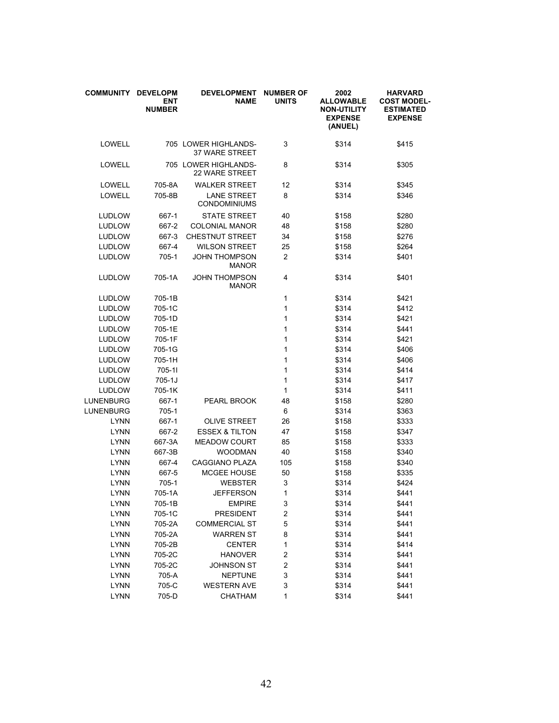| <b>COMMUNITY</b> | <b>DEVELOPM</b><br><b>ENT</b><br><b>NUMBER</b> | <b>DEVELOPMENT</b><br><b>NAME</b>             | <b>NUMBER OF</b><br><b>UNITS</b> | 2002<br><b>ALLOWABLE</b><br><b>NON-UTILITY</b><br><b>EXPENSE</b><br>(ANUEL) | <b>HARVARD</b><br><b>COST MODEL-</b><br><b>ESTIMATED</b><br><b>EXPENSE</b> |
|------------------|------------------------------------------------|-----------------------------------------------|----------------------------------|-----------------------------------------------------------------------------|----------------------------------------------------------------------------|
| LOWELL           |                                                | 705 LOWER HIGHLANDS-<br><b>37 WARE STREET</b> | 3                                | \$314                                                                       | \$415                                                                      |
| LOWELL           |                                                | 705 LOWER HIGHLANDS-<br><b>22 WARE STREET</b> | 8                                | \$314                                                                       | \$305                                                                      |
| LOWELL           | 705-8A                                         | <b>WALKER STREET</b>                          | 12                               | \$314                                                                       | \$345                                                                      |
| LOWELL           | 705-8B                                         | <b>LANE STREET</b><br><b>CONDOMINIUMS</b>     | 8                                | \$314                                                                       | \$346                                                                      |
| <b>LUDLOW</b>    | 667-1                                          | <b>STATE STREET</b>                           | 40                               | \$158                                                                       | \$280                                                                      |
| <b>LUDLOW</b>    | 667-2                                          | <b>COLONIAL MANOR</b>                         | 48                               | \$158                                                                       | \$280                                                                      |
| <b>LUDLOW</b>    | 667-3                                          | <b>CHESTNUT STREET</b>                        | 34                               | \$158                                                                       | \$276                                                                      |
| <b>LUDLOW</b>    | 667-4                                          | <b>WILSON STREET</b>                          | 25                               | \$158                                                                       | \$264                                                                      |
| <b>LUDLOW</b>    | 705-1                                          | <b>JOHN THOMPSON</b><br><b>MANOR</b>          | $\overline{2}$                   | \$314                                                                       | \$401                                                                      |
| <b>LUDLOW</b>    | 705-1A                                         | <b>JOHN THOMPSON</b><br><b>MANOR</b>          | 4                                | \$314                                                                       | \$401                                                                      |
| <b>LUDLOW</b>    | 705-1B                                         |                                               | 1                                | \$314                                                                       | \$421                                                                      |
| <b>LUDLOW</b>    | 705-1C                                         |                                               | 1                                | \$314                                                                       | \$412                                                                      |
| <b>LUDLOW</b>    | 705-1D                                         |                                               | 1                                | \$314                                                                       | \$421                                                                      |
| <b>LUDLOW</b>    | 705-1E                                         |                                               | 1                                | \$314                                                                       | \$441                                                                      |
| <b>LUDLOW</b>    | 705-1F                                         |                                               | 1                                | \$314                                                                       | \$421                                                                      |
| <b>LUDLOW</b>    | 705-1G                                         |                                               | 1                                | \$314                                                                       | \$406                                                                      |
| <b>LUDLOW</b>    | 705-1H                                         |                                               | 1                                | \$314                                                                       | \$406                                                                      |
| <b>LUDLOW</b>    | 705-11                                         |                                               | 1                                | \$314                                                                       | \$414                                                                      |
| <b>LUDLOW</b>    | $705 - 1J$                                     |                                               | 1                                | \$314                                                                       | \$417                                                                      |
| <b>LUDLOW</b>    | 705-1K                                         |                                               | 1                                | \$314                                                                       | \$411                                                                      |
| LUNENBURG        | 667-1                                          | PEARL BROOK                                   | 48                               | \$158                                                                       | \$280                                                                      |
| LUNENBURG        | 705-1                                          |                                               | 6                                | \$314                                                                       | \$363                                                                      |
| <b>LYNN</b>      | 667-1                                          | <b>OLIVE STREET</b>                           | 26                               | \$158                                                                       | \$333                                                                      |
| <b>LYNN</b>      | 667-2                                          | <b>ESSEX &amp; TILTON</b>                     | 47                               | \$158                                                                       | \$347                                                                      |
| <b>LYNN</b>      | 667-3A                                         | <b>MEADOW COURT</b>                           | 85                               | \$158                                                                       | \$333                                                                      |
| <b>LYNN</b>      | 667-3B                                         | <b>WOODMAN</b>                                | 40                               | \$158                                                                       | \$340                                                                      |
| <b>LYNN</b>      | 667-4                                          | <b>CAGGIANO PLAZA</b>                         | 105                              | \$158                                                                       | \$340                                                                      |
| <b>LYNN</b>      | 667-5                                          | <b>MCGEE HOUSE</b>                            | 50                               | \$158                                                                       | \$335                                                                      |
| <b>LYNN</b>      | 705-1                                          | <b>WEBSTER</b>                                | 3                                | \$314                                                                       | \$424                                                                      |
| LYNN             | 705-1A                                         | <b>JEFFERSON</b>                              | 1                                | \$314                                                                       | \$441                                                                      |
| <b>LYNN</b>      | 705-1B                                         | <b>EMPIRE</b>                                 | 3                                | \$314                                                                       | \$441                                                                      |
| <b>LYNN</b>      | 705-1C                                         | <b>PRESIDENT</b>                              | $\overline{\mathbf{c}}$          | \$314                                                                       | \$441                                                                      |
| <b>LYNN</b>      | 705-2A                                         | <b>COMMERCIAL ST</b>                          | 5                                | \$314                                                                       | \$441                                                                      |
| <b>LYNN</b>      | 705-2A                                         | <b>WARREN ST</b>                              | 8                                | \$314                                                                       | \$441                                                                      |
| <b>LYNN</b>      | 705-2B                                         | <b>CENTER</b>                                 | 1                                | \$314                                                                       | \$414                                                                      |
| <b>LYNN</b>      | 705-2C                                         | <b>HANOVER</b>                                | $\overline{\mathbf{c}}$          | \$314                                                                       | \$441                                                                      |
| <b>LYNN</b>      | 705-2C                                         | <b>JOHNSON ST</b>                             | 2                                | \$314                                                                       | \$441                                                                      |
| <b>LYNN</b>      | 705-A                                          | NEPTUNE                                       | 3                                | \$314                                                                       | \$441                                                                      |
| <b>LYNN</b>      | 705-C                                          | <b>WESTERN AVE</b>                            | 3                                | \$314                                                                       | \$441                                                                      |
| LYNN             | 705-D                                          | CHATHAM                                       | 1                                | \$314                                                                       | \$441                                                                      |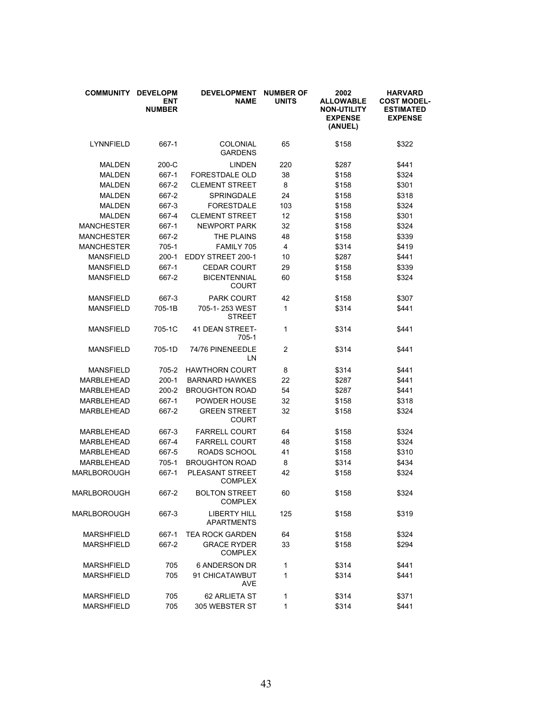| <b>COMMUNITY</b>  | <b>DEVELOPM</b><br><b>ENT</b><br><b>NUMBER</b> | <b>DEVELOPMENT</b><br><b>NAME</b>        | <b>NUMBER OF</b><br><b>UNITS</b> | 2002<br><b>ALLOWABLE</b><br><b>NON-UTILITY</b><br><b>EXPENSE</b><br>(ANUEL) | <b>HARVARD</b><br><b>COST MODEL-</b><br><b>ESTIMATED</b><br><b>EXPENSE</b> |
|-------------------|------------------------------------------------|------------------------------------------|----------------------------------|-----------------------------------------------------------------------------|----------------------------------------------------------------------------|
| LYNNFIELD         | 667-1                                          | COLONIAL<br><b>GARDENS</b>               | 65                               | \$158                                                                       | \$322                                                                      |
| <b>MALDEN</b>     | 200-C                                          | <b>LINDEN</b>                            | 220                              | \$287                                                                       | \$441                                                                      |
| <b>MALDEN</b>     | 667-1                                          | <b>FORESTDALE OLD</b>                    | 38                               | \$158                                                                       | \$324                                                                      |
| <b>MALDEN</b>     | 667-2                                          | <b>CLEMENT STREET</b>                    | 8                                | \$158                                                                       | \$301                                                                      |
| <b>MALDEN</b>     | 667-2                                          | <b>SPRINGDALE</b>                        | 24                               | \$158                                                                       | \$318                                                                      |
| <b>MALDEN</b>     | 667-3                                          | <b>FORESTDALE</b>                        | 103                              | \$158                                                                       | \$324                                                                      |
| <b>MALDEN</b>     | 667-4                                          | <b>CLEMENT STREET</b>                    | 12                               | \$158                                                                       | \$301                                                                      |
| <b>MANCHESTER</b> | 667-1                                          | <b>NEWPORT PARK</b>                      | 32                               | \$158                                                                       | \$324                                                                      |
| <b>MANCHESTER</b> | 667-2                                          | THE PLAINS                               | 48                               | \$158                                                                       | \$339                                                                      |
| <b>MANCHESTER</b> | 705-1                                          | FAMILY 705                               | 4                                | \$314                                                                       | \$419                                                                      |
| <b>MANSFIELD</b>  | $200-1$                                        | EDDY STREET 200-1                        | 10                               | \$287                                                                       | \$441                                                                      |
| <b>MANSFIELD</b>  | 667-1                                          | <b>CEDAR COURT</b>                       | 29                               | \$158                                                                       | \$339                                                                      |
| <b>MANSFIELD</b>  | 667-2                                          | <b>BICENTENNIAL</b><br><b>COURT</b>      | 60                               | \$158                                                                       | \$324                                                                      |
| <b>MANSFIELD</b>  | 667-3                                          | <b>PARK COURT</b>                        | 42                               | \$158                                                                       | \$307                                                                      |
| <b>MANSFIELD</b>  | 705-1B                                         | 705-1-253 WEST<br><b>STREET</b>          | 1                                | \$314                                                                       | \$441                                                                      |
| <b>MANSFIELD</b>  | 705-1C                                         | 41 DEAN STREET-<br>705-1                 | 1                                | \$314                                                                       | \$441                                                                      |
| <b>MANSFIELD</b>  | 705-1D                                         | 74/76 PINENEEDLE<br>LN                   | $\overline{c}$                   | \$314                                                                       | \$441                                                                      |
| <b>MANSFIELD</b>  | 705-2                                          | <b>HAWTHORN COURT</b>                    | 8                                | \$314                                                                       | \$441                                                                      |
| MARBLEHEAD        | $200-1$                                        | <b>BARNARD HAWKES</b>                    | 22                               | \$287                                                                       | \$441                                                                      |
| <b>MARBLEHEAD</b> | $200 - 2$                                      | <b>BROUGHTON ROAD</b>                    | 54                               | \$287                                                                       | \$441                                                                      |
| MARBLEHEAD        | 667-1                                          | POWDER HOUSE                             | 32                               | \$158                                                                       | \$318                                                                      |
| <b>MARBLEHEAD</b> | 667-2                                          | <b>GREEN STREET</b><br><b>COURT</b>      | 32                               | \$158                                                                       | \$324                                                                      |
| MARBLEHEAD        | 667-3                                          | <b>FARRELL COURT</b>                     | 64                               | \$158                                                                       | \$324                                                                      |
| MARBLEHEAD        | 667-4                                          | <b>FARRELL COURT</b>                     | 48                               | \$158                                                                       | \$324                                                                      |
| MARBLEHEAD        | 667-5                                          | ROADS SCHOOL                             | 41                               | \$158                                                                       | \$310                                                                      |
| MARBLEHEAD        | 705-1                                          | <b>BROUGHTON ROAD</b>                    | 8                                | \$314                                                                       | \$434                                                                      |
| MARLBOROUGH       | 667-1                                          | PLEASANT STREET<br><b>COMPLEX</b>        | 42                               | \$158                                                                       | \$324                                                                      |
| MARLBOROUGH       | 667-2                                          | <b>BOLTON STREET</b><br><b>COMPLEX</b>   | 60                               | \$158                                                                       | \$324                                                                      |
| MARLBOROUGH       | 667-3                                          | <b>LIBERTY HILL</b><br><b>APARTMENTS</b> | 125                              | \$158                                                                       | \$319                                                                      |
| <b>MARSHFIELD</b> | 667-1                                          | <b>TEA ROCK GARDEN</b>                   | 64                               | \$158                                                                       | \$324                                                                      |
| <b>MARSHFIELD</b> | 667-2                                          | <b>GRACE RYDER</b><br><b>COMPLEX</b>     | 33                               | \$158                                                                       | \$294                                                                      |
| <b>MARSHFIELD</b> | 705                                            | <b>6 ANDERSON DR</b>                     | 1                                | \$314                                                                       | \$441                                                                      |
| <b>MARSHFIELD</b> | 705                                            | 91 CHICATAWBUT<br><b>AVE</b>             | 1                                | \$314                                                                       | \$441                                                                      |
| <b>MARSHFIELD</b> | 705                                            | 62 ARLIETA ST                            | 1                                | \$314                                                                       | \$371                                                                      |
| <b>MARSHFIELD</b> | 705                                            | 305 WEBSTER ST                           | 1                                | \$314                                                                       | \$441                                                                      |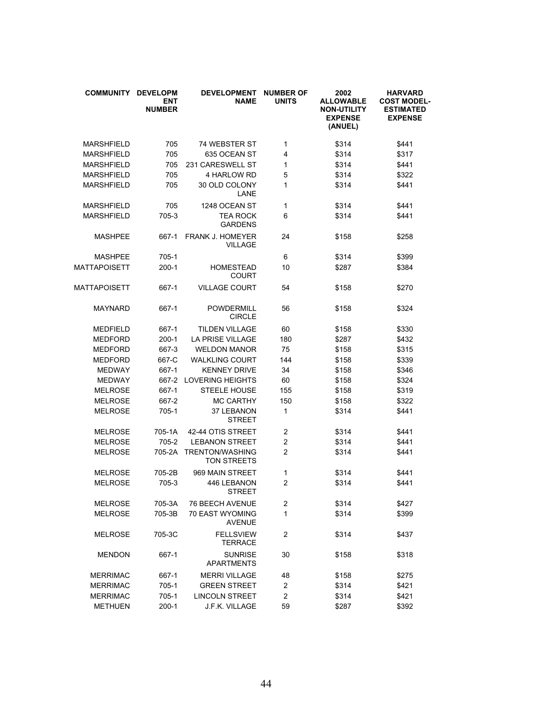| <b>COMMUNITY</b>  | <b>DEVELOPM</b><br><b>ENT</b><br><b>NUMBER</b> | <b>DEVELOPMENT</b><br><b>NAME</b>            | <b>NUMBER OF</b><br><b>UNITS</b> | 2002<br><b>ALLOWABLE</b><br><b>NON-UTILITY</b><br><b>EXPENSE</b><br>(ANUEL) | <b>HARVARD</b><br><b>COST MODEL-</b><br><b>ESTIMATED</b><br><b>EXPENSE</b> |
|-------------------|------------------------------------------------|----------------------------------------------|----------------------------------|-----------------------------------------------------------------------------|----------------------------------------------------------------------------|
| <b>MARSHFIELD</b> | 705                                            | 74 WEBSTER ST                                | $\mathbf{1}$                     | \$314                                                                       | \$441                                                                      |
| <b>MARSHFIELD</b> | 705                                            | 635 OCEAN ST                                 | 4                                | \$314                                                                       | \$317                                                                      |
| <b>MARSHFIELD</b> | 705                                            | 231 CARESWELL ST                             | 1                                | \$314                                                                       | \$441                                                                      |
| <b>MARSHFIELD</b> | 705                                            | 4 HARLOW RD                                  | 5                                | \$314                                                                       | \$322                                                                      |
| <b>MARSHFIELD</b> | 705                                            | 30 OLD COLONY<br>LANE                        | 1                                | \$314                                                                       | \$441                                                                      |
| <b>MARSHFIELD</b> | 705                                            | 1248 OCEAN ST                                | $\mathbf{1}$                     | \$314                                                                       | \$441                                                                      |
| <b>MARSHFIELD</b> | 705-3                                          | <b>TEA ROCK</b><br><b>GARDENS</b>            | 6                                | \$314                                                                       | \$441                                                                      |
| MASHPEE           | 667-1                                          | <b>FRANK J. HOMEYER</b><br><b>VILLAGE</b>    | 24                               | \$158                                                                       | \$258                                                                      |
| MASHPEE           | 705-1                                          |                                              | 6                                | \$314                                                                       | \$399                                                                      |
| MATTAPOISETT      | $200-1$                                        | <b>HOMESTEAD</b><br><b>COURT</b>             | 10                               | \$287                                                                       | \$384                                                                      |
| MATTAPOISETT      | 667-1                                          | <b>VILLAGE COURT</b>                         | 54                               | \$158                                                                       | \$270                                                                      |
| <b>MAYNARD</b>    | 667-1                                          | POWDERMILL<br><b>CIRCLE</b>                  | 56                               | \$158                                                                       | \$324                                                                      |
| <b>MEDFIELD</b>   | 667-1                                          | <b>TILDEN VILLAGE</b>                        | 60                               | \$158                                                                       | \$330                                                                      |
| <b>MEDFORD</b>    | $200-1$                                        | <b>LA PRISE VILLAGE</b>                      | 180                              | \$287                                                                       | \$432                                                                      |
| <b>MEDFORD</b>    | 667-3                                          | <b>WELDON MANOR</b>                          | 75                               | \$158                                                                       | \$315                                                                      |
| <b>MEDFORD</b>    | 667-C                                          | <b>WALKLING COURT</b>                        | 144                              | \$158                                                                       | \$339                                                                      |
| <b>MEDWAY</b>     | 667-1                                          | <b>KENNEY DRIVE</b>                          | 34                               | \$158                                                                       | \$346                                                                      |
| <b>MEDWAY</b>     | 667-2                                          | <b>LOVERING HEIGHTS</b>                      | 60                               | \$158                                                                       | \$324                                                                      |
| MELROSE           | 667-1                                          | <b>STEELE HOUSE</b>                          | 155                              | \$158                                                                       | \$319                                                                      |
| <b>MELROSE</b>    | 667-2                                          | <b>MC CARTHY</b>                             | 150                              | \$158                                                                       | \$322                                                                      |
| <b>MELROSE</b>    | 705-1                                          | 37 LEBANON<br><b>STREET</b>                  | 1                                | \$314                                                                       | \$441                                                                      |
| <b>MELROSE</b>    | 705-1A                                         | 42-44 OTIS STREET                            | $\overline{2}$                   | \$314                                                                       | \$441                                                                      |
| <b>MELROSE</b>    | 705-2                                          | <b>LEBANON STREET</b>                        | $\overline{c}$                   | \$314                                                                       | \$441                                                                      |
| <b>MELROSE</b>    | 705-2A                                         | <b>TRENTON/WASHING</b><br><b>TON STREETS</b> | $\overline{2}$                   | \$314                                                                       | \$441                                                                      |
| MELROSE           | 705-2B                                         | 969 MAIN STREET                              | 1                                | \$314                                                                       | \$441                                                                      |
| <b>MELROSE</b>    | 705-3                                          | 446 LEBANON<br><b>STREET</b>                 | 2                                | \$314                                                                       | \$441                                                                      |
| <b>MELROSE</b>    | 705-3A                                         | 76 BEECH AVENUE                              | $\overline{\mathbf{c}}$          | \$314                                                                       | \$427                                                                      |
| <b>MELROSE</b>    | 705-3B                                         | 70 EAST WYOMING<br><b>AVENUE</b>             | 1                                | \$314                                                                       | \$399                                                                      |
| MELROSE           | 705-3C                                         | <b>FELLSVIEW</b><br><b>TERRACE</b>           | $\overline{c}$                   | \$314                                                                       | \$437                                                                      |
| <b>MENDON</b>     | 667-1                                          | <b>SUNRISE</b><br><b>APARTMENTS</b>          | 30                               | \$158                                                                       | \$318                                                                      |
| <b>MERRIMAC</b>   | 667-1                                          | <b>MERRI VILLAGE</b>                         | 48                               | \$158                                                                       | \$275                                                                      |
| <b>MERRIMAC</b>   | 705-1                                          | <b>GREEN STREET</b>                          | 2                                | \$314                                                                       | \$421                                                                      |
| <b>MERRIMAC</b>   | 705-1                                          | <b>LINCOLN STREET</b>                        | $\overline{c}$                   | \$314                                                                       | \$421                                                                      |
| <b>METHUEN</b>    | $200-1$                                        | J.F.K. VILLAGE                               | 59                               | \$287                                                                       | \$392                                                                      |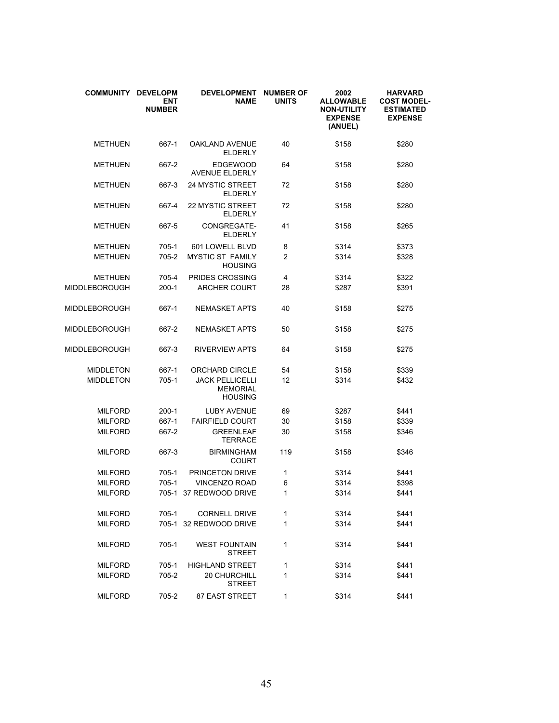| <b>COMMUNITY</b> | <b>DEVELOPM</b><br><b>ENT</b><br><b>NUMBER</b> | <b>DEVELOPMENT</b><br><b>NAME</b>                           | <b>NUMBER OF</b><br><b>UNITS</b> | 2002<br><b>ALLOWABLE</b><br><b>NON-UTILITY</b><br><b>EXPENSE</b><br>(ANUEL) | <b>HARVARD</b><br><b>COST MODEL-</b><br><b>ESTIMATED</b><br><b>EXPENSE</b> |
|------------------|------------------------------------------------|-------------------------------------------------------------|----------------------------------|-----------------------------------------------------------------------------|----------------------------------------------------------------------------|
| <b>METHUEN</b>   | 667-1                                          | <b>OAKLAND AVENUE</b><br><b>ELDERLY</b>                     | 40                               | \$158                                                                       | \$280                                                                      |
| <b>METHUEN</b>   | 667-2                                          | <b>EDGEWOOD</b><br><b>AVENUE ELDERLY</b>                    | 64                               | \$158                                                                       | \$280                                                                      |
| <b>METHUEN</b>   | 667-3                                          | <b>24 MYSTIC STREET</b><br><b>ELDERLY</b>                   | 72                               | \$158                                                                       | \$280                                                                      |
| <b>METHUEN</b>   | 667-4                                          | <b>22 MYSTIC STREET</b><br><b>ELDERLY</b>                   | 72                               | \$158                                                                       | \$280                                                                      |
| <b>METHUEN</b>   | 667-5                                          | CONGREGATE-<br><b>ELDERLY</b>                               | 41                               | \$158                                                                       | \$265                                                                      |
| <b>METHUEN</b>   | 705-1                                          | 601 LOWELL BLVD                                             | 8                                | \$314                                                                       | \$373                                                                      |
| <b>METHUEN</b>   | 705-2                                          | <b>MYSTIC ST FAMILY</b><br><b>HOUSING</b>                   | $\overline{2}$                   | \$314                                                                       | \$328                                                                      |
| <b>METHUEN</b>   | 705-4                                          | PRIDES CROSSING                                             | 4                                | \$314                                                                       | \$322                                                                      |
| MIDDLEBOROUGH    | $200-1$                                        | <b>ARCHER COURT</b>                                         | 28                               | \$287                                                                       | \$391                                                                      |
| MIDDLEBOROUGH    | 667-1                                          | <b>NEMASKET APTS</b>                                        | 40                               | \$158                                                                       | \$275                                                                      |
| MIDDLEBOROUGH    | 667-2                                          | <b>NEMASKET APTS</b>                                        | 50                               | \$158                                                                       | \$275                                                                      |
| MIDDLEBOROUGH    | 667-3                                          | <b>RIVERVIEW APTS</b>                                       | 64                               | \$158                                                                       | \$275                                                                      |
| <b>MIDDLETON</b> | 667-1                                          | ORCHARD CIRCLE                                              | 54                               | \$158                                                                       | \$339                                                                      |
| <b>MIDDLETON</b> | $705-1$                                        | <b>JACK PELLICELLI</b><br><b>MEMORIAL</b><br><b>HOUSING</b> | 12                               | \$314                                                                       | \$432                                                                      |
| <b>MILFORD</b>   | $200-1$                                        | <b>LUBY AVENUE</b>                                          | 69                               | \$287                                                                       | \$441                                                                      |
| <b>MILFORD</b>   | 667-1                                          | <b>FAIRFIELD COURT</b>                                      | 30                               | \$158                                                                       | \$339                                                                      |
| <b>MILFORD</b>   | 667-2                                          | <b>GREENLEAF</b><br><b>TERRACE</b>                          | 30                               | \$158                                                                       | \$346                                                                      |
| <b>MILFORD</b>   | 667-3                                          | <b>BIRMINGHAM</b><br>COURT                                  | 119                              | \$158                                                                       | \$346                                                                      |
| <b>MILFORD</b>   | 705-1                                          | PRINCETON DRIVE                                             | 1                                | \$314                                                                       | \$441                                                                      |
| <b>MILFORD</b>   | $705-1$                                        | <b>VINCENZO ROAD</b>                                        | 6                                | \$314                                                                       | \$398                                                                      |
| <b>MILFORD</b>   | 705-1                                          | 37 REDWOOD DRIVE                                            | 1                                | \$314                                                                       | \$441                                                                      |
| <b>MILFORD</b>   | $705-1$                                        | <b>CORNELL DRIVE</b>                                        | 1                                | \$314                                                                       | \$441                                                                      |
| <b>MILFORD</b>   |                                                | 705-1 32 REDWOOD DRIVE                                      | 1                                | \$314                                                                       | \$441                                                                      |
| <b>MILFORD</b>   | 705-1                                          | <b>WEST FOUNTAIN</b><br><b>STREET</b>                       | 1                                | \$314                                                                       | \$441                                                                      |
| <b>MILFORD</b>   | 705-1                                          | <b>HIGHLAND STREET</b>                                      | 1                                | \$314                                                                       | \$441                                                                      |
| <b>MILFORD</b>   | 705-2                                          | 20 CHURCHILL<br><b>STREET</b>                               | 1                                | \$314                                                                       | \$441                                                                      |
| <b>MILFORD</b>   | 705-2                                          | <b>87 EAST STREET</b>                                       | 1                                | \$314                                                                       | \$441                                                                      |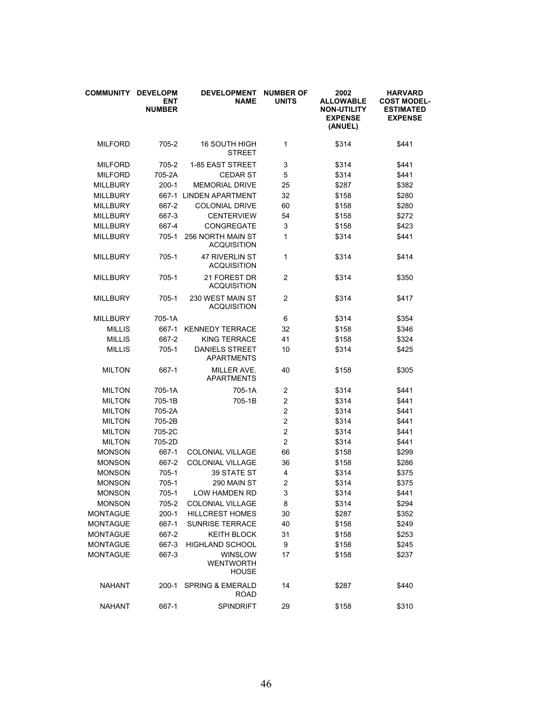| <b>COMMUNITY</b> | <b>DEVELOPM</b><br><b>ENT</b><br><b>NUMBER</b> | <b>DEVELOPMENT</b><br><b>NAME</b>           | <b>NUMBER OF</b><br><b>UNITS</b> | 2002<br><b>ALLOWABLE</b><br><b>NON-UTILITY</b><br><b>EXPENSE</b><br>(ANUEL) | <b>HARVARD</b><br><b>COST MODEL-</b><br><b>ESTIMATED</b><br><b>EXPENSE</b> |
|------------------|------------------------------------------------|---------------------------------------------|----------------------------------|-----------------------------------------------------------------------------|----------------------------------------------------------------------------|
| <b>MILFORD</b>   | 705-2                                          | <b>16 SOUTH HIGH</b><br><b>STREET</b>       | 1                                | \$314                                                                       | \$441                                                                      |
| <b>MILFORD</b>   | 705-2                                          | 1-85 EAST STREET                            | 3                                | \$314                                                                       | \$441                                                                      |
| <b>MILFORD</b>   | 705-2A                                         | <b>CEDAR ST</b>                             | 5                                | \$314                                                                       | \$441                                                                      |
| <b>MILLBURY</b>  | $200-1$                                        | <b>MEMORIAL DRIVE</b>                       | 25                               | \$287                                                                       | \$382                                                                      |
| <b>MILLBURY</b>  | 667-1                                          | <b>LINDEN APARTMENT</b>                     | 32                               | \$158                                                                       | \$280                                                                      |
| <b>MILLBURY</b>  | 667-2                                          | <b>COLONIAL DRIVE</b>                       | 60                               | \$158                                                                       | \$280                                                                      |
| <b>MILLBURY</b>  | 667-3                                          | <b>CENTERVIEW</b>                           | 54                               | \$158                                                                       | \$272                                                                      |
| <b>MILLBURY</b>  | 667-4                                          | CONGREGATE                                  | 3                                | \$158                                                                       | \$423                                                                      |
| <b>MILLBURY</b>  | 705-1                                          | 256 NORTH MAIN ST<br><b>ACQUISITION</b>     | 1                                | \$314                                                                       | \$441                                                                      |
| <b>MILLBURY</b>  | 705-1                                          | 47 RIVERLIN ST<br><b>ACQUISITION</b>        | 1                                | \$314                                                                       | \$414                                                                      |
| <b>MILLBURY</b>  | 705-1                                          | 21 FOREST DR<br><b>ACQUISITION</b>          | $\overline{c}$                   | \$314                                                                       | \$350                                                                      |
| <b>MILLBURY</b>  | 705-1                                          | 230 WEST MAIN ST<br>ACQUISITION             | $\overline{2}$                   | \$314                                                                       | \$417                                                                      |
| <b>MILLBURY</b>  | 705-1A                                         |                                             | 6                                | \$314                                                                       | \$354                                                                      |
| <b>MILLIS</b>    | 667-1                                          | <b>KENNEDY TERRACE</b>                      | 32                               | \$158                                                                       | \$346                                                                      |
| <b>MILLIS</b>    | 667-2                                          | <b>KING TERRACE</b>                         | 41                               | \$158                                                                       | \$324                                                                      |
| <b>MILLIS</b>    | 705-1                                          | <b>DANIELS STREET</b><br><b>APARTMENTS</b>  | 10                               | \$314                                                                       | \$425                                                                      |
| <b>MILTON</b>    | 667-1                                          | MILLER AVE.<br><b>APARTMENTS</b>            | 40                               | \$158                                                                       | \$305                                                                      |
| <b>MILTON</b>    | 705-1A                                         | 705-1A                                      | 2                                | \$314                                                                       | \$441                                                                      |
| <b>MILTON</b>    | 705-1B                                         | 705-1B                                      | $\overline{c}$                   | \$314                                                                       | \$441                                                                      |
| <b>MILTON</b>    | 705-2A                                         |                                             | $\overline{c}$                   | \$314                                                                       | \$441                                                                      |
| <b>MILTON</b>    | 705-2B                                         |                                             | $\overline{c}$                   | \$314                                                                       | \$441                                                                      |
| <b>MILTON</b>    | 705-2C                                         |                                             | $\overline{2}$                   | \$314                                                                       | \$441                                                                      |
| <b>MILTON</b>    | 705-2D                                         |                                             | $\overline{c}$                   | \$314                                                                       | \$441                                                                      |
| <b>MONSON</b>    | 667-1                                          | <b>COLONIAL VILLAGE</b>                     | 66                               | \$158                                                                       | \$299                                                                      |
| <b>MONSON</b>    | 667-2                                          | COLONIAL VILLAGE                            | 36                               | \$158                                                                       | \$286                                                                      |
| <b>MONSON</b>    | 705-1                                          | <b>39 STATE ST</b>                          | 4                                | \$314                                                                       | \$375                                                                      |
| <b>MONSON</b>    | 705-1                                          | 290 MAIN ST                                 | $\overline{c}$                   | \$314                                                                       | \$375                                                                      |
| <b>MONSON</b>    | 705-1                                          | LOW HAMDEN RD                               | 3                                | \$314                                                                       | \$441                                                                      |
| <b>MONSON</b>    | 705-2                                          | COLONIAL VILLAGE                            | 8                                | \$314                                                                       | \$294                                                                      |
| <b>MONTAGUE</b>  | $200-1$                                        | <b>HILLCREST HOMES</b>                      | 30                               | \$287                                                                       | \$352                                                                      |
| <b>MONTAGUE</b>  | 667-1                                          | <b>SUNRISE TERRACE</b>                      | 40                               | \$158                                                                       | \$249                                                                      |
| <b>MONTAGUE</b>  | 667-2                                          | <b>KEITH BLOCK</b>                          | 31                               | \$158                                                                       | \$253                                                                      |
| <b>MONTAGUE</b>  | 667-3                                          | <b>HIGHLAND SCHOOL</b>                      | 9                                | \$158                                                                       | \$245                                                                      |
| <b>MONTAGUE</b>  | 667-3                                          | <b>WINSLOW</b><br><b>WENTWORTH</b><br>HOUSE | 17                               | \$158                                                                       | \$237                                                                      |
| NAHANT           | $200-1$                                        | <b>SPRING &amp; EMERALD</b><br><b>ROAD</b>  | 14                               | \$287                                                                       | \$440                                                                      |
| <b>NAHANT</b>    | 667-1                                          | <b>SPINDRIFT</b>                            | 29                               | \$158                                                                       | \$310                                                                      |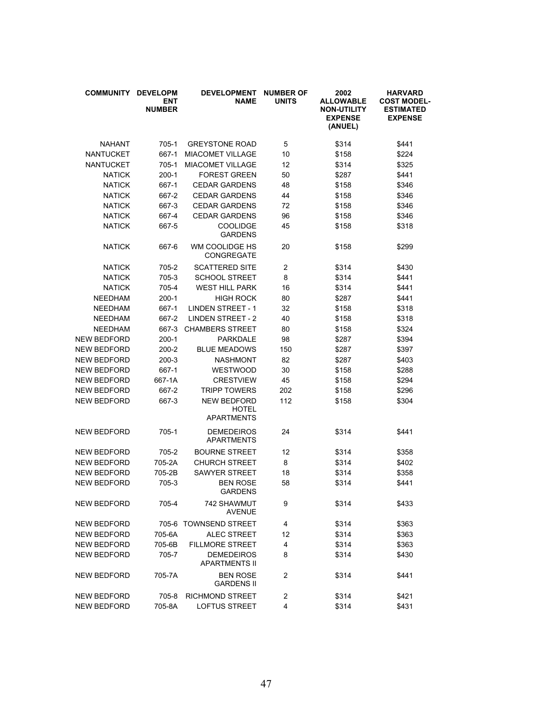| <b>COMMUNITY</b>   | <b>DEVELOPM</b><br><b>ENT</b><br><b>NUMBER</b> | <b>DEVELOPMENT</b><br><b>NAME</b>                       | <b>NUMBER OF</b><br><b>UNITS</b> | 2002<br><b>ALLOWABLE</b><br><b>NON-UTILITY</b><br><b>EXPENSE</b><br>(ANUEL) | <b>HARVARD</b><br><b>COST MODEL-</b><br><b>ESTIMATED</b><br><b>EXPENSE</b> |
|--------------------|------------------------------------------------|---------------------------------------------------------|----------------------------------|-----------------------------------------------------------------------------|----------------------------------------------------------------------------|
| NAHANT             | $705-1$                                        | <b>GREYSTONE ROAD</b>                                   | 5                                | \$314                                                                       | \$441                                                                      |
| <b>NANTUCKET</b>   | 667-1                                          | <b>MIACOMET VILLAGE</b>                                 | 10                               | \$158                                                                       | \$224                                                                      |
| <b>NANTUCKET</b>   | 705-1                                          | <b>MIACOMET VILLAGE</b>                                 | 12                               | \$314                                                                       | \$325                                                                      |
| <b>NATICK</b>      | $200-1$                                        | <b>FOREST GREEN</b>                                     | 50                               | \$287                                                                       | \$441                                                                      |
| <b>NATICK</b>      | 667-1                                          | <b>CEDAR GARDENS</b>                                    | 48                               | \$158                                                                       | \$346                                                                      |
| <b>NATICK</b>      | 667-2                                          | <b>CEDAR GARDENS</b>                                    | 44                               | \$158                                                                       | \$346                                                                      |
| <b>NATICK</b>      | 667-3                                          | <b>CEDAR GARDENS</b>                                    | 72                               | \$158                                                                       | \$346                                                                      |
| <b>NATICK</b>      | 667-4                                          | <b>CEDAR GARDENS</b>                                    | 96                               | \$158                                                                       | \$346                                                                      |
| <b>NATICK</b>      | 667-5                                          | <b>COOLIDGE</b><br><b>GARDENS</b>                       | 45                               | \$158                                                                       | \$318                                                                      |
| <b>NATICK</b>      | 667-6                                          | WM COOLIDGE HS<br><b>CONGREGATE</b>                     | 20                               | \$158                                                                       | \$299                                                                      |
| <b>NATICK</b>      | 705-2                                          | <b>SCATTERED SITE</b>                                   | $\overline{c}$                   | \$314                                                                       | \$430                                                                      |
| <b>NATICK</b>      | 705-3                                          | <b>SCHOOL STREET</b>                                    | 8                                | \$314                                                                       | \$441                                                                      |
| <b>NATICK</b>      | 705-4                                          | <b>WEST HILL PARK</b>                                   | 16                               | \$314                                                                       | \$441                                                                      |
| <b>NEEDHAM</b>     | $200-1$                                        | <b>HIGH ROCK</b>                                        | 80                               | \$287                                                                       | \$441                                                                      |
| <b>NEEDHAM</b>     | 667-1                                          | <b>LINDEN STREET - 1</b>                                | 32                               | \$158                                                                       | \$318                                                                      |
| <b>NEEDHAM</b>     | 667-2                                          | <b>LINDEN STREET - 2</b>                                | 40                               | \$158                                                                       | \$318                                                                      |
| <b>NEEDHAM</b>     | 667-3                                          | <b>CHAMBERS STREET</b>                                  | 80                               | \$158                                                                       | \$324                                                                      |
| <b>NEW BEDFORD</b> | $200-1$                                        | <b>PARKDALE</b>                                         | 98                               | \$287                                                                       | \$394                                                                      |
| NEW BEDFORD        | 200-2                                          | <b>BLUE MEADOWS</b>                                     | 150                              | \$287                                                                       | \$397                                                                      |
| NEW BEDFORD        | $200-3$                                        | <b>NASHMONT</b>                                         | 82                               | \$287                                                                       | \$403                                                                      |
| NEW BEDFORD        | 667-1                                          | <b>WESTWOOD</b>                                         | 30                               | \$158                                                                       | \$288                                                                      |
| NEW BEDFORD        | 667-1A                                         | <b>CRESTVIEW</b>                                        | 45                               | \$158                                                                       | \$294                                                                      |
| NEW BEDFORD        | 667-2                                          | <b>TRIPP TOWERS</b>                                     | 202                              | \$158                                                                       | \$296                                                                      |
| NEW BEDFORD        | 667-3                                          | <b>NEW BEDFORD</b><br><b>HOTEL</b><br><b>APARTMENTS</b> | 112                              | \$158                                                                       | \$304                                                                      |
| NEW BEDFORD        | $705-1$                                        | <b>DEMEDEIROS</b><br><b>APARTMENTS</b>                  | 24                               | \$314                                                                       | \$441                                                                      |
| NEW BEDFORD        | 705-2                                          | <b>BOURNE STREET</b>                                    | 12                               | \$314                                                                       | \$358                                                                      |
| NEW BEDFORD        | 705-2A                                         | <b>CHURCH STREET</b>                                    | 8                                | \$314                                                                       | \$402                                                                      |
| NEW BEDFORD        | 705-2B                                         | <b>SAWYER STREET</b>                                    | 18                               | \$314                                                                       | \$358                                                                      |
| NEW BEDFORD        | 705-3                                          | <b>BEN ROSE</b><br><b>GARDENS</b>                       | 58                               | \$314                                                                       | \$441                                                                      |
| NEW BEDFORD        | 705-4                                          | <b>742 SHAWMUT</b><br><b>AVENUE</b>                     | 9                                | \$314                                                                       | \$433                                                                      |
| <b>NEW BEDFORD</b> |                                                | 705-6 TOWNSEND STREET                                   | 4                                | \$314                                                                       | \$363                                                                      |
| NEW BEDFORD        | 705-6A                                         | <b>ALEC STREET</b>                                      | 12                               | \$314                                                                       | \$363                                                                      |
| <b>NEW BEDFORD</b> | 705-6B                                         | <b>FILLMORE STREET</b>                                  | 4                                | \$314                                                                       | \$363                                                                      |
| <b>NEW BEDFORD</b> | 705-7                                          | <b>DEMEDEIROS</b><br><b>APARTMENTS II</b>               | 8                                | \$314                                                                       | \$430                                                                      |
| NEW BEDFORD        | 705-7A                                         | <b>BEN ROSE</b><br><b>GARDENS II</b>                    | 2                                | \$314                                                                       | \$441                                                                      |
| NEW BEDFORD        | 705-8                                          | <b>RICHMOND STREET</b>                                  | $\overline{c}$                   | \$314                                                                       | \$421                                                                      |
| NEW BEDFORD        | 705-8A                                         | LOFTUS STREET                                           | 4                                | \$314                                                                       | \$431                                                                      |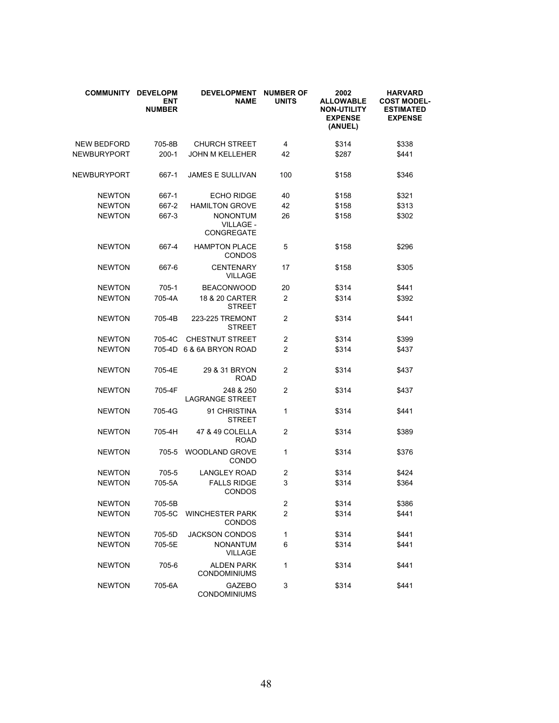| <b>COMMUNITY</b>   | <b>DEVELOPM</b><br>ENT<br><b>NUMBER</b> | <b>DEVELOPMENT</b><br><b>NAME</b>                 | <b>NUMBER OF</b><br><b>UNITS</b> | 2002<br><b>ALLOWABLE</b><br><b>NON-UTILITY</b><br><b>EXPENSE</b><br>(ANUEL) | <b>HARVARD</b><br><b>COST MODEL-</b><br><b>ESTIMATED</b><br><b>EXPENSE</b> |
|--------------------|-----------------------------------------|---------------------------------------------------|----------------------------------|-----------------------------------------------------------------------------|----------------------------------------------------------------------------|
| <b>NEW BEDFORD</b> | 705-8B                                  | <b>CHURCH STREET</b>                              | 4                                | \$314                                                                       | \$338                                                                      |
| NEWBURYPORT        | $200-1$                                 | <b>JOHN M KELLEHER</b>                            | 42                               | \$287                                                                       | \$441                                                                      |
| <b>NEWBURYPORT</b> | 667-1                                   | <b>JAMES E SULLIVAN</b>                           | 100                              | \$158                                                                       | \$346                                                                      |
| <b>NEWTON</b>      | 667-1                                   | <b>ECHO RIDGE</b>                                 | 40                               | \$158                                                                       | \$321                                                                      |
| <b>NEWTON</b>      | 667-2                                   | <b>HAMILTON GROVE</b>                             | 42                               | \$158                                                                       | \$313                                                                      |
| <b>NEWTON</b>      | 667-3                                   | <b>NONONTUM</b><br><b>VILLAGE -</b><br>CONGREGATE | 26                               | \$158                                                                       | \$302                                                                      |
| <b>NEWTON</b>      | 667-4                                   | <b>HAMPTON PLACE</b><br><b>CONDOS</b>             | 5                                | \$158                                                                       | \$296                                                                      |
| <b>NEWTON</b>      | 667-6                                   | <b>CENTENARY</b><br><b>VILLAGE</b>                | 17                               | \$158                                                                       | \$305                                                                      |
| <b>NEWTON</b>      | 705-1                                   | <b>BEACONWOOD</b>                                 | 20                               | \$314                                                                       | \$441                                                                      |
| <b>NEWTON</b>      | 705-4A                                  | 18 & 20 CARTER<br><b>STREET</b>                   | $\overline{2}$                   | \$314                                                                       | \$392                                                                      |
| <b>NEWTON</b>      | 705-4B                                  | 223-225 TREMONT<br><b>STREET</b>                  | 2                                | \$314                                                                       | \$441                                                                      |
| <b>NEWTON</b>      | 705-4C                                  | <b>CHESTNUT STREET</b>                            | $\overline{2}$                   | \$314                                                                       | \$399                                                                      |
| <b>NEWTON</b>      | 705-4D                                  | 6 & 6A BRYON ROAD                                 | $\overline{2}$                   | \$314                                                                       | \$437                                                                      |
| <b>NEWTON</b>      | 705-4E                                  | 29 & 31 BRYON<br><b>ROAD</b>                      | $\overline{2}$                   | \$314                                                                       | \$437                                                                      |
| <b>NEWTON</b>      | 705-4F                                  | 248 & 250<br><b>LAGRANGE STREET</b>               | 2                                | \$314                                                                       | \$437                                                                      |
| <b>NEWTON</b>      | 705-4G                                  | 91 CHRISTINA<br><b>STREET</b>                     | 1                                | \$314                                                                       | \$441                                                                      |
| <b>NEWTON</b>      | 705-4H                                  | 47 & 49 COLELLA<br><b>ROAD</b>                    | 2                                | \$314                                                                       | \$389                                                                      |
| <b>NEWTON</b>      | $705 - 5$                               | <b>WOODLAND GROVE</b><br><b>CONDO</b>             | 1                                | \$314                                                                       | \$376                                                                      |
| <b>NEWTON</b>      | $705 - 5$                               | <b>LANGLEY ROAD</b>                               | 2                                | \$314                                                                       | \$424                                                                      |
| <b>NEWTON</b>      | 705-5A                                  | <b>FALLS RIDGE</b><br><b>CONDOS</b>               | 3                                | \$314                                                                       | \$364                                                                      |
| <b>NEWTON</b>      | 705-5B                                  |                                                   | $\boldsymbol{2}$                 | \$314                                                                       | \$386                                                                      |
| <b>NEWTON</b>      | 705-5C                                  | <b>WINCHESTER PARK</b><br><b>CONDOS</b>           | $\overline{c}$                   | \$314                                                                       | \$441                                                                      |
| <b>NEWTON</b>      | 705-5D                                  | <b>JACKSON CONDOS</b>                             | 1                                | \$314                                                                       | \$441                                                                      |
| <b>NEWTON</b>      | 705-5E                                  | <b>NONANTUM</b><br><b>VILLAGE</b>                 | 6                                | \$314                                                                       | \$441                                                                      |
| <b>NEWTON</b>      | 705-6                                   | <b>ALDEN PARK</b><br><b>CONDOMINIUMS</b>          | 1                                | \$314                                                                       | \$441                                                                      |
| <b>NEWTON</b>      | 705-6A                                  | <b>GAZEBO</b><br>CONDOMINIUMS                     | 3                                | \$314                                                                       | \$441                                                                      |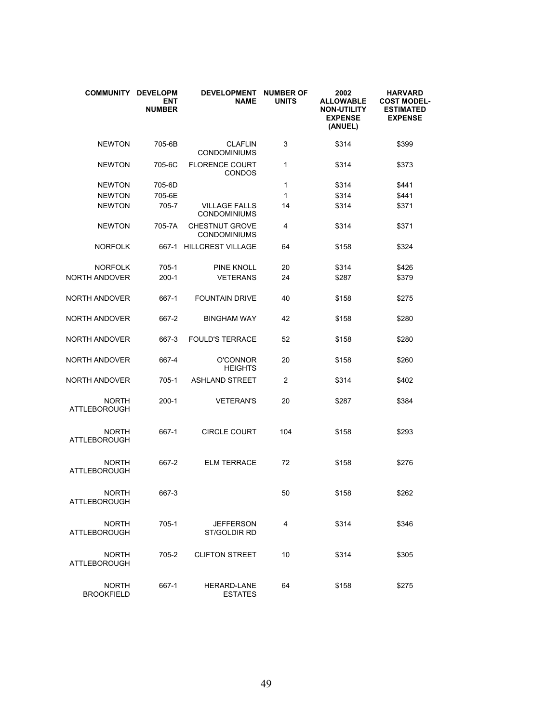| COMMUNITY DEVELOPM                  | <b>ENT</b><br><b>NUMBER</b> | <b>DEVELOPMENT</b><br><b>NAME</b>            | <b>NUMBER OF</b><br><b>UNITS</b> | 2002<br><b>ALLOWABLE</b><br><b>NON-UTILITY</b><br><b>EXPENSE</b><br>(ANUEL) | <b>HARVARD</b><br><b>COST MODEL-</b><br><b>ESTIMATED</b><br><b>EXPENSE</b> |
|-------------------------------------|-----------------------------|----------------------------------------------|----------------------------------|-----------------------------------------------------------------------------|----------------------------------------------------------------------------|
| <b>NEWTON</b>                       | 705-6B                      | <b>CLAFLIN</b><br><b>CONDOMINIUMS</b>        | 3                                | \$314                                                                       | \$399                                                                      |
| <b>NEWTON</b>                       | 705-6C                      | <b>FLORENCE COURT</b><br><b>CONDOS</b>       | 1                                | \$314                                                                       | \$373                                                                      |
| <b>NEWTON</b>                       | 705-6D                      |                                              | 1                                | \$314                                                                       | \$441                                                                      |
| <b>NEWTON</b>                       | 705-6E                      |                                              | 1                                | \$314                                                                       | \$441                                                                      |
| <b>NEWTON</b>                       | 705-7                       | <b>VILLAGE FALLS</b><br><b>CONDOMINIUMS</b>  | 14                               | \$314                                                                       | \$371                                                                      |
| <b>NEWTON</b>                       | 705-7A                      | <b>CHESTNUT GROVE</b><br><b>CONDOMINIUMS</b> | 4                                | \$314                                                                       | \$371                                                                      |
| <b>NORFOLK</b>                      |                             | 667-1 HILLCREST VILLAGE                      | 64                               | \$158                                                                       | \$324                                                                      |
| <b>NORFOLK</b>                      | 705-1                       | <b>PINE KNOLL</b>                            | 20                               | \$314                                                                       | \$426                                                                      |
| <b>NORTH ANDOVER</b>                | $200-1$                     | <b>VETERANS</b>                              | 24                               | \$287                                                                       | \$379                                                                      |
| <b>NORTH ANDOVER</b>                | 667-1                       | <b>FOUNTAIN DRIVE</b>                        | 40                               | \$158                                                                       | \$275                                                                      |
| <b>NORTH ANDOVER</b>                | 667-2                       | <b>BINGHAM WAY</b>                           | 42                               | \$158                                                                       | \$280                                                                      |
| NORTH ANDOVER                       | 667-3                       | <b>FOULD'S TERRACE</b>                       | 52                               | \$158                                                                       | \$280                                                                      |
| NORTH ANDOVER                       | 667-4                       | <b>O'CONNOR</b><br><b>HEIGHTS</b>            | 20                               | \$158                                                                       | \$260                                                                      |
| <b>NORTH ANDOVER</b>                | $705-1$                     | <b>ASHLAND STREET</b>                        | 2                                | \$314                                                                       | \$402                                                                      |
| <b>NORTH</b><br><b>ATTLEBOROUGH</b> | 200-1                       | <b>VETERAN'S</b>                             | 20                               | \$287                                                                       | \$384                                                                      |
| <b>NORTH</b><br><b>ATTLEBOROUGH</b> | 667-1                       | <b>CIRCLE COURT</b>                          | 104                              | \$158                                                                       | \$293                                                                      |
| <b>NORTH</b><br><b>ATTLEBOROUGH</b> | 667-2                       | <b>ELM TERRACE</b>                           | 72                               | \$158                                                                       | \$276                                                                      |
| <b>NORTH</b><br><b>ATTLEBOROUGH</b> | 667-3                       |                                              | 50                               | \$158                                                                       | \$262                                                                      |
| <b>NORTH</b><br><b>ATTLEBOROUGH</b> | 705-1                       | <b>JEFFERSON</b><br>ST/GOLDIR RD             | 4                                | \$314                                                                       | \$346                                                                      |
| <b>NORTH</b><br>ATTLEBOROUGH        | 705-2                       | <b>CLIFTON STREET</b>                        | 10                               | \$314                                                                       | \$305                                                                      |
| <b>NORTH</b><br><b>BROOKFIELD</b>   | 667-1                       | <b>HERARD-LANE</b><br><b>ESTATES</b>         | 64                               | \$158                                                                       | \$275                                                                      |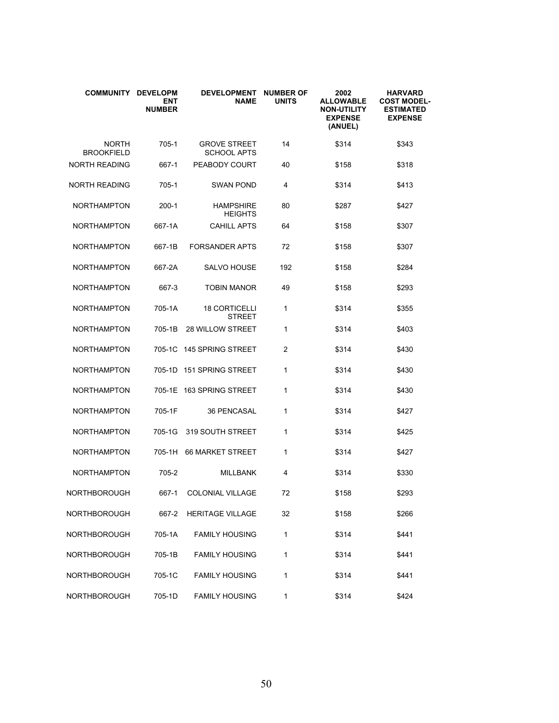| COMMUNITY DEVELOPM                | <b>ENT</b><br><b>NUMBER</b> | <b>DEVELOPMENT</b><br>NAME                | <b>NUMBER OF</b><br><b>UNITS</b> | 2002<br><b>ALLOWABLE</b><br><b>NON-UTILITY</b><br><b>EXPENSE</b><br>(ANUEL) | <b>HARVARD</b><br>COST MODEL-<br><b>ESTIMATED</b><br><b>EXPENSE</b> |
|-----------------------------------|-----------------------------|-------------------------------------------|----------------------------------|-----------------------------------------------------------------------------|---------------------------------------------------------------------|
| <b>NORTH</b><br><b>BROOKFIELD</b> | 705-1                       | <b>GROVE STREET</b><br><b>SCHOOL APTS</b> | 14                               | \$314                                                                       | \$343                                                               |
| <b>NORTH READING</b>              | 667-1                       | PEABODY COURT                             | 40                               | \$158                                                                       | \$318                                                               |
| NORTH READING                     | 705-1                       | <b>SWAN POND</b>                          | 4                                | \$314                                                                       | \$413                                                               |
| <b>NORTHAMPTON</b>                | $200-1$                     | <b>HAMPSHIRE</b><br>HEIGHTS               | 80                               | \$287                                                                       | \$427                                                               |
| <b>NORTHAMPTON</b>                | 667-1A                      | <b>CAHILL APTS</b>                        | 64                               | \$158                                                                       | \$307                                                               |
| <b>NORTHAMPTON</b>                | 667-1B                      | <b>FORSANDER APTS</b>                     | 72                               | \$158                                                                       | \$307                                                               |
| <b>NORTHAMPTON</b>                | 667-2A                      | <b>SALVO HOUSE</b>                        | 192                              | \$158                                                                       | \$284                                                               |
| <b>NORTHAMPTON</b>                | 667-3                       | <b>TOBIN MANOR</b>                        | 49                               | \$158                                                                       | \$293                                                               |
| <b>NORTHAMPTON</b>                | 705-1A                      | <b>18 CORTICELLI</b><br><b>STREET</b>     | 1                                | \$314                                                                       | \$355                                                               |
| <b>NORTHAMPTON</b>                | 705-1B                      | <b>28 WILLOW STREET</b>                   | 1                                | \$314                                                                       | \$403                                                               |
| <b>NORTHAMPTON</b>                | 705-1C                      | 145 SPRING STREET                         | 2                                | \$314                                                                       | \$430                                                               |
| <b>NORTHAMPTON</b>                | 705-1D                      | 151 SPRING STREET                         | 1                                | \$314                                                                       | \$430                                                               |
| <b>NORTHAMPTON</b>                | 705-1E                      | 163 SPRING STREET                         | 1                                | \$314                                                                       | \$430                                                               |
| <b>NORTHAMPTON</b>                | 705-1F                      | <b>36 PENCASAL</b>                        | 1                                | \$314                                                                       | \$427                                                               |
| <b>NORTHAMPTON</b>                | 705-1G                      | 319 SOUTH STREET                          | 1                                | \$314                                                                       | \$425                                                               |
| <b>NORTHAMPTON</b>                | 705-1H                      | <b>66 MARKET STREET</b>                   | 1                                | \$314                                                                       | \$427                                                               |
| <b>NORTHAMPTON</b>                | 705-2                       | <b>MILLBANK</b>                           | 4                                | \$314                                                                       | \$330                                                               |
| NORTHBOROUGH                      | 667-1                       | COLONIAL VILLAGE                          | 72                               | \$158                                                                       | \$293                                                               |
| NORTHBOROUGH                      | 667-2                       | <b>HERITAGE VILLAGE</b>                   | 32                               | \$158                                                                       | \$266                                                               |
| NORTHBOROUGH                      | 705-1A                      | <b>FAMILY HOUSING</b>                     | 1                                | \$314                                                                       | \$441                                                               |
| NORTHBOROUGH                      | 705-1B                      | <b>FAMILY HOUSING</b>                     | 1                                | \$314                                                                       | \$441                                                               |
| NORTHBOROUGH                      | 705-1C                      | <b>FAMILY HOUSING</b>                     | 1                                | \$314                                                                       | \$441                                                               |
| NORTHBOROUGH                      | 705-1D                      | <b>FAMILY HOUSING</b>                     | 1                                | \$314                                                                       | \$424                                                               |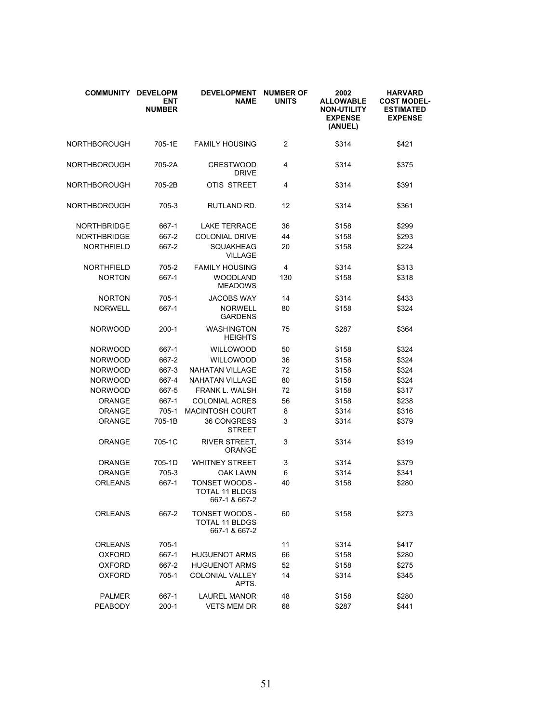| <b>COMMUNITY</b>   | <b>DEVELOPM</b><br>ENT<br><b>NUMBER</b> | <b>DEVELOPMENT</b><br>NAME                                      | <b>NUMBER OF</b><br><b>UNITS</b> | 2002<br><b>ALLOWABLE</b><br><b>NON-UTILITY</b><br><b>EXPENSE</b><br>(ANUEL) | <b>HARVARD</b><br><b>COST MODEL-</b><br><b>ESTIMATED</b><br><b>EXPENSE</b> |
|--------------------|-----------------------------------------|-----------------------------------------------------------------|----------------------------------|-----------------------------------------------------------------------------|----------------------------------------------------------------------------|
| NORTHBOROUGH       | 705-1E                                  | <b>FAMILY HOUSING</b>                                           | $\overline{2}$                   | \$314                                                                       | \$421                                                                      |
| NORTHBOROUGH       | 705-2A                                  | <b>CRESTWOOD</b><br><b>DRIVE</b>                                | 4                                | \$314                                                                       | \$375                                                                      |
| NORTHBOROUGH       | 705-2B                                  | OTIS STREET                                                     | 4                                | \$314                                                                       | \$391                                                                      |
| NORTHBOROUGH       | 705-3                                   | RUTLAND RD.                                                     | 12                               | \$314                                                                       | \$361                                                                      |
| <b>NORTHBRIDGE</b> | 667-1                                   | <b>LAKE TERRACE</b>                                             | 36                               | \$158                                                                       | \$299                                                                      |
| <b>NORTHBRIDGE</b> | 667-2                                   | <b>COLONIAL DRIVE</b>                                           | 44                               | \$158                                                                       | \$293                                                                      |
| <b>NORTHFIELD</b>  | 667-2                                   | <b>SQUAKHEAG</b><br><b>VILLAGE</b>                              | 20                               | \$158                                                                       | \$224                                                                      |
| <b>NORTHFIELD</b>  | 705-2                                   | <b>FAMILY HOUSING</b>                                           | 4                                | \$314                                                                       | \$313                                                                      |
| <b>NORTON</b>      | 667-1                                   | <b>WOODLAND</b><br><b>MEADOWS</b>                               | 130                              | \$158                                                                       | \$318                                                                      |
| <b>NORTON</b>      | $705-1$                                 | <b>JACOBS WAY</b>                                               | 14                               | \$314                                                                       | \$433                                                                      |
| <b>NORWELL</b>     | 667-1                                   | <b>NORWELL</b><br><b>GARDENS</b>                                | 80                               | \$158                                                                       | \$324                                                                      |
| <b>NORWOOD</b>     | $200-1$                                 | <b>WASHINGTON</b><br><b>HEIGHTS</b>                             | 75                               | \$287                                                                       | \$364                                                                      |
| <b>NORWOOD</b>     | 667-1                                   | <b>WILLOWOOD</b>                                                | 50                               | \$158                                                                       | \$324                                                                      |
| <b>NORWOOD</b>     | 667-2                                   | <b>WILLOWOOD</b>                                                | 36                               | \$158                                                                       | \$324                                                                      |
| <b>NORWOOD</b>     | 667-3                                   | <b>NAHATAN VILLAGE</b>                                          | 72                               | \$158                                                                       | \$324                                                                      |
| <b>NORWOOD</b>     | 667-4                                   | <b>NAHATAN VILLAGE</b>                                          | 80                               | \$158                                                                       | \$324                                                                      |
| <b>NORWOOD</b>     | 667-5                                   | <b>FRANK L. WALSH</b>                                           | 72                               | \$158                                                                       | \$317                                                                      |
| ORANGE             | 667-1                                   | <b>COLONIAL ACRES</b>                                           | 56                               | \$158                                                                       | \$238                                                                      |
| <b>ORANGE</b>      | $705-1$                                 | <b>MACINTOSH COURT</b>                                          | 8                                | \$314                                                                       | \$316                                                                      |
| ORANGE             | 705-1B                                  | 36 CONGRESS<br><b>STREET</b>                                    | 3                                | \$314                                                                       | \$379                                                                      |
| ORANGE             | 705-1C                                  | <b>RIVER STREET,</b><br>ORANGE                                  | 3                                | \$314                                                                       | \$319                                                                      |
| <b>ORANGE</b>      | 705-1D                                  | <b>WHITNEY STREET</b>                                           | 3                                | \$314                                                                       | \$379                                                                      |
| <b>ORANGE</b>      | $705-3$                                 | <b>OAK LAWN</b>                                                 | 6                                | \$314                                                                       | \$341                                                                      |
| <b>ORLEANS</b>     | 667-1                                   | <b>TONSET WOODS -</b><br><b>TOTAL 11 BLDGS</b><br>667-1 & 667-2 | 40                               | \$158                                                                       | \$280                                                                      |
| ORLEANS            | 667-2                                   | TONSET WOODS -<br><b>TOTAL 11 BLDGS</b><br>667-1 & 667-2        | 60                               | \$158                                                                       | \$273                                                                      |
| <b>ORLEANS</b>     | 705-1                                   |                                                                 | 11                               | \$314                                                                       | \$417                                                                      |
| <b>OXFORD</b>      | 667-1                                   | <b>HUGUENOT ARMS</b>                                            | 66                               | \$158                                                                       | \$280                                                                      |
| <b>OXFORD</b>      | 667-2                                   | <b>HUGUENOT ARMS</b>                                            | 52                               | \$158                                                                       | \$275                                                                      |
| <b>OXFORD</b>      | 705-1                                   | <b>COLONIAL VALLEY</b><br>APTS.                                 | 14                               | \$314                                                                       | \$345                                                                      |
| <b>PALMER</b>      | 667-1                                   | LAUREL MANOR                                                    | 48                               | \$158                                                                       | \$280                                                                      |
| <b>PEABODY</b>     | $200-1$                                 | <b>VETS MEM DR</b>                                              | 68                               | \$287                                                                       | \$441                                                                      |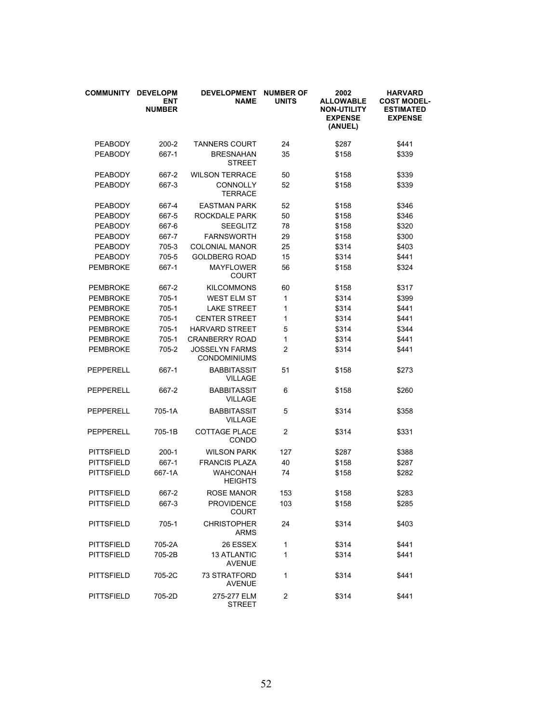| <b>COMMUNITY</b>  | <b>DEVELOPM</b><br><b>ENT</b><br><b>NUMBER</b> | <b>DEVELOPMENT</b><br><b>NAME</b>            | <b>NUMBER OF</b><br><b>UNITS</b> | 2002<br><b>ALLOWABLE</b><br><b>NON-UTILITY</b><br><b>EXPENSE</b><br>(ANUEL) | <b>HARVARD</b><br><b>COST MODEL-</b><br><b>ESTIMATED</b><br><b>EXPENSE</b> |
|-------------------|------------------------------------------------|----------------------------------------------|----------------------------------|-----------------------------------------------------------------------------|----------------------------------------------------------------------------|
| <b>PEABODY</b>    | $200 - 2$                                      | <b>TANNERS COURT</b>                         | 24                               | \$287                                                                       | \$441                                                                      |
| <b>PEABODY</b>    | 667-1                                          | <b>BRESNAHAN</b><br><b>STREET</b>            | 35                               | \$158                                                                       | \$339                                                                      |
| <b>PEABODY</b>    | 667-2                                          | <b>WILSON TERRACE</b>                        | 50                               | \$158                                                                       | \$339                                                                      |
| <b>PEABODY</b>    | 667-3                                          | <b>CONNOLLY</b><br>TERRACE                   | 52                               | \$158                                                                       | \$339                                                                      |
| <b>PEABODY</b>    | 667-4                                          | <b>EASTMAN PARK</b>                          | 52                               | \$158                                                                       | \$346                                                                      |
| <b>PEABODY</b>    | 667-5                                          | ROCKDALE PARK                                | 50                               | \$158                                                                       | \$346                                                                      |
| <b>PEABODY</b>    | 667-6                                          | <b>SEEGLITZ</b>                              | 78                               | \$158                                                                       | \$320                                                                      |
| <b>PEABODY</b>    | 667-7                                          | <b>FARNSWORTH</b>                            | 29                               | \$158                                                                       | \$300                                                                      |
| <b>PEABODY</b>    | 705-3                                          | <b>COLONIAL MANOR</b>                        | 25                               | \$314                                                                       | \$403                                                                      |
| <b>PEABODY</b>    | 705-5                                          | <b>GOLDBERG ROAD</b>                         | 15                               | \$314                                                                       | \$441                                                                      |
| <b>PEMBROKE</b>   | 667-1                                          | <b>MAYFLOWER</b><br><b>COURT</b>             | 56                               | \$158                                                                       | \$324                                                                      |
| <b>PEMBROKE</b>   | 667-2                                          | <b>KILCOMMONS</b>                            | 60                               | \$158                                                                       | \$317                                                                      |
| <b>PEMBROKE</b>   | 705-1                                          | <b>WEST ELM ST</b>                           | 1                                | \$314                                                                       | \$399                                                                      |
| <b>PEMBROKE</b>   | $705-1$                                        | <b>LAKE STREET</b>                           | 1                                | \$314                                                                       | \$441                                                                      |
| <b>PEMBROKE</b>   | 705-1                                          | <b>CENTER STREET</b>                         | 1                                | \$314                                                                       | \$441                                                                      |
| <b>PEMBROKE</b>   | $705-1$                                        | <b>HARVARD STREET</b>                        | 5                                | \$314                                                                       | \$344                                                                      |
| <b>PEMBROKE</b>   | 705-1                                          | <b>CRANBERRY ROAD</b>                        | 1                                | \$314                                                                       | \$441                                                                      |
| <b>PEMBROKE</b>   | 705-2                                          | <b>JOSSELYN FARMS</b><br><b>CONDOMINIUMS</b> | 2                                | \$314                                                                       | \$441                                                                      |
| PEPPERELL         | 667-1                                          | <b>BABBITASSIT</b><br><b>VILLAGE</b>         | 51                               | \$158                                                                       | \$273                                                                      |
| PEPPERELL         | 667-2                                          | <b>BABBITASSIT</b><br><b>VILLAGE</b>         | 6                                | \$158                                                                       | \$260                                                                      |
| PEPPERELL         | 705-1A                                         | <b>BABBITASSIT</b><br><b>VILLAGE</b>         | 5                                | \$314                                                                       | \$358                                                                      |
| PEPPERELL         | 705-1B                                         | <b>COTTAGE PLACE</b><br><b>CONDO</b>         | 2                                | \$314                                                                       | \$331                                                                      |
| <b>PITTSFIELD</b> | $200-1$                                        | <b>WILSON PARK</b>                           | 127                              | \$287                                                                       | \$388                                                                      |
| <b>PITTSFIELD</b> | 667-1                                          | <b>FRANCIS PLAZA</b>                         | 40                               | \$158                                                                       | \$287                                                                      |
| <b>PITTSFIELD</b> | 667-1A                                         | <b>WAHCONAH</b><br>HEIGHTS                   | 74                               | \$158                                                                       | \$282                                                                      |
| <b>PITTSFIELD</b> | 667-2                                          | <b>ROSE MANOR</b>                            | 153                              | \$158                                                                       | \$283                                                                      |
| <b>PITTSFIELD</b> | 667-3                                          | <b>PROVIDENCE</b><br><b>COURT</b>            | 103                              | \$158                                                                       | \$285                                                                      |
| <b>PITTSFIELD</b> | 705-1                                          | <b>CHRISTOPHER</b><br><b>ARMS</b>            | 24                               | \$314                                                                       | \$403                                                                      |
| <b>PITTSFIELD</b> | 705-2A                                         | 26 ESSEX                                     | 1                                | \$314                                                                       | \$441                                                                      |
| <b>PITTSFIELD</b> | 705-2B                                         | <b>13 ATLANTIC</b><br><b>AVENUE</b>          | 1                                | \$314                                                                       | \$441                                                                      |
| <b>PITTSFIELD</b> | 705-2C                                         | 73 STRATFORD<br><b>AVENUE</b>                | 1                                | \$314                                                                       | \$441                                                                      |
| <b>PITTSFIELD</b> | 705-2D                                         | 275-277 ELM<br><b>STREET</b>                 | 2                                | \$314                                                                       | \$441                                                                      |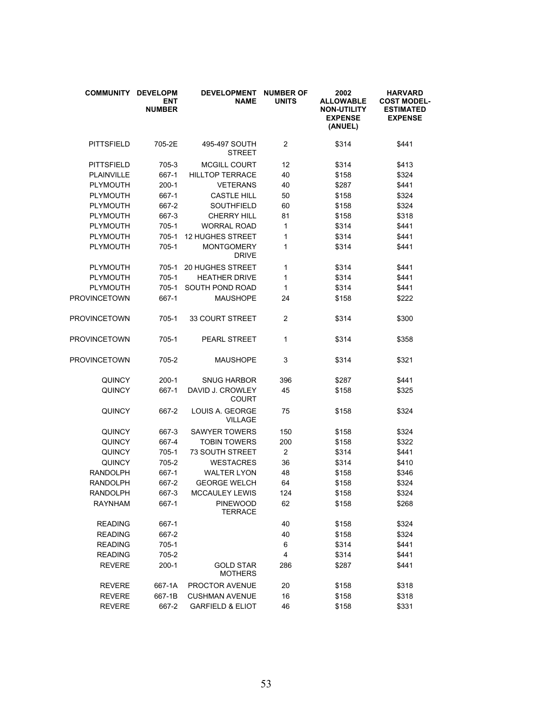| <b>COMMUNITY</b>  | <b>DEVELOPM</b><br><b>ENT</b><br><b>NUMBER</b> | <b>DEVELOPMENT</b><br><b>NAME</b>  | <b>NUMBER OF</b><br><b>UNITS</b> | 2002<br><b>ALLOWABLE</b><br><b>NON-UTILITY</b><br><b>EXPENSE</b><br>(ANUEL) | <b>HARVARD</b><br><b>COST MODEL-</b><br><b>ESTIMATED</b><br><b>EXPENSE</b> |
|-------------------|------------------------------------------------|------------------------------------|----------------------------------|-----------------------------------------------------------------------------|----------------------------------------------------------------------------|
| <b>PITTSFIELD</b> | 705-2E                                         | 495-497 SOUTH<br><b>STREET</b>     | $\overline{2}$                   | \$314                                                                       | \$441                                                                      |
| <b>PITTSFIELD</b> | 705-3                                          | <b>MCGILL COURT</b>                | 12                               | \$314                                                                       | \$413                                                                      |
| PLAINVILLE        | 667-1                                          | <b>HILLTOP TERRACE</b>             | 40                               | \$158                                                                       | \$324                                                                      |
| <b>PLYMOUTH</b>   | $200-1$                                        | <b>VETERANS</b>                    | 40                               | \$287                                                                       | \$441                                                                      |
| PLYMOUTH          | 667-1                                          | <b>CASTLE HILL</b>                 | 50                               | \$158                                                                       | \$324                                                                      |
| <b>PLYMOUTH</b>   | 667-2                                          | <b>SOUTHFIELD</b>                  | 60                               | \$158                                                                       | \$324                                                                      |
| PLYMOUTH          | 667-3                                          | <b>CHERRY HILL</b>                 | 81                               | \$158                                                                       | \$318                                                                      |
| PLYMOUTH          | $705-1$                                        | <b>WORRAL ROAD</b>                 | 1                                | \$314                                                                       | \$441                                                                      |
| PLYMOUTH          | 705-1                                          | <b>12 HUGHES STREET</b>            | 1                                | \$314                                                                       | \$441                                                                      |
| PLYMOUTH          | 705-1                                          | <b>MONTGOMERY</b><br><b>DRIVE</b>  | 1                                | \$314                                                                       | \$441                                                                      |
| <b>PLYMOUTH</b>   | 705-1                                          | <b>20 HUGHES STREET</b>            | 1                                | \$314                                                                       | \$441                                                                      |
| <b>PLYMOUTH</b>   | $705-1$                                        | <b>HEATHER DRIVE</b>               | 1                                | \$314                                                                       | \$441                                                                      |
| <b>PLYMOUTH</b>   | 705-1                                          | SOUTH POND ROAD                    | 1                                | \$314                                                                       | \$441                                                                      |
| PROVINCETOWN      | 667-1                                          | <b>MAUSHOPE</b>                    | 24                               | \$158                                                                       | \$222                                                                      |
| PROVINCETOWN      | 705-1                                          | 33 COURT STREET                    | 2                                | \$314                                                                       | \$300                                                                      |
| PROVINCETOWN      | $705-1$                                        | <b>PEARL STREET</b>                | 1                                | \$314                                                                       | \$358                                                                      |
| PROVINCETOWN      | 705-2                                          | <b>MAUSHOPE</b>                    | 3                                | \$314                                                                       | \$321                                                                      |
| QUINCY            | $200-1$                                        | <b>SNUG HARBOR</b>                 | 396                              | \$287                                                                       | \$441                                                                      |
| <b>QUINCY</b>     | 667-1                                          | DAVID J. CROWLEY<br>COURT          | 45                               | \$158                                                                       | \$325                                                                      |
| QUINCY            | 667-2                                          | LOUIS A. GEORGE<br><b>VILLAGE</b>  | 75                               | \$158                                                                       | \$324                                                                      |
| <b>QUINCY</b>     | 667-3                                          | <b>SAWYER TOWERS</b>               | 150                              | \$158                                                                       | \$324                                                                      |
| <b>QUINCY</b>     | 667-4                                          | <b>TOBIN TOWERS</b>                | 200                              | \$158                                                                       | \$322                                                                      |
| <b>QUINCY</b>     | 705-1                                          | <b>73 SOUTH STREET</b>             | $\overline{2}$                   | \$314                                                                       | \$441                                                                      |
| QUINCY            | 705-2                                          | <b>WESTACRES</b>                   | 36                               | \$314                                                                       | \$410                                                                      |
| <b>RANDOLPH</b>   | 667-1                                          | <b>WALTER LYON</b>                 | 48                               | \$158                                                                       | \$346                                                                      |
| <b>RANDOLPH</b>   | 667-2                                          | <b>GEORGE WELCH</b>                | 64                               | \$158                                                                       | \$324                                                                      |
| <b>RANDOLPH</b>   | 667-3                                          | <b>MCCAULEY LEWIS</b>              | 124                              | \$158                                                                       | \$324                                                                      |
| RAYNHAM           | 667-1                                          | <b>PINEWOOD</b><br>TERRACE         | 62                               | \$158                                                                       | \$268                                                                      |
| <b>READING</b>    | 667-1                                          |                                    | 40                               | \$158                                                                       | \$324                                                                      |
| <b>READING</b>    | 667-2                                          |                                    | 40                               | \$158                                                                       | \$324                                                                      |
| <b>READING</b>    | 705-1                                          |                                    | 6                                | \$314                                                                       | \$441                                                                      |
| <b>READING</b>    | 705-2                                          |                                    | 4                                | \$314                                                                       | \$441                                                                      |
| <b>REVERE</b>     | $200-1$                                        | <b>GOLD STAR</b><br><b>MOTHERS</b> | 286                              | \$287                                                                       | \$441                                                                      |
| <b>REVERE</b>     | 667-1A                                         | PROCTOR AVENUE                     | 20                               | \$158                                                                       | \$318                                                                      |
| <b>REVERE</b>     | 667-1B                                         | <b>CUSHMAN AVENUE</b>              | 16                               | \$158                                                                       | \$318                                                                      |
| <b>REVERE</b>     | 667-2                                          | <b>GARFIELD &amp; ELIOT</b>        | 46                               | \$158                                                                       | \$331                                                                      |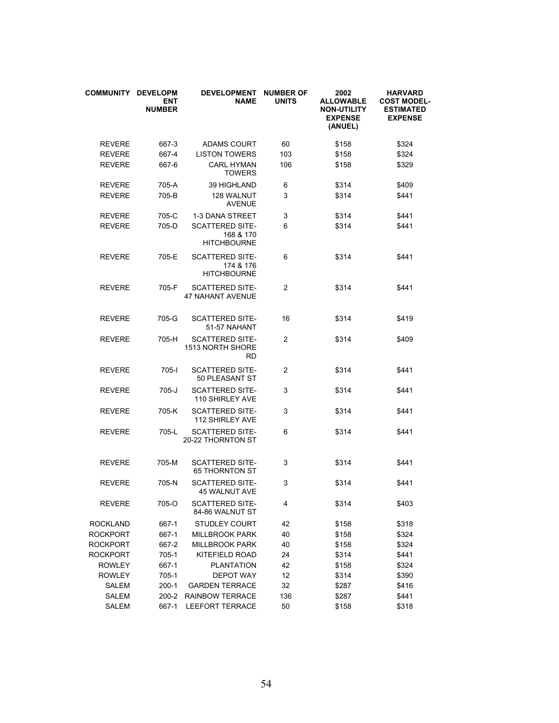| <b>COMMUNITY</b> | <b>DEVELOPM</b><br><b>ENT</b><br><b>NUMBER</b> | <b>DEVELOPMENT</b><br><b>NAME</b>                         | <b>NUMBER OF</b><br><b>UNITS</b> | 2002<br><b>ALLOWABLE</b><br><b>NON-UTILITY</b><br><b>EXPENSE</b><br>(ANUEL) | <b>HARVARD</b><br><b>COST MODEL-</b><br><b>ESTIMATED</b><br><b>EXPENSE</b> |
|------------------|------------------------------------------------|-----------------------------------------------------------|----------------------------------|-----------------------------------------------------------------------------|----------------------------------------------------------------------------|
| <b>REVERE</b>    | 667-3                                          | <b>ADAMS COURT</b>                                        | 60                               | \$158                                                                       | \$324                                                                      |
| <b>REVERE</b>    | 667-4                                          | <b>LISTON TOWERS</b>                                      | 103                              | \$158                                                                       | \$324                                                                      |
| <b>REVERE</b>    | 667-6                                          | <b>CARL HYMAN</b><br><b>TOWERS</b>                        | 106                              | \$158                                                                       | \$329                                                                      |
| <b>REVERE</b>    | 705-A                                          | 39 HIGHLAND                                               | 6                                | \$314                                                                       | \$409                                                                      |
| <b>REVERE</b>    | 705-B                                          | 128 WALNUT<br><b>AVENUE</b>                               | 3                                | \$314                                                                       | \$441                                                                      |
| <b>REVERE</b>    | 705-C                                          | 1-3 DANA STREET                                           | 3                                | \$314                                                                       | \$441                                                                      |
| <b>REVERE</b>    | 705-D                                          | <b>SCATTERED SITE-</b><br>168 & 170<br><b>HITCHBOURNE</b> | 6                                | \$314                                                                       | \$441                                                                      |
| <b>REVERE</b>    | 705-E                                          | <b>SCATTERED SITE-</b><br>174 & 176<br><b>HITCHBOURNE</b> | 6                                | \$314                                                                       | \$441                                                                      |
| <b>REVERE</b>    | 705-F                                          | <b>SCATTERED SITE-</b><br><b>47 NAHANT AVENUE</b>         | $\overline{2}$                   | \$314                                                                       | \$441                                                                      |
| <b>REVERE</b>    | 705-G                                          | <b>SCATTERED SITE-</b><br>51-57 NAHANT                    | 16                               | \$314                                                                       | \$419                                                                      |
| <b>REVERE</b>    | 705-H                                          | <b>SCATTERED SITE-</b><br>1513 NORTH SHORE<br>RD          | 2                                | \$314                                                                       | \$409                                                                      |
| <b>REVERE</b>    | 705-l                                          | <b>SCATTERED SITE-</b><br>50 PLEASANT ST                  | 2                                | \$314                                                                       | \$441                                                                      |
| <b>REVERE</b>    | $705 - J$                                      | <b>SCATTERED SITE-</b><br>110 SHIRLEY AVE                 | 3                                | \$314                                                                       | \$441                                                                      |
| <b>REVERE</b>    | 705-K                                          | <b>SCATTERED SITE-</b><br><b>112 SHIRLEY AVE</b>          | 3                                | \$314                                                                       | \$441                                                                      |
| <b>REVERE</b>    | 705-L                                          | <b>SCATTERED SITE-</b><br>20-22 THORNTON ST               | 6                                | \$314                                                                       | \$441                                                                      |
| <b>REVERE</b>    | 705-M                                          | <b>SCATTERED SITE-</b><br><b>65 THORNTON ST</b>           | 3                                | \$314                                                                       | \$441                                                                      |
| <b>REVERE</b>    | 705-N                                          | <b>SCATTERED SITE-</b><br><b>45 WALNUT AVE</b>            | 3                                | \$314                                                                       | \$441                                                                      |
| <b>REVERE</b>    | 705-O                                          | <b>SCATTERED SITE-</b><br>84-86 WALNUT ST                 | 4                                | \$314                                                                       | \$403                                                                      |
| <b>ROCKLAND</b>  | 667-1                                          | <b>STUDLEY COURT</b>                                      | 42                               | \$158                                                                       | \$318                                                                      |
| <b>ROCKPORT</b>  | 667-1                                          | <b>MILLBROOK PARK</b>                                     | 40                               | \$158                                                                       | \$324                                                                      |
| <b>ROCKPORT</b>  | 667-2                                          | <b>MILLBROOK PARK</b>                                     | 40                               | \$158                                                                       | \$324                                                                      |
| <b>ROCKPORT</b>  | 705-1                                          | KITEFIELD ROAD                                            | 24                               | \$314                                                                       | \$441                                                                      |
| <b>ROWLEY</b>    | 667-1                                          | <b>PLANTATION</b>                                         | 42                               | \$158                                                                       | \$324                                                                      |
| <b>ROWLEY</b>    | 705-1                                          | <b>DEPOT WAY</b>                                          | 12                               | \$314                                                                       | \$390                                                                      |
| SALEM            | $200-1$                                        | <b>GARDEN TERRACE</b>                                     | 32                               | \$287                                                                       | \$416                                                                      |
| SALEM            | $200 - 2$                                      | RAINBOW TERRACE                                           | 136                              | \$287                                                                       | \$441                                                                      |
| SALEM            | 667-1                                          | LEEFORT TERRACE                                           | 50                               | \$158                                                                       | \$318                                                                      |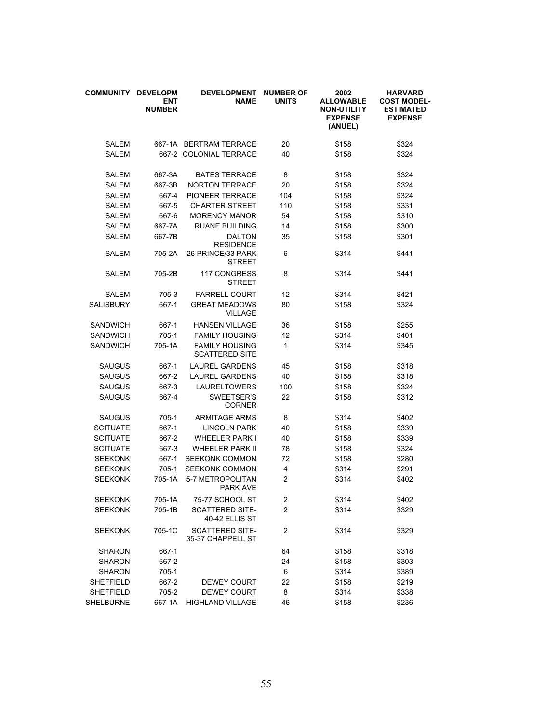| <b>COMMUNITY</b> | <b>DEVELOPM</b><br><b>ENT</b><br><b>NUMBER</b> | <b>DEVELOPMENT</b><br><b>NAME</b>              | <b>NUMBER OF</b><br><b>UNITS</b> | 2002<br><b>ALLOWABLE</b><br><b>NON-UTILITY</b><br><b>EXPENSE</b><br>(ANUEL) | <b>HARVARD</b><br><b>COST MODEL-</b><br><b>ESTIMATED</b><br><b>EXPENSE</b> |
|------------------|------------------------------------------------|------------------------------------------------|----------------------------------|-----------------------------------------------------------------------------|----------------------------------------------------------------------------|
| SALEM            |                                                | 667-1A BERTRAM TERRACE                         | 20                               | \$158                                                                       | \$324                                                                      |
| <b>SALEM</b>     |                                                | 667-2 COLONIAL TERRACE                         | 40                               | \$158                                                                       | \$324                                                                      |
| <b>SALEM</b>     | 667-3A                                         | <b>BATES TERRACE</b>                           | 8                                | \$158                                                                       | \$324                                                                      |
| <b>SALEM</b>     | 667-3B                                         | <b>NORTON TERRACE</b>                          | 20                               | \$158                                                                       | \$324                                                                      |
| SALEM            | 667-4                                          | PIONEER TERRACE                                | 104                              | \$158                                                                       | \$324                                                                      |
| <b>SALEM</b>     | 667-5                                          | <b>CHARTER STREET</b>                          | 110                              | \$158                                                                       | \$331                                                                      |
| <b>SALEM</b>     | 667-6                                          | <b>MORENCY MANOR</b>                           | 54                               | \$158                                                                       | \$310                                                                      |
| <b>SALEM</b>     | 667-7A                                         | <b>RUANE BUILDING</b>                          | 14                               | \$158                                                                       | \$300                                                                      |
| <b>SALEM</b>     | 667-7B                                         | <b>DALTON</b><br><b>RESIDENCE</b>              | 35                               | \$158                                                                       | \$301                                                                      |
| <b>SALEM</b>     | 705-2A                                         | 26 PRINCE/33 PARK<br><b>STREET</b>             | 6                                | \$314                                                                       | \$441                                                                      |
| <b>SALEM</b>     | 705-2B                                         | 117 CONGRESS<br>STREET                         | 8                                | \$314                                                                       | \$441                                                                      |
| <b>SALEM</b>     | 705-3                                          | <b>FARRELL COURT</b>                           | 12                               | \$314                                                                       | \$421                                                                      |
| SALISBURY        | 667-1                                          | <b>GREAT MEADOWS</b><br><b>VILLAGE</b>         | 80                               | \$158                                                                       | \$324                                                                      |
| <b>SANDWICH</b>  | 667-1                                          | <b>HANSEN VILLAGE</b>                          | 36                               | \$158                                                                       | \$255                                                                      |
| <b>SANDWICH</b>  | 705-1                                          | <b>FAMILY HOUSING</b>                          | 12                               | \$314                                                                       | \$401                                                                      |
| <b>SANDWICH</b>  | 705-1A                                         | <b>FAMILY HOUSING</b><br><b>SCATTERED SITE</b> | 1                                | \$314                                                                       | \$345                                                                      |
| <b>SAUGUS</b>    | 667-1                                          | <b>LAUREL GARDENS</b>                          | 45                               | \$158                                                                       | \$318                                                                      |
| <b>SAUGUS</b>    | 667-2                                          | <b>LAUREL GARDENS</b>                          | 40                               | \$158                                                                       | \$318                                                                      |
| <b>SAUGUS</b>    | 667-3                                          | <b>LAURELTOWERS</b>                            | 100                              | \$158                                                                       | \$324                                                                      |
| <b>SAUGUS</b>    | 667-4                                          | SWEETSER'S<br><b>CORNER</b>                    | 22                               | \$158                                                                       | \$312                                                                      |
| <b>SAUGUS</b>    | 705-1                                          | <b>ARMITAGE ARMS</b>                           | 8                                | \$314                                                                       | \$402                                                                      |
| <b>SCITUATE</b>  | 667-1                                          | <b>LINCOLN PARK</b>                            | 40                               | \$158                                                                       | \$339                                                                      |
| <b>SCITUATE</b>  | 667-2                                          | <b>WHEELER PARK I</b>                          | 40                               | \$158                                                                       | \$339                                                                      |
| <b>SCITUATE</b>  | 667-3                                          | <b>WHEELER PARK II</b>                         | 78                               | \$158                                                                       | \$324                                                                      |
| <b>SEEKONK</b>   | 667-1                                          | <b>SEEKONK COMMON</b>                          | 72                               | \$158                                                                       | \$280                                                                      |
| <b>SEEKONK</b>   | 705-1                                          | <b>SEEKONK COMMON</b>                          | 4                                | \$314                                                                       | \$291                                                                      |
| <b>SEEKONK</b>   | 705-1A                                         | 5-7 METROPOLITAN<br><b>PARK AVE</b>            | $\overline{2}$                   | \$314                                                                       | \$402                                                                      |
| <b>SEEKONK</b>   | 705-1A                                         | 75-77 SCHOOL ST                                | $\overline{\mathbf{c}}$          | \$314                                                                       | \$402                                                                      |
| <b>SEEKONK</b>   | 705-1B                                         | <b>SCATTERED SITE-</b><br>40-42 ELLIS ST       | 2                                | \$314                                                                       | \$329                                                                      |
| <b>SEEKONK</b>   | 705-1C                                         | <b>SCATTERED SITE-</b><br>35-37 CHAPPELL ST    | 2                                | \$314                                                                       | \$329                                                                      |
| <b>SHARON</b>    | 667-1                                          |                                                | 64                               | \$158                                                                       | \$318                                                                      |
| <b>SHARON</b>    | 667-2                                          |                                                | 24                               | \$158                                                                       | \$303                                                                      |
| <b>SHARON</b>    | 705-1                                          |                                                | 6                                | \$314                                                                       | \$389                                                                      |
| <b>SHEFFIELD</b> | 667-2                                          | <b>DEWEY COURT</b>                             | 22                               | \$158                                                                       | \$219                                                                      |
| <b>SHEFFIELD</b> | 705-2                                          | <b>DEWEY COURT</b>                             | 8                                | \$314                                                                       | \$338                                                                      |
| SHELBURNE        | 667-1A                                         | HIGHLAND VILLAGE                               | 46                               | \$158                                                                       | \$236                                                                      |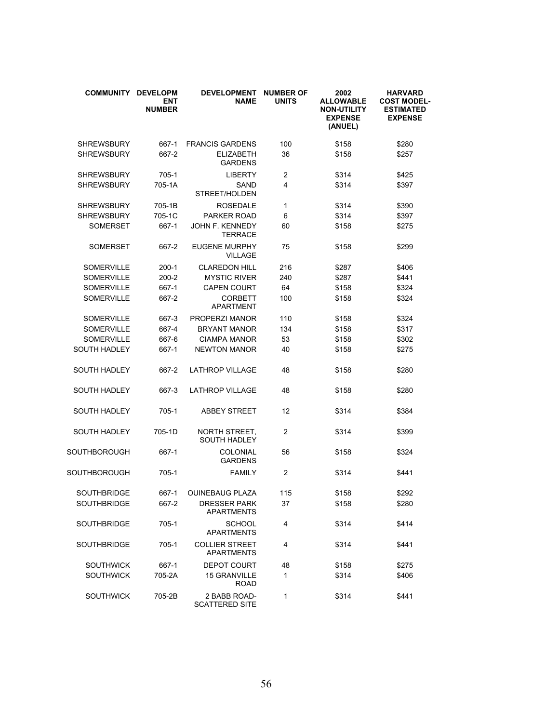| <b>COMMUNITY</b>    | <b>DEVELOPM</b><br><b>ENT</b><br><b>NUMBER</b> | <b>DEVELOPMENT</b><br><b>NAME</b>          | <b>NUMBER OF</b><br><b>UNITS</b> | 2002<br><b>ALLOWABLE</b><br><b>NON-UTILITY</b><br><b>EXPENSE</b><br>(ANUEL) | <b>HARVARD</b><br><b>COST MODEL-</b><br><b>ESTIMATED</b><br><b>EXPENSE</b> |
|---------------------|------------------------------------------------|--------------------------------------------|----------------------------------|-----------------------------------------------------------------------------|----------------------------------------------------------------------------|
| <b>SHREWSBURY</b>   | 667-1                                          | <b>FRANCIS GARDENS</b>                     | 100                              | \$158                                                                       | \$280                                                                      |
| <b>SHREWSBURY</b>   | 667-2                                          | <b>ELIZABETH</b><br><b>GARDENS</b>         | 36                               | \$158                                                                       | \$257                                                                      |
| <b>SHREWSBURY</b>   | 705-1                                          | <b>LIBERTY</b>                             | 2                                | \$314                                                                       | \$425                                                                      |
| <b>SHREWSBURY</b>   | 705-1A                                         | SAND<br>STREET/HOLDEN                      | 4                                | \$314                                                                       | \$397                                                                      |
| <b>SHREWSBURY</b>   | 705-1B                                         | <b>ROSEDALE</b>                            | 1                                | \$314                                                                       | \$390                                                                      |
| <b>SHREWSBURY</b>   | 705-1C                                         | PARKER ROAD                                | 6                                | \$314                                                                       | \$397                                                                      |
| SOMERSET            | 667-1                                          | JOHN F. KENNEDY<br><b>TERRACE</b>          | 60                               | \$158                                                                       | \$275                                                                      |
| <b>SOMERSET</b>     | 667-2                                          | <b>EUGENE MURPHY</b><br><b>VILLAGE</b>     | 75                               | \$158                                                                       | \$299                                                                      |
| <b>SOMERVILLE</b>   | 200-1                                          | <b>CLAREDON HILL</b>                       | 216                              | \$287                                                                       | \$406                                                                      |
| <b>SOMERVILLE</b>   | 200-2                                          | <b>MYSTIC RIVER</b>                        | 240                              | \$287                                                                       | \$441                                                                      |
| <b>SOMERVILLE</b>   | 667-1                                          | <b>CAPEN COURT</b>                         | 64                               | \$158                                                                       | \$324                                                                      |
| <b>SOMERVILLE</b>   | 667-2                                          | <b>CORBETT</b><br><b>APARTMENT</b>         | 100                              | \$158                                                                       | \$324                                                                      |
| <b>SOMERVILLE</b>   | 667-3                                          | PROPERZI MANOR                             | 110                              | \$158                                                                       | \$324                                                                      |
| <b>SOMERVILLE</b>   | 667-4                                          | <b>BRYANT MANOR</b>                        | 134                              | \$158                                                                       | \$317                                                                      |
| <b>SOMERVILLE</b>   | 667-6                                          | <b>CIAMPA MANOR</b>                        | 53                               | \$158                                                                       | \$302                                                                      |
| <b>SOUTH HADLEY</b> | 667-1                                          | <b>NEWTON MANOR</b>                        | 40                               | \$158                                                                       | \$275                                                                      |
| <b>SOUTH HADLEY</b> | 667-2                                          | <b>LATHROP VILLAGE</b>                     | 48                               | \$158                                                                       | \$280                                                                      |
| SOUTH HADLEY        | 667-3                                          | <b>LATHROP VILLAGE</b>                     | 48                               | \$158                                                                       | \$280                                                                      |
| <b>SOUTH HADLEY</b> | 705-1                                          | <b>ABBEY STREET</b>                        | 12                               | \$314                                                                       | \$384                                                                      |
| SOUTH HADLEY        | 705-1D                                         | NORTH STREET,<br><b>SOUTH HADLEY</b>       | 2                                | \$314                                                                       | \$399                                                                      |
| SOUTHBOROUGH        | 667-1                                          | <b>COLONIAL</b><br><b>GARDENS</b>          | 56                               | \$158                                                                       | \$324                                                                      |
| SOUTHBOROUGH        | 705-1                                          | <b>FAMILY</b>                              | 2                                | \$314                                                                       | \$441                                                                      |
| <b>SOUTHBRIDGE</b>  | 667-1                                          | <b>OUINEBAUG PLAZA</b>                     | 115                              | \$158                                                                       | \$292                                                                      |
| <b>SOUTHBRIDGE</b>  | 667-2                                          | <b>DRESSER PARK</b><br><b>APARTMENTS</b>   | 37                               | \$158                                                                       | \$280                                                                      |
| <b>SOUTHBRIDGE</b>  | 705-1                                          | <b>SCHOOL</b><br><b>APARTMENTS</b>         | 4                                | \$314                                                                       | \$414                                                                      |
| <b>SOUTHBRIDGE</b>  | 705-1                                          | <b>COLLIER STREET</b><br><b>APARTMENTS</b> | 4                                | \$314                                                                       | \$441                                                                      |
| <b>SOUTHWICK</b>    | 667-1                                          | <b>DEPOT COURT</b>                         | 48                               | \$158                                                                       | \$275                                                                      |
| <b>SOUTHWICK</b>    | 705-2A                                         | <b>15 GRANVILLE</b><br><b>ROAD</b>         | 1                                | \$314                                                                       | \$406                                                                      |
| <b>SOUTHWICK</b>    | 705-2B                                         | 2 BABB ROAD-<br><b>SCATTERED SITE</b>      | 1                                | \$314                                                                       | \$441                                                                      |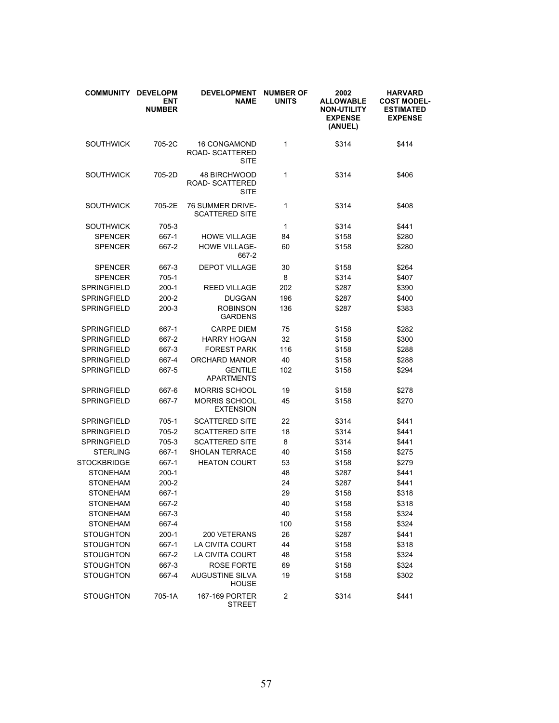| <b>COMMUNITY</b>   | <b>DEVELOPM</b><br><b>ENT</b><br><b>NUMBER</b> | <b>DEVELOPMENT</b><br><b>NAME</b>                            | <b>NUMBER OF</b><br><b>UNITS</b> | 2002<br><b>ALLOWABLE</b><br><b>NON-UTILITY</b><br><b>EXPENSE</b><br>(ANUEL) | <b>HARVARD</b><br><b>COST MODEL-</b><br><b>ESTIMATED</b><br><b>EXPENSE</b> |
|--------------------|------------------------------------------------|--------------------------------------------------------------|----------------------------------|-----------------------------------------------------------------------------|----------------------------------------------------------------------------|
| <b>SOUTHWICK</b>   | 705-2C                                         | <b>16 CONGAMOND</b><br><b>ROAD- SCATTERED</b><br><b>SITE</b> | 1                                | \$314                                                                       | \$414                                                                      |
| <b>SOUTHWICK</b>   | 705-2D                                         | <b>48 BIRCHWOOD</b><br>ROAD-SCATTERED<br><b>SITE</b>         | 1                                | \$314                                                                       | \$406                                                                      |
| <b>SOUTHWICK</b>   | 705-2E                                         | 76 SUMMER DRIVE-<br><b>SCATTERED SITE</b>                    | 1                                | \$314                                                                       | \$408                                                                      |
| <b>SOUTHWICK</b>   | 705-3                                          |                                                              | 1                                | \$314                                                                       | \$441                                                                      |
| <b>SPENCER</b>     | 667-1                                          | <b>HOWE VILLAGE</b>                                          | 84                               | \$158                                                                       | \$280                                                                      |
| <b>SPENCER</b>     | 667-2                                          | <b>HOWE VILLAGE-</b><br>667-2                                | 60                               | \$158                                                                       | \$280                                                                      |
| <b>SPENCER</b>     | 667-3                                          | <b>DEPOT VILLAGE</b>                                         | 30                               | \$158                                                                       | \$264                                                                      |
| <b>SPENCER</b>     | 705-1                                          |                                                              | 8                                | \$314                                                                       | \$407                                                                      |
| <b>SPRINGFIELD</b> | $200-1$                                        | <b>REED VILLAGE</b>                                          | 202                              | \$287                                                                       | \$390                                                                      |
| SPRINGFIELD        | $200 - 2$                                      | <b>DUGGAN</b>                                                | 196                              | \$287                                                                       | \$400                                                                      |
| SPRINGFIELD        | $200-3$                                        | <b>ROBINSON</b><br><b>GARDENS</b>                            | 136                              | \$287                                                                       | \$383                                                                      |
| SPRINGFIELD        | 667-1                                          | <b>CARPE DIEM</b>                                            | 75                               | \$158                                                                       | \$282                                                                      |
| SPRINGFIELD        | 667-2                                          | <b>HARRY HOGAN</b>                                           | 32                               | \$158                                                                       | \$300                                                                      |
| SPRINGFIELD        | 667-3                                          | <b>FOREST PARK</b>                                           | 116                              | \$158                                                                       | \$288                                                                      |
| SPRINGFIELD        | 667-4                                          | ORCHARD MANOR                                                | 40                               | \$158                                                                       | \$288                                                                      |
| SPRINGFIELD        | 667-5                                          | <b>GENTILE</b><br><b>APARTMENTS</b>                          | 102                              | \$158                                                                       | \$294                                                                      |
| SPRINGFIELD        | 667-6                                          | MORRIS SCHOOL                                                | 19                               | \$158                                                                       | \$278                                                                      |
| <b>SPRINGFIELD</b> | 667-7                                          | <b>MORRIS SCHOOL</b><br><b>EXTENSION</b>                     | 45                               | \$158                                                                       | \$270                                                                      |
| SPRINGFIELD        | 705-1                                          | <b>SCATTERED SITE</b>                                        | 22                               | \$314                                                                       | \$441                                                                      |
| SPRINGFIELD        | 705-2                                          | <b>SCATTERED SITE</b>                                        | 18                               | \$314                                                                       | \$441                                                                      |
| <b>SPRINGFIELD</b> | 705-3                                          | <b>SCATTERED SITE</b>                                        | 8                                | \$314                                                                       | \$441                                                                      |
| <b>STERLING</b>    | 667-1                                          | SHOLAN TERRACE                                               | 40                               | \$158                                                                       | \$275                                                                      |
| <b>STOCKBRIDGE</b> | 667-1                                          | <b>HEATON COURT</b>                                          | 53                               | \$158                                                                       | \$279                                                                      |
| <b>STONEHAM</b>    | $200-1$                                        |                                                              | 48                               | \$287                                                                       | \$441                                                                      |
| <b>STONEHAM</b>    | 200-2                                          |                                                              | 24                               | \$287                                                                       | \$441                                                                      |
| <b>STONEHAM</b>    | 667-1                                          |                                                              | 29                               | \$158                                                                       | \$318                                                                      |
| <b>STONEHAM</b>    | 667-2                                          |                                                              | 40                               | \$158                                                                       | \$318                                                                      |
| <b>STONEHAM</b>    | 667-3                                          |                                                              | 40                               | \$158                                                                       | \$324                                                                      |
| <b>STONEHAM</b>    | 667-4                                          |                                                              | 100                              | \$158                                                                       | \$324                                                                      |
| <b>STOUGHTON</b>   | $200-1$                                        | 200 VETERANS                                                 | 26                               | \$287                                                                       | \$441                                                                      |
| <b>STOUGHTON</b>   | 667-1                                          | LA CIVITA COURT                                              | 44                               | \$158                                                                       | \$318                                                                      |
| <b>STOUGHTON</b>   | 667-2                                          | LA CIVITA COURT                                              | 48                               | \$158                                                                       | \$324                                                                      |
| <b>STOUGHTON</b>   | 667-3                                          | ROSE FORTE                                                   | 69                               | \$158                                                                       | \$324                                                                      |
| <b>STOUGHTON</b>   | 667-4                                          | <b>AUGUSTINE SILVA</b><br><b>HOUSE</b>                       | 19                               | \$158                                                                       | \$302                                                                      |
| <b>STOUGHTON</b>   | 705-1A                                         | 167-169 PORTER<br><b>STREET</b>                              | $\overline{\mathbf{c}}$          | \$314                                                                       | \$441                                                                      |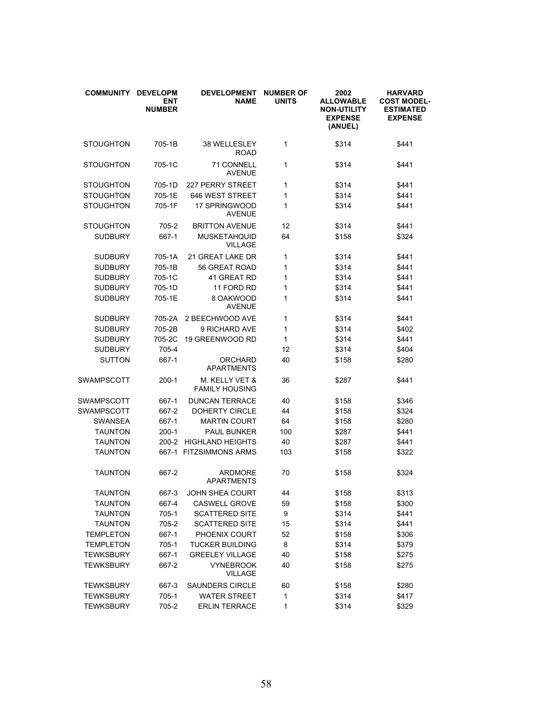| <b>COMMUNITY</b> | <b>DEVELOPM</b><br><b>ENT</b><br><b>NUMBER</b> | <b>DEVELOPMENT</b><br><b>NAME</b>       | <b>NUMBER OF</b><br><b>UNITS</b> | 2002<br><b>ALLOWABLE</b><br><b>NON-UTILITY</b><br><b>EXPENSE</b><br>(ANUEL) | <b>HARVARD</b><br><b>COST MODEL-</b><br><b>ESTIMATED</b><br><b>EXPENSE</b> |
|------------------|------------------------------------------------|-----------------------------------------|----------------------------------|-----------------------------------------------------------------------------|----------------------------------------------------------------------------|
| <b>STOUGHTON</b> | 705-1B                                         | 38 WELLESLEY<br><b>ROAD</b>             | 1                                | \$314                                                                       | \$441                                                                      |
| <b>STOUGHTON</b> | 705-1C                                         | 71 CONNELL<br><b>AVENUE</b>             | 1                                | \$314                                                                       | \$441                                                                      |
| <b>STOUGHTON</b> | 705-1D                                         | <b>227 PERRY STREET</b>                 | 1                                | \$314                                                                       | \$441                                                                      |
| <b>STOUGHTON</b> | 705-1E                                         | 646 WEST STREET                         | 1                                | \$314                                                                       | \$441                                                                      |
| <b>STOUGHTON</b> | 705-1F                                         | 17 SPRINGWOOD<br><b>AVENUE</b>          | 1                                | \$314                                                                       | \$441                                                                      |
| <b>STOUGHTON</b> | 705-2                                          | <b>BRITTON AVENUE</b>                   | 12                               | \$314                                                                       | \$441                                                                      |
| <b>SUDBURY</b>   | 667-1                                          | <b>MUSKETAHQUID</b><br><b>VILLAGE</b>   | 64                               | \$158                                                                       | \$324                                                                      |
| <b>SUDBURY</b>   | 705-1A                                         | 21 GREAT LAKE DR                        | 1                                | \$314                                                                       | \$441                                                                      |
| <b>SUDBURY</b>   | 705-1B                                         | 56 GREAT ROAD                           | 1                                | \$314                                                                       | \$441                                                                      |
| <b>SUDBURY</b>   | 705-1C                                         | 41 GREAT RD                             | 1                                | \$314                                                                       | \$441                                                                      |
| <b>SUDBURY</b>   | 705-1D                                         | 11 FORD RD                              | 1                                | \$314                                                                       | \$441                                                                      |
| <b>SUDBURY</b>   | 705-1E                                         | 8 OAKWOOD<br><b>AVENUE</b>              | 1                                | \$314                                                                       | \$441                                                                      |
| <b>SUDBURY</b>   | 705-2A                                         | 2 BEECHWOOD AVE                         | 1                                | \$314                                                                       | \$441                                                                      |
| <b>SUDBURY</b>   | 705-2B                                         | 9 RICHARD AVE                           | 1                                | \$314                                                                       | \$402                                                                      |
| <b>SUDBURY</b>   | 705-2C                                         | 19 GREENWOOD RD                         | 1                                | \$314                                                                       | \$441                                                                      |
| <b>SUDBURY</b>   | 705-4                                          |                                         | 12                               | \$314                                                                       | \$404                                                                      |
| <b>SUTTON</b>    | 667-1                                          | <b>ORCHARD</b><br><b>APARTMENTS</b>     | 40                               | \$158                                                                       | \$280                                                                      |
| SWAMPSCOTT       | $200-1$                                        | M. KELLY VET &<br><b>FAMILY HOUSING</b> | 36                               | \$287                                                                       | \$441                                                                      |
| SWAMPSCOTT       | 667-1                                          | <b>DUNCAN TERRACE</b>                   | 40                               | \$158                                                                       | \$346                                                                      |
| SWAMPSCOTT       | 667-2                                          | DOHERTY CIRCLE                          | 44                               | \$158                                                                       | \$324                                                                      |
| <b>SWANSEA</b>   | 667-1                                          | <b>MARTIN COURT</b>                     | 64                               | \$158                                                                       | \$280                                                                      |
| <b>TAUNTON</b>   | $200-1$                                        | <b>PAUL BUNKER</b>                      | 100                              | \$287                                                                       | \$441                                                                      |
| <b>TAUNTON</b>   | $200 - 2$                                      | <b>HIGHLAND HEIGHTS</b>                 | 40                               | \$287                                                                       | \$441                                                                      |
| <b>TAUNTON</b>   |                                                | 667-1 FITZSIMMONS ARMS                  | 103                              | \$158                                                                       | \$322                                                                      |
| <b>TAUNTON</b>   | 667-2                                          | ARDMORE<br><b>APARTMENTS</b>            | 70                               | \$158                                                                       | \$324                                                                      |
| <b>TAUNTON</b>   | 667-3                                          | <b>JOHN SHEA COURT</b>                  | 44                               | \$158                                                                       | \$313                                                                      |
| <b>TAUNTON</b>   | 667-4                                          | <b>CASWELL GROVE</b>                    | 59                               | \$158                                                                       | \$300                                                                      |
| <b>TAUNTON</b>   | 705-1                                          | <b>SCATTERED SITE</b>                   | 9                                | \$314                                                                       | \$441                                                                      |
| <b>TAUNTON</b>   | 705-2                                          | <b>SCATTERED SITE</b>                   | 15                               | \$314                                                                       | \$441                                                                      |
| <b>TEMPLETON</b> | 667-1                                          | PHOENIX COURT                           | 52                               | \$158                                                                       | \$306                                                                      |
| <b>TEMPLETON</b> | 705-1                                          | <b>TUCKER BUILDING</b>                  | 8                                | \$314                                                                       | \$379                                                                      |
| <b>TEWKSBURY</b> | 667-1                                          | <b>GREELEY VILLAGE</b>                  | 40                               | \$158                                                                       | \$275                                                                      |
| <b>TEWKSBURY</b> | 667-2                                          | <b>VYNEBROOK</b><br><b>VILLAGE</b>      | 40                               | \$158                                                                       | \$275                                                                      |
| <b>TEWKSBURY</b> | 667-3                                          | SAUNDERS CIRCLE                         | 60                               | \$158                                                                       | \$280                                                                      |
| <b>TEWKSBURY</b> | 705-1                                          | <b>WATER STREET</b>                     | $\mathbf{1}$                     | \$314                                                                       | \$417                                                                      |
| <b>TEWKSBURY</b> | 705-2                                          | <b>ERLIN TERRACE</b>                    | 1                                | \$314                                                                       | \$329                                                                      |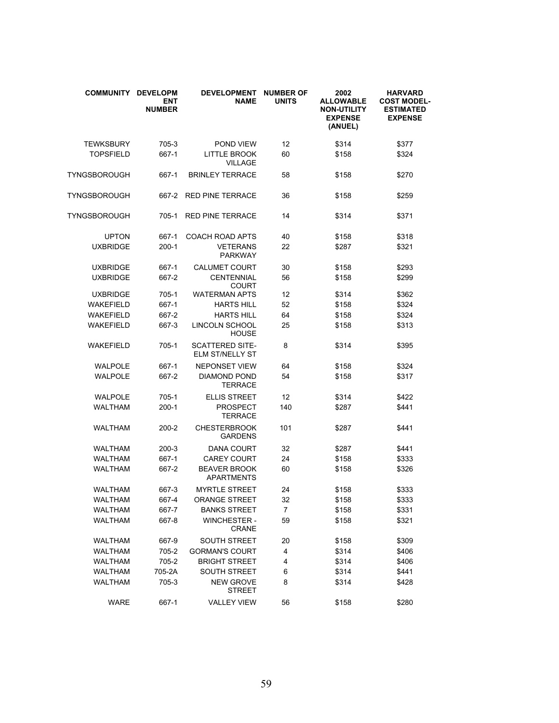| COMMUNITY DEVELOPM | <b>ENT</b><br><b>NUMBER</b> | <b>DEVELOPMENT</b><br><b>NAME</b>         | <b>NUMBER OF</b><br><b>UNITS</b> | 2002<br><b>ALLOWABLE</b><br><b>NON-UTILITY</b><br><b>EXPENSE</b><br>(ANUEL) | <b>HARVARD</b><br><b>COST MODEL-</b><br><b>ESTIMATED</b><br><b>EXPENSE</b> |
|--------------------|-----------------------------|-------------------------------------------|----------------------------------|-----------------------------------------------------------------------------|----------------------------------------------------------------------------|
| <b>TEWKSBURY</b>   | 705-3                       | POND VIEW                                 | 12                               | \$314                                                                       | \$377                                                                      |
| <b>TOPSFIELD</b>   | 667-1                       | <b>LITTLE BROOK</b><br><b>VILLAGE</b>     | 60                               | \$158                                                                       | \$324                                                                      |
| TYNGSBOROUGH       | 667-1                       | <b>BRINLEY TERRACE</b>                    | 58                               | \$158                                                                       | \$270                                                                      |
| TYNGSBOROUGH       | 667-2                       | <b>RED PINE TERRACE</b>                   | 36                               | \$158                                                                       | \$259                                                                      |
| TYNGSBOROUGH       | 705-1                       | <b>RED PINE TERRACE</b>                   | 14                               | \$314                                                                       | \$371                                                                      |
| <b>UPTON</b>       | 667-1                       | <b>COACH ROAD APTS</b>                    | 40                               | \$158                                                                       | \$318                                                                      |
| <b>UXBRIDGE</b>    | $200-1$                     | <b>VETERANS</b><br><b>PARKWAY</b>         | 22                               | \$287                                                                       | \$321                                                                      |
| <b>UXBRIDGE</b>    | 667-1                       | <b>CALUMET COURT</b>                      | 30                               | \$158                                                                       | \$293                                                                      |
| <b>UXBRIDGE</b>    | 667-2                       | <b>CENTENNIAL</b><br><b>COURT</b>         | 56                               | \$158                                                                       | \$299                                                                      |
| <b>UXBRIDGE</b>    | 705-1                       | <b>WATERMAN APTS</b>                      | 12                               | \$314                                                                       | \$362                                                                      |
| <b>WAKEFIELD</b>   | 667-1                       | <b>HARTS HILL</b>                         | 52                               | \$158                                                                       | \$324                                                                      |
| <b>WAKEFIELD</b>   | 667-2                       | <b>HARTS HILL</b>                         | 64                               | \$158                                                                       | \$324                                                                      |
| <b>WAKEFIELD</b>   | 667-3                       | LINCOLN SCHOOL<br><b>HOUSE</b>            | 25                               | \$158                                                                       | \$313                                                                      |
| <b>WAKEFIELD</b>   | 705-1                       | <b>SCATTERED SITE-</b><br>ELM ST/NELLY ST | 8                                | \$314                                                                       | \$395                                                                      |
| <b>WALPOLE</b>     | 667-1                       | <b>NEPONSET VIEW</b>                      | 64                               | \$158                                                                       | \$324                                                                      |
| <b>WALPOLE</b>     | 667-2                       | <b>DIAMOND POND</b><br><b>TERRACE</b>     | 54                               | \$158                                                                       | \$317                                                                      |
| <b>WALPOLE</b>     | 705-1                       | <b>ELLIS STREET</b>                       | 12                               | \$314                                                                       | \$422                                                                      |
| <b>WALTHAM</b>     | $200-1$                     | PROSPECT<br><b>TERRACE</b>                | 140                              | \$287                                                                       | \$441                                                                      |
| <b>WALTHAM</b>     | 200-2                       | <b>CHESTERBROOK</b><br>GARDENS            | 101                              | \$287                                                                       | \$441                                                                      |
| WALTHAM            | $200 - 3$                   | <b>DANA COURT</b>                         | 32                               | \$287                                                                       | \$441                                                                      |
| <b>WALTHAM</b>     | 667-1                       | <b>CAREY COURT</b>                        | 24                               | \$158                                                                       | \$333                                                                      |
| <b>WALTHAM</b>     | 667-2                       | <b>BEAVER BROOK</b><br>APARTMENTS         | 60                               | \$158                                                                       | \$326                                                                      |
| <b>WALTHAM</b>     | 667-3                       | <b>MYRTLE STREET</b>                      | 24                               | \$158                                                                       | \$333                                                                      |
| <b>WALTHAM</b>     | 667-4                       | <b>ORANGE STREET</b>                      | 32                               | \$158                                                                       | \$333                                                                      |
| <b>WALTHAM</b>     | 667-7                       | <b>BANKS STREET</b>                       | $\overline{7}$                   | \$158                                                                       | \$331                                                                      |
| <b>WALTHAM</b>     | 667-8                       | <b>WINCHESTER -</b><br>CRANE              | 59                               | \$158                                                                       | \$321                                                                      |
| <b>WALTHAM</b>     | 667-9                       | SOUTH STREET                              | 20                               | \$158                                                                       | \$309                                                                      |
| <b>WALTHAM</b>     | 705-2                       | <b>GORMAN'S COURT</b>                     | 4                                | \$314                                                                       | \$406                                                                      |
| <b>WALTHAM</b>     | 705-2                       | BRIGHT STREET                             | 4                                | \$314                                                                       | \$406                                                                      |
| <b>WALTHAM</b>     | 705-2A                      | <b>SOUTH STREET</b>                       | 6                                | \$314                                                                       | \$441                                                                      |
| <b>WALTHAM</b>     | 705-3                       | <b>NEW GROVE</b><br><b>STREET</b>         | 8                                | \$314                                                                       | \$428                                                                      |
| <b>WARE</b>        | 667-1                       | <b>VALLEY VIEW</b>                        | 56                               | \$158                                                                       | \$280                                                                      |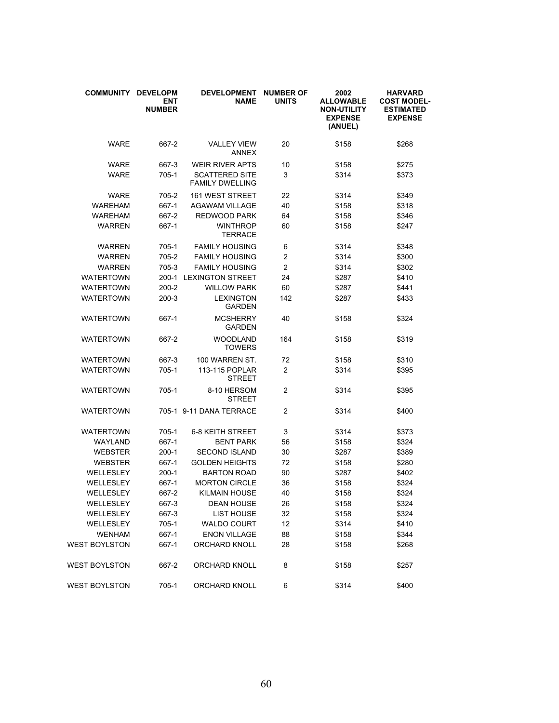| <b>COMMUNITY</b>     | <b>DEVELOPM</b><br><b>ENT</b><br><b>NUMBER</b> | <b>DEVELOPMENT</b><br><b>NAME</b>               | <b>NUMBER OF</b><br><b>UNITS</b> | 2002<br><b>ALLOWABLE</b><br><b>NON-UTILITY</b><br><b>EXPENSE</b><br>(ANUEL) | <b>HARVARD</b><br><b>COST MODEL-</b><br><b>ESTIMATED</b><br><b>EXPENSE</b> |
|----------------------|------------------------------------------------|-------------------------------------------------|----------------------------------|-----------------------------------------------------------------------------|----------------------------------------------------------------------------|
| <b>WARE</b>          | 667-2                                          | <b>VALLEY VIEW</b><br><b>ANNEX</b>              | 20                               | \$158                                                                       | \$268                                                                      |
| WARE                 | 667-3                                          | <b>WEIR RIVER APTS</b>                          | 10                               | \$158                                                                       | \$275                                                                      |
| <b>WARE</b>          | 705-1                                          | <b>SCATTERED SITE</b><br><b>FAMILY DWELLING</b> | 3                                | \$314                                                                       | \$373                                                                      |
| <b>WARE</b>          | 705-2                                          | <b>161 WEST STREET</b>                          | 22                               | \$314                                                                       | \$349                                                                      |
| <b>WAREHAM</b>       | 667-1                                          | <b>AGAWAM VILLAGE</b>                           | 40                               | \$158                                                                       | \$318                                                                      |
| <b>WAREHAM</b>       | 667-2                                          | REDWOOD PARK                                    | 64                               | \$158                                                                       | \$346                                                                      |
| <b>WARREN</b>        | 667-1                                          | <b>WINTHROP</b><br><b>TERRACE</b>               | 60                               | \$158                                                                       | \$247                                                                      |
| <b>WARREN</b>        | $705-1$                                        | <b>FAMILY HOUSING</b>                           | 6                                | \$314                                                                       | \$348                                                                      |
| <b>WARREN</b>        | 705-2                                          | <b>FAMILY HOUSING</b>                           | $\overline{c}$                   | \$314                                                                       | \$300                                                                      |
| <b>WARREN</b>        | 705-3                                          | <b>FAMILY HOUSING</b>                           | $\overline{2}$                   | \$314                                                                       | \$302                                                                      |
| <b>WATERTOWN</b>     | $200-1$                                        | <b>LEXINGTON STREET</b>                         | 24                               | \$287                                                                       | \$410                                                                      |
| <b>WATERTOWN</b>     | 200-2                                          | <b>WILLOW PARK</b>                              | 60                               | \$287                                                                       | \$441                                                                      |
| <b>WATERTOWN</b>     | 200-3                                          | <b>LEXINGTON</b><br><b>GARDEN</b>               | 142                              | \$287                                                                       | \$433                                                                      |
| <b>WATERTOWN</b>     | 667-1                                          | <b>MCSHERRY</b><br><b>GARDEN</b>                | 40                               | \$158                                                                       | \$324                                                                      |
| <b>WATERTOWN</b>     | 667-2                                          | <b>WOODLAND</b><br><b>TOWERS</b>                | 164                              | \$158                                                                       | \$319                                                                      |
| <b>WATERTOWN</b>     | 667-3                                          | 100 WARREN ST.                                  | 72                               | \$158                                                                       | \$310                                                                      |
| <b>WATERTOWN</b>     | $705-1$                                        | 113-115 POPLAR<br><b>STREET</b>                 | $\overline{2}$                   | \$314                                                                       | \$395                                                                      |
| <b>WATERTOWN</b>     | 705-1                                          | 8-10 HERSOM<br><b>STREET</b>                    | $\overline{2}$                   | \$314                                                                       | \$395                                                                      |
| <b>WATERTOWN</b>     |                                                | 705-1 9-11 DANA TERRACE                         | $\overline{2}$                   | \$314                                                                       | \$400                                                                      |
| <b>WATERTOWN</b>     | $705-1$                                        | <b>6-8 KEITH STREET</b>                         | 3                                | \$314                                                                       | \$373                                                                      |
| WAYLAND              | 667-1                                          | <b>BENT PARK</b>                                | 56                               | \$158                                                                       | \$324                                                                      |
| <b>WEBSTER</b>       | 200-1                                          | <b>SECOND ISLAND</b>                            | 30                               | \$287                                                                       | \$389                                                                      |
| <b>WEBSTER</b>       | 667-1                                          | <b>GOLDEN HEIGHTS</b>                           | 72                               | \$158                                                                       | \$280                                                                      |
| WELLESLEY            | 200-1                                          | <b>BARTON ROAD</b>                              | 90                               | \$287                                                                       | \$402                                                                      |
| WELLESLEY            | 667-1                                          | <b>MORTON CIRCLE</b>                            | 36                               | \$158                                                                       | \$324                                                                      |
| WELLESLEY            | 667-2                                          | <b>KILMAIN HOUSE</b>                            | 40                               | \$158                                                                       | \$324                                                                      |
| WELLESLEY            | 667-3                                          | <b>DEAN HOUSE</b>                               | 26                               | \$158                                                                       | \$324                                                                      |
| <b>WELLESLEY</b>     | 667-3                                          | <b>LIST HOUSE</b>                               | 32                               | \$158                                                                       | \$324                                                                      |
| WELLESLEY            | 705-1                                          | <b>WALDO COURT</b>                              | 12                               | \$314                                                                       | \$410                                                                      |
| <b>WENHAM</b>        | 667-1                                          | <b>ENON VILLAGE</b>                             | 88                               | \$158                                                                       | \$344                                                                      |
| <b>WEST BOYLSTON</b> | 667-1                                          | <b>ORCHARD KNOLL</b>                            | 28                               | \$158                                                                       | \$268                                                                      |
| <b>WEST BOYLSTON</b> | 667-2                                          | ORCHARD KNOLL                                   | 8                                | \$158                                                                       | \$257                                                                      |
| <b>WEST BOYLSTON</b> | 705-1                                          | ORCHARD KNOLL                                   | 6                                | \$314                                                                       | \$400                                                                      |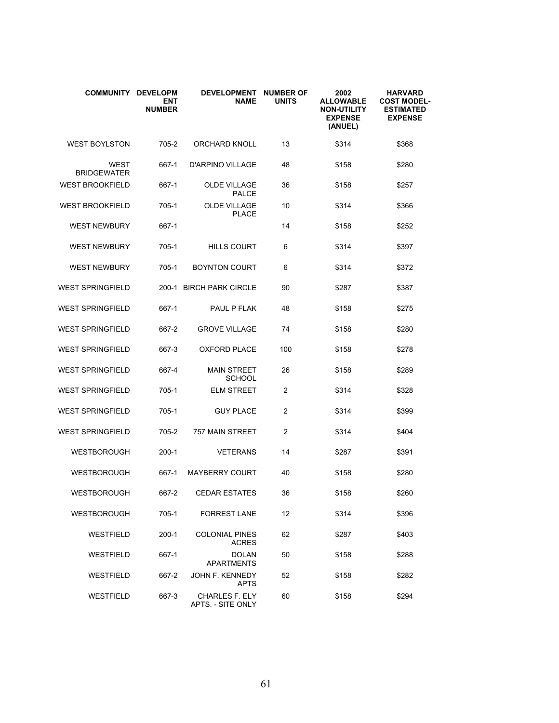| <b>COMMUNITY</b>                  | <b>DEVELOPM</b><br><b>ENT</b><br><b>NUMBER</b> | <b>DEVELOPMENT</b><br><b>NAME</b>          | <b>NUMBER OF</b><br><b>UNITS</b> | 2002<br><b>ALLOWABLE</b><br><b>NON-UTILITY</b><br><b>EXPENSE</b><br>(ANUEL) | <b>HARVARD</b><br><b>COST MODEL-</b><br><b>ESTIMATED</b><br><b>EXPENSE</b> |
|-----------------------------------|------------------------------------------------|--------------------------------------------|----------------------------------|-----------------------------------------------------------------------------|----------------------------------------------------------------------------|
| <b>WEST BOYLSTON</b>              | 705-2                                          | <b>ORCHARD KNOLL</b>                       | 13                               | \$314                                                                       | \$368                                                                      |
| <b>WEST</b><br><b>BRIDGEWATER</b> | 667-1                                          | <b>D'ARPINO VILLAGE</b>                    | 48                               | \$158                                                                       | \$280                                                                      |
| <b>WEST BROOKFIELD</b>            | 667-1                                          | <b>OLDE VILLAGE</b><br><b>PALCE</b>        | 36                               | \$158                                                                       | \$257                                                                      |
| <b>WEST BROOKFIELD</b>            | 705-1                                          | <b>OLDE VILLAGE</b><br><b>PLACE</b>        | 10                               | \$314                                                                       | \$366                                                                      |
| <b>WEST NEWBURY</b>               | 667-1                                          |                                            | 14                               | \$158                                                                       | \$252                                                                      |
| <b>WEST NEWBURY</b>               | $705-1$                                        | <b>HILLS COURT</b>                         | 6                                | \$314                                                                       | \$397                                                                      |
| <b>WEST NEWBURY</b>               | 705-1                                          | <b>BOYNTON COURT</b>                       | 6                                | \$314                                                                       | \$372                                                                      |
| <b>WEST SPRINGFIELD</b>           |                                                | 200-1 BIRCH PARK CIRCLE                    | 90                               | \$287                                                                       | \$387                                                                      |
| <b>WEST SPRINGFIELD</b>           | 667-1                                          | <b>PAUL P FLAK</b>                         | 48                               | \$158                                                                       | \$275                                                                      |
| <b>WEST SPRINGFIELD</b>           | 667-2                                          | <b>GROVE VILLAGE</b>                       | 74                               | \$158                                                                       | \$280                                                                      |
| <b>WEST SPRINGFIELD</b>           | 667-3                                          | <b>OXFORD PLACE</b>                        | 100                              | \$158                                                                       | \$278                                                                      |
| <b>WEST SPRINGFIELD</b>           | 667-4                                          | <b>MAIN STREET</b><br><b>SCHOOL</b>        | 26                               | \$158                                                                       | \$289                                                                      |
| <b>WEST SPRINGFIELD</b>           | $705-1$                                        | <b>ELM STREET</b>                          | 2                                | \$314                                                                       | \$328                                                                      |
| <b>WEST SPRINGFIELD</b>           | $705-1$                                        | <b>GUY PLACE</b>                           | 2                                | \$314                                                                       | \$399                                                                      |
| <b>WEST SPRINGFIELD</b>           | 705-2                                          | 757 MAIN STREET                            | 2                                | \$314                                                                       | \$404                                                                      |
| <b>WESTBOROUGH</b>                | $200-1$                                        | <b>VETERANS</b>                            | 14                               | \$287                                                                       | \$391                                                                      |
| <b>WESTBOROUGH</b>                | 667-1                                          | <b>MAYBERRY COURT</b>                      | 40                               | \$158                                                                       | \$280                                                                      |
| WESTBOROUGH                       | 667-2                                          | <b>CEDAR ESTATES</b>                       | 36                               | \$158                                                                       | \$260                                                                      |
| <b>WESTBOROUGH</b>                | 705-1                                          | <b>FORREST LANE</b>                        | 12                               | \$314                                                                       | \$396                                                                      |
| <b>WESTFIELD</b>                  | 200-1                                          | <b>COLONIAL PINES</b><br><b>ACRES</b>      | 62                               | \$287                                                                       | \$403                                                                      |
| <b>WESTFIELD</b>                  | 667-1                                          | <b>DOLAN</b><br>APARTMENTS                 | 50                               | \$158                                                                       | \$288                                                                      |
| WESTFIELD                         | 667-2                                          | <b>JOHN F. KENNEDY</b><br><b>APTS</b>      | 52                               | \$158                                                                       | \$282                                                                      |
| <b>WESTFIELD</b>                  | 667-3                                          | <b>CHARLES F. ELY</b><br>APTS. - SITE ONLY | 60                               | \$158                                                                       | \$294                                                                      |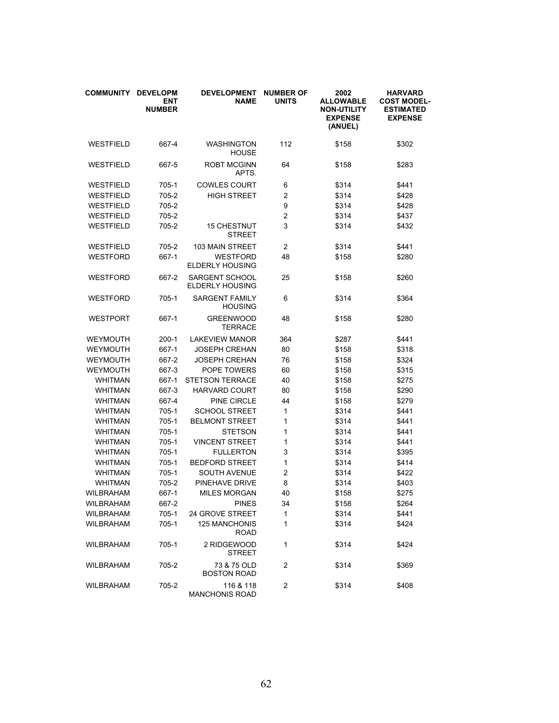| <b>COMMUNITY</b> | <b>DEVELOPM</b><br><b>ENT</b><br><b>NUMBER</b> | <b>DEVELOPMENT</b><br><b>NAME</b>               | <b>NUMBER OF</b><br><b>UNITS</b> | 2002<br><b>ALLOWABLE</b><br><b>NON-UTILITY</b><br><b>EXPENSE</b><br>(ANUEL) | <b>HARVARD</b><br><b>COST MODEL-</b><br><b>ESTIMATED</b><br><b>EXPENSE</b> |
|------------------|------------------------------------------------|-------------------------------------------------|----------------------------------|-----------------------------------------------------------------------------|----------------------------------------------------------------------------|
| WESTFIELD        | 667-4                                          | <b>WASHINGTON</b><br><b>HOUSE</b>               | 112                              | \$158                                                                       | \$302                                                                      |
| WESTFIELD        | 667-5                                          | <b>ROBT MCGINN</b><br>APTS.                     | 64                               | \$158                                                                       | \$283                                                                      |
| WESTFIELD        | 705-1                                          | <b>COWLES COURT</b>                             | 6                                | \$314                                                                       | \$441                                                                      |
| WESTFIELD        | 705-2                                          | <b>HIGH STREET</b>                              | $\overline{2}$                   | \$314                                                                       | \$428                                                                      |
| WESTFIELD        | 705-2                                          |                                                 | 9                                | \$314                                                                       | \$428                                                                      |
| WESTFIELD        | 705-2                                          |                                                 | $\overline{2}$                   | \$314                                                                       | \$437                                                                      |
| WESTFIELD        | 705-2                                          | <b>15 CHESTNUT</b><br><b>STREET</b>             | 3                                | \$314                                                                       | \$432                                                                      |
| WESTFIELD        | 705-2                                          | 103 MAIN STREET                                 | $\overline{2}$                   | \$314                                                                       | \$441                                                                      |
| <b>WESTFORD</b>  | 667-1                                          | <b>WESTFORD</b><br><b>ELDERLY HOUSING</b>       | 48                               | \$158                                                                       | \$280                                                                      |
| WESTFORD         | 667-2                                          | <b>SARGENT SCHOOL</b><br><b>ELDERLY HOUSING</b> | 25                               | \$158                                                                       | \$260                                                                      |
| WESTFORD         | $705-1$                                        | <b>SARGENT FAMILY</b><br><b>HOUSING</b>         | 6                                | \$314                                                                       | \$364                                                                      |
| WESTPORT         | 667-1                                          | <b>GREENWOOD</b><br><b>TERRACE</b>              | 48                               | \$158                                                                       | \$280                                                                      |
| WEYMOUTH         | 200-1                                          | <b>LAKEVIEW MANOR</b>                           | 364                              | \$287                                                                       | \$441                                                                      |
| WEYMOUTH         | 667-1                                          | <b>JOSEPH CREHAN</b>                            | 80                               | \$158                                                                       | \$318                                                                      |
| WEYMOUTH         | 667-2                                          | <b>JOSEPH CREHAN</b>                            | 76                               | \$158                                                                       | \$324                                                                      |
| <b>WEYMOUTH</b>  | 667-3                                          | POPE TOWERS                                     | 60                               | \$158                                                                       | \$315                                                                      |
| WHITMAN          | 667-1                                          | <b>STETSON TERRACE</b>                          | 40                               | \$158                                                                       | \$275                                                                      |
| <b>WHITMAN</b>   | 667-3                                          | <b>HARVARD COURT</b>                            | 80                               | \$158                                                                       | \$290                                                                      |
| <b>WHITMAN</b>   | 667-4                                          | PINE CIRCLE                                     | 44                               | \$158                                                                       | \$279                                                                      |
| <b>WHITMAN</b>   | $705-1$                                        | <b>SCHOOL STREET</b>                            | 1                                | \$314                                                                       | \$441                                                                      |
| <b>WHITMAN</b>   | 705-1                                          | <b>BELMONT STREET</b>                           | 1                                | \$314                                                                       | \$441                                                                      |
| <b>WHITMAN</b>   | 705-1                                          | <b>STETSON</b>                                  | 1                                | \$314                                                                       | \$441                                                                      |
| <b>WHITMAN</b>   | 705-1                                          | <b>VINCENT STREET</b>                           | 1                                | \$314                                                                       | \$441                                                                      |
| <b>WHITMAN</b>   | 705-1                                          | <b>FULLERTON</b>                                | 3                                | \$314                                                                       | \$395                                                                      |
| <b>WHITMAN</b>   | 705-1                                          | <b>BEDFORD STREET</b>                           | 1                                | \$314                                                                       | \$414                                                                      |
| <b>WHITMAN</b>   | 705-1                                          | <b>SOUTH AVENUE</b>                             | $\overline{c}$                   | \$314                                                                       | \$422                                                                      |
| <b>WHITMAN</b>   | 705-2                                          | PINEHAVE DRIVE                                  | 8                                | \$314                                                                       | \$403                                                                      |
| WILBRAHAM        | 667-1                                          | <b>MILES MORGAN</b>                             | 40                               | \$158                                                                       | \$275                                                                      |
| WILBRAHAM        | 667-2                                          | <b>PINES</b>                                    | 34                               | \$158                                                                       | \$264                                                                      |
| WILBRAHAM        | 705-1                                          | <b>24 GROVE STREET</b>                          | 1                                | \$314                                                                       | \$441                                                                      |
| WILBRAHAM        | $705-1$                                        | <b>125 MANCHONIS</b><br><b>ROAD</b>             | 1                                | \$314                                                                       | \$424                                                                      |
| <b>WILBRAHAM</b> | 705-1                                          | 2 RIDGEWOOD<br><b>STREET</b>                    | 1                                | \$314                                                                       | \$424                                                                      |
| <b>WILBRAHAM</b> | 705-2                                          | 73 & 75 OLD<br><b>BOSTON ROAD</b>               | 2                                | \$314                                                                       | \$369                                                                      |
| WILBRAHAM        | 705-2                                          | 116 & 118<br><b>MANCHONIS ROAD</b>              | 2                                | \$314                                                                       | \$408                                                                      |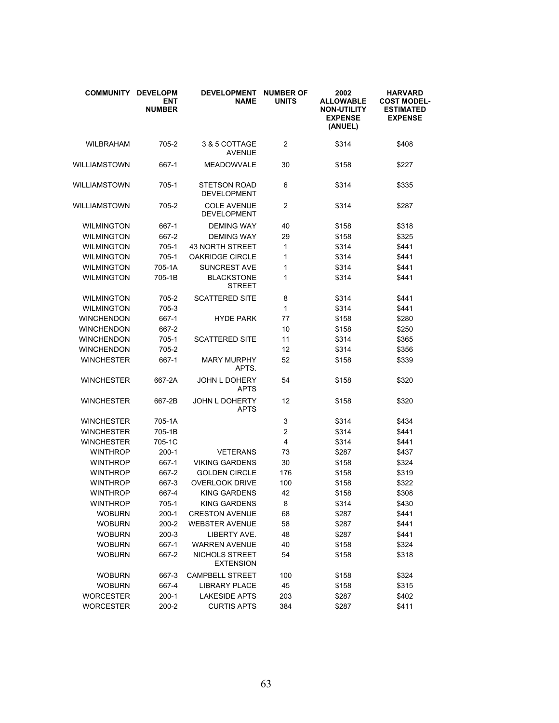| <b>COMMUNITY</b>  | <b>DEVELOPM</b><br><b>ENT</b><br><b>NUMBER</b> | <b>DEVELOPMENT</b><br><b>NAME</b>         | <b>NUMBER OF</b><br><b>UNITS</b> | 2002<br><b>ALLOWABLE</b><br><b>NON-UTILITY</b><br><b>EXPENSE</b><br>(ANUEL) | <b>HARVARD</b><br><b>COST MODEL-</b><br><b>ESTIMATED</b><br><b>EXPENSE</b> |
|-------------------|------------------------------------------------|-------------------------------------------|----------------------------------|-----------------------------------------------------------------------------|----------------------------------------------------------------------------|
| WILBRAHAM         | 705-2                                          | 3 & 5 COTTAGE<br><b>AVENUE</b>            | 2                                | \$314                                                                       | \$408                                                                      |
| WILLIAMSTOWN      | 667-1                                          | <b>MEADOWVALE</b>                         | 30                               | \$158                                                                       | \$227                                                                      |
| WILLIAMSTOWN      | 705-1                                          | <b>STETSON ROAD</b><br><b>DEVELOPMENT</b> | 6                                | \$314                                                                       | \$335                                                                      |
| WILLIAMSTOWN      | 705-2                                          | <b>COLE AVENUE</b><br><b>DEVELOPMENT</b>  | $\overline{c}$                   | \$314                                                                       | \$287                                                                      |
| <b>WILMINGTON</b> | 667-1                                          | <b>DEMING WAY</b>                         | 40                               | \$158                                                                       | \$318                                                                      |
| <b>WILMINGTON</b> | 667-2                                          | <b>DEMING WAY</b>                         | 29                               | \$158                                                                       | \$325                                                                      |
| <b>WILMINGTON</b> | 705-1                                          | <b>43 NORTH STREET</b>                    | 1                                | \$314                                                                       | \$441                                                                      |
| <b>WILMINGTON</b> | $705-1$                                        | <b>OAKRIDGE CIRCLE</b>                    | 1                                | \$314                                                                       | \$441                                                                      |
| <b>WILMINGTON</b> | 705-1A                                         | <b>SUNCREST AVE</b>                       | 1                                | \$314                                                                       | \$441                                                                      |
| <b>WILMINGTON</b> | 705-1B                                         | <b>BLACKSTONE</b><br><b>STREET</b>        | 1                                | \$314                                                                       | \$441                                                                      |
| <b>WILMINGTON</b> | 705-2                                          | <b>SCATTERED SITE</b>                     | 8                                | \$314                                                                       | \$441                                                                      |
| <b>WILMINGTON</b> | 705-3                                          |                                           | 1                                | \$314                                                                       | \$441                                                                      |
| <b>WINCHENDON</b> | 667-1                                          | <b>HYDE PARK</b>                          | 77                               | \$158                                                                       | \$280                                                                      |
| <b>WINCHENDON</b> | 667-2                                          |                                           | 10                               | \$158                                                                       | \$250                                                                      |
| <b>WINCHENDON</b> | 705-1                                          | <b>SCATTERED SITE</b>                     | 11                               | \$314                                                                       | \$365                                                                      |
| <b>WINCHENDON</b> | 705-2                                          |                                           | 12                               | \$314                                                                       | \$356                                                                      |
| <b>WINCHESTER</b> | 667-1                                          | <b>MARY MURPHY</b><br>APTS.               | 52                               | \$158                                                                       | \$339                                                                      |
| <b>WINCHESTER</b> | 667-2A                                         | <b>JOHN L DOHERY</b><br><b>APTS</b>       | 54                               | \$158                                                                       | \$320                                                                      |
| <b>WINCHESTER</b> | 667-2B                                         | JOHN L DOHERTY<br><b>APTS</b>             | 12                               | \$158                                                                       | \$320                                                                      |
| <b>WINCHESTER</b> | 705-1A                                         |                                           | 3                                | \$314                                                                       | \$434                                                                      |
| <b>WINCHESTER</b> | 705-1B                                         |                                           | 2                                | \$314                                                                       | \$441                                                                      |
| <b>WINCHESTER</b> | 705-1C                                         |                                           | 4                                | \$314                                                                       | \$441                                                                      |
| <b>WINTHROP</b>   | 200-1                                          | <b>VETERANS</b>                           | 73                               | \$287                                                                       | \$437                                                                      |
| <b>WINTHROP</b>   | 667-1                                          | <b>VIKING GARDENS</b>                     | 30                               | \$158                                                                       | \$324                                                                      |
| <b>WINTHROP</b>   | 667-2                                          | <b>GOLDEN CIRCLE</b>                      | 176                              | \$158                                                                       | \$319                                                                      |
| <b>WINTHROP</b>   | 667-3                                          | <b>OVERLOOK DRIVE</b>                     | 100                              | \$158                                                                       | \$322                                                                      |
| <b>WINTHROP</b>   | 667-4                                          | <b>KING GARDENS</b>                       | 42                               | \$158                                                                       | \$308                                                                      |
| <b>WINTHROP</b>   | 705-1                                          | <b>KING GARDENS</b>                       | 8                                | \$314                                                                       | \$430                                                                      |
| <b>WOBURN</b>     | $200-1$                                        | <b>CRESTON AVENUE</b>                     | 68                               | \$287                                                                       | \$441                                                                      |
| <b>WOBURN</b>     | 200-2                                          | <b>WEBSTER AVENUE</b>                     | 58                               | \$287                                                                       | \$441                                                                      |
| <b>WOBURN</b>     | $200-3$                                        | LIBERTY AVE.                              | 48                               | \$287                                                                       | \$441                                                                      |
| <b>WOBURN</b>     | 667-1                                          | <b>WARREN AVENUE</b>                      | 40                               | \$158                                                                       | \$324                                                                      |
| <b>WOBURN</b>     | 667-2                                          | NICHOLS STREET<br><b>EXTENSION</b>        | 54                               | \$158                                                                       | \$318                                                                      |
| <b>WOBURN</b>     | 667-3                                          | <b>CAMPBELL STREET</b>                    | 100                              | \$158                                                                       | \$324                                                                      |
| <b>WOBURN</b>     | 667-4                                          | <b>LIBRARY PLACE</b>                      | 45                               | \$158                                                                       | \$315                                                                      |
| <b>WORCESTER</b>  | $200-1$                                        | <b>LAKESIDE APTS</b>                      | 203                              | \$287                                                                       | \$402                                                                      |
| <b>WORCESTER</b>  | 200-2                                          | <b>CURTIS APTS</b>                        | 384                              | \$287                                                                       | \$411                                                                      |